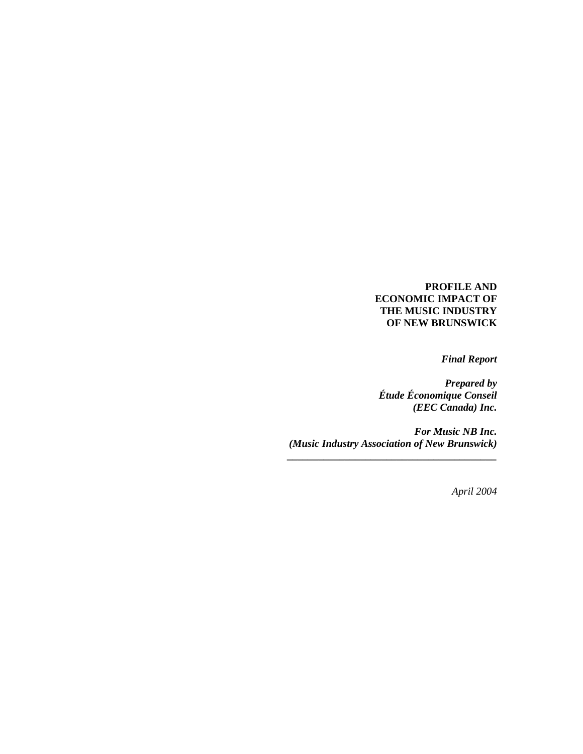## **PROFILE AND ECONOMIC IMPACT OF THE MUSIC INDUSTRY OF NEW BRUNSWICK**

 *Final Report* 

*Prepared by Étude Économique Conseil (EEC Canada) Inc.* 

*For Music NB Inc. (Music Industry Association of New Brunswick) \_\_\_\_\_\_\_\_\_\_\_\_\_\_\_\_\_\_\_\_\_\_\_\_\_\_\_\_\_\_\_\_\_\_\_\_\_\_\_\_* 

*April 2004*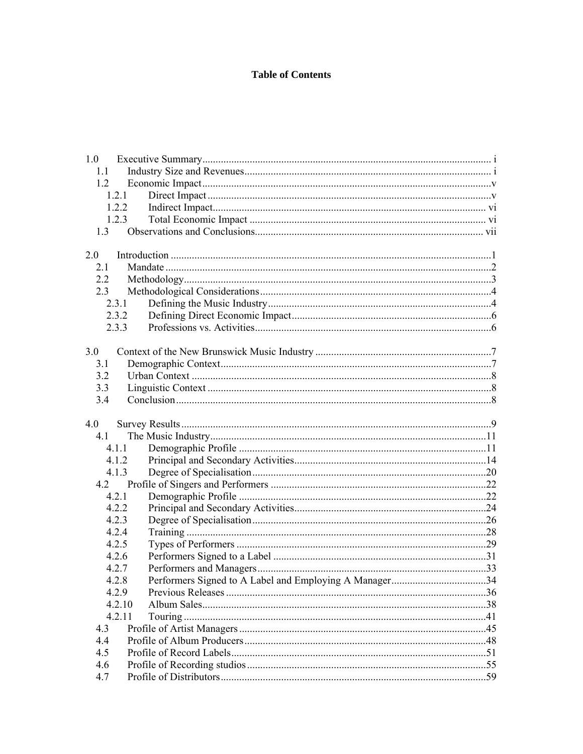# **Table of Contents**

| 1.0    |                                                        |  |
|--------|--------------------------------------------------------|--|
| 1.1    |                                                        |  |
| 1.2    |                                                        |  |
| 1.2.1  |                                                        |  |
| 1.2.2  |                                                        |  |
| 1.2.3  |                                                        |  |
|        |                                                        |  |
|        |                                                        |  |
| 2.0    |                                                        |  |
| 2.1    |                                                        |  |
| 2.2    |                                                        |  |
| 2.3    |                                                        |  |
| 2.3.1  |                                                        |  |
| 2.3.2  |                                                        |  |
| 2.3.3  |                                                        |  |
|        |                                                        |  |
| 3.0    |                                                        |  |
| 3.1    |                                                        |  |
| 3.2    |                                                        |  |
| 3.3    |                                                        |  |
| 3.4    |                                                        |  |
|        |                                                        |  |
| 4.0    |                                                        |  |
| 4.1    |                                                        |  |
| 4.1.1  |                                                        |  |
| 4.1.2  |                                                        |  |
| 4.1.3  |                                                        |  |
| 4.2    |                                                        |  |
| 4.2.1  |                                                        |  |
| 4.2.2  |                                                        |  |
| 4.2.3  |                                                        |  |
| 4.2.4  |                                                        |  |
| 4.2.5  |                                                        |  |
| 4.2.6  |                                                        |  |
| 4.2.7  |                                                        |  |
| 4.2.8  | Performers Signed to A Label and Employing A Manager34 |  |
| 4.2.9  |                                                        |  |
| 4.2.10 |                                                        |  |
| 4.2.11 |                                                        |  |
| 4.3    |                                                        |  |
| 4.4    |                                                        |  |
| 4.5    |                                                        |  |
| 4.6    |                                                        |  |
| 4.7    |                                                        |  |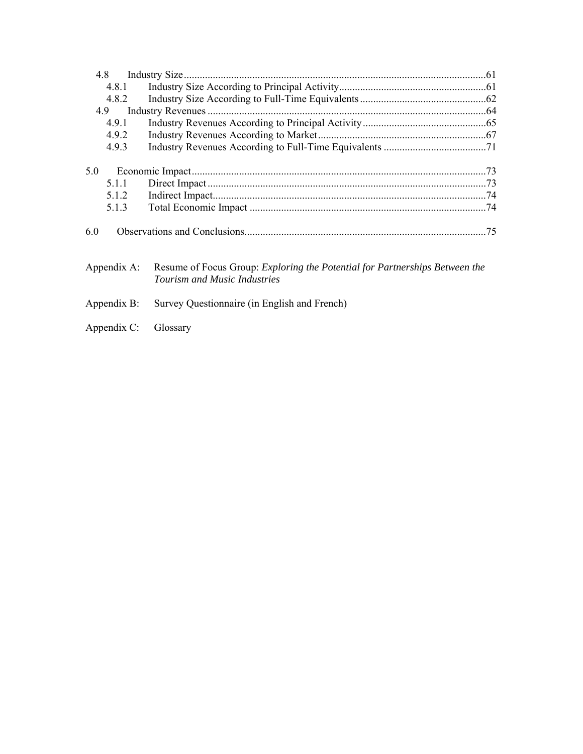| 4.8         |                                                                                    |  |
|-------------|------------------------------------------------------------------------------------|--|
| 4.8.1       |                                                                                    |  |
| 4.8.2       |                                                                                    |  |
| 4.9         |                                                                                    |  |
| 4.9.1       |                                                                                    |  |
| 4.9.2       |                                                                                    |  |
| 4.9.3       |                                                                                    |  |
|             |                                                                                    |  |
| 5.0         |                                                                                    |  |
| 5.1.1       |                                                                                    |  |
| 5.1.2       |                                                                                    |  |
| 5.1.3       |                                                                                    |  |
| 6.0         |                                                                                    |  |
| Appendix A: | Resume of Focus Group: <i>Exploring the Potential for Partnerships Between the</i> |  |

- *Tourism and Music Industries*
- Appendix B: Survey Questionnaire (in English and French)
- Appendix C: Glossary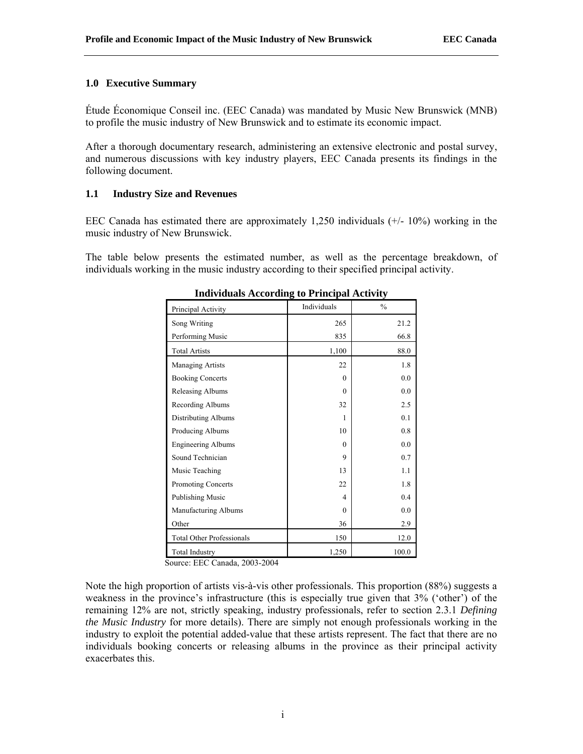### **1.0 Executive Summary**

Étude Économique Conseil inc. (EEC Canada) was mandated by Music New Brunswick (MNB) to profile the music industry of New Brunswick and to estimate its economic impact.

After a thorough documentary research, administering an extensive electronic and postal survey, and numerous discussions with key industry players, EEC Canada presents its findings in the following document.

## **1.1 Industry Size and Revenues**

EEC Canada has estimated there are approximately 1,250 individuals  $(+/- 10\%)$  working in the music industry of New Brunswick.

The table below presents the estimated number, as well as the percentage breakdown, of individuals working in the music industry according to their specified principal activity.

| Principal Activity               | Individuals | $\frac{0}{0}$ |
|----------------------------------|-------------|---------------|
| Song Writing                     | 265         | 21.2          |
| Performing Music                 | 835         | 66.8          |
| <b>Total Artists</b>             | 1,100       | 88.0          |
| Managing Artists                 | 22          | 1.8           |
| <b>Booking Concerts</b>          | $\Omega$    | 0.0           |
| Releasing Albums                 | $\Omega$    | 0.0           |
| Recording Albums                 | 32          | 2.5           |
| <b>Distributing Albums</b>       | 1           | 0.1           |
| Producing Albums                 | 10          | 0.8           |
| <b>Engineering Albums</b>        | $\Omega$    | 0.0           |
| Sound Technician                 | 9           | 0.7           |
| Music Teaching                   | 13          | 1.1           |
| Promoting Concerts               | 22          | 1.8           |
| <b>Publishing Music</b>          | 4           | 0.4           |
| Manufacturing Albums             | $\Omega$    | 0.0           |
| Other                            | 36          | 2.9           |
| <b>Total Other Professionals</b> | 150         | 12.0          |
| <b>Total Industry</b>            | 1,250       | 100.0         |

**Individuals According to Principal Activity** 

Source: EEC Canada, 2003-2004

Note the high proportion of artists vis-à-vis other professionals. This proportion (88%) suggests a weakness in the province's infrastructure (this is especially true given that 3% ('other') of the remaining 12% are not, strictly speaking, industry professionals, refer to section 2.3.1 *Defining the Music Industry* for more details). There are simply not enough professionals working in the industry to exploit the potential added-value that these artists represent. The fact that there are no individuals booking concerts or releasing albums in the province as their principal activity exacerbates this.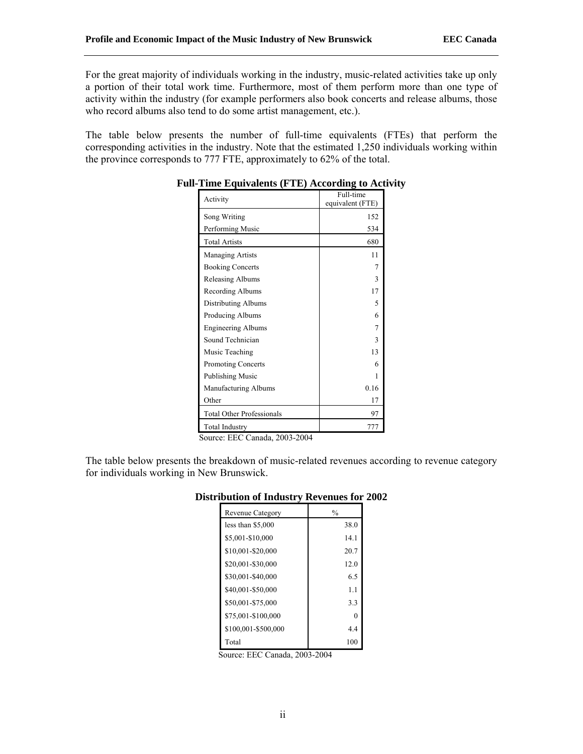For the great majority of individuals working in the industry, music-related activities take up only a portion of their total work time. Furthermore, most of them perform more than one type of activity within the industry (for example performers also book concerts and release albums, those who record albums also tend to do some artist management, etc.).

The table below presents the number of full-time equivalents (FTEs) that perform the corresponding activities in the industry. Note that the estimated 1,250 individuals working within the province corresponds to 777 FTE, approximately to 62% of the total.

| $\frac{1}{2}$ and $\frac{1}{2}$ and $\frac{1}{2}$ and $\frac{1}{2}$ are $\frac{1}{2}$ and $\frac{1}{2}$ and $\frac{1}{2}$ and $\frac{1}{2}$ and $\frac{1}{2}$ and $\frac{1}{2}$ and $\frac{1}{2}$ and $\frac{1}{2}$ and $\frac{1}{2}$ and $\frac{1}{2}$ and $\frac{1}{2}$ and $\frac{1}{2}$ a |                               |  |
|-----------------------------------------------------------------------------------------------------------------------------------------------------------------------------------------------------------------------------------------------------------------------------------------------|-------------------------------|--|
| Activity                                                                                                                                                                                                                                                                                      | Full-time<br>equivalent (FTE) |  |
| Song Writing                                                                                                                                                                                                                                                                                  | 152                           |  |
| Performing Music                                                                                                                                                                                                                                                                              | 534                           |  |
| <b>Total Artists</b>                                                                                                                                                                                                                                                                          | 680                           |  |
| Managing Artists                                                                                                                                                                                                                                                                              | 11                            |  |
| <b>Booking Concerts</b>                                                                                                                                                                                                                                                                       |                               |  |
| Releasing Albums                                                                                                                                                                                                                                                                              | 3                             |  |
| Recording Albums                                                                                                                                                                                                                                                                              | 17                            |  |
| Distributing Albums                                                                                                                                                                                                                                                                           | 5                             |  |
| Producing Albums                                                                                                                                                                                                                                                                              | 6                             |  |
| <b>Engineering Albums</b>                                                                                                                                                                                                                                                                     | 7                             |  |
| Sound Technician                                                                                                                                                                                                                                                                              | 3                             |  |
| Music Teaching                                                                                                                                                                                                                                                                                | 13                            |  |
| <b>Promoting Concerts</b>                                                                                                                                                                                                                                                                     | 6                             |  |
| Publishing Music                                                                                                                                                                                                                                                                              | 1                             |  |
| Manufacturing Albums                                                                                                                                                                                                                                                                          | 0.16                          |  |
| Other                                                                                                                                                                                                                                                                                         | 17                            |  |
| <b>Total Other Professionals</b>                                                                                                                                                                                                                                                              | 97                            |  |
| <b>Total Industry</b>                                                                                                                                                                                                                                                                         | 777                           |  |

## **Full-Time Equivalents (FTE) According to Activity**

Source: EEC Canada, 2003-2004

The table below presents the breakdown of music-related revenues according to revenue category for individuals working in New Brunswick.

| ັ                       |               |
|-------------------------|---------------|
| <b>Revenue Category</b> | $\frac{0}{0}$ |
| less than $$5,000$      | 38.0          |
| \$5,001-\$10,000        | 14.1          |
| \$10,001-\$20,000       | 20.7          |
| \$20,001-\$30,000       | 12.0          |
| \$30,001-\$40,000       | 6.5           |
| \$40,001-\$50,000       | 1.1           |
| \$50,001-\$75,000       | 3.3           |
| \$75,001-\$100,000      | 0             |
| \$100,001-\$500,000     | 4.4           |
| Total                   | 100           |

## **Distribution of Industry Revenues for 2002**

Source: EEC Canada, 2003-2004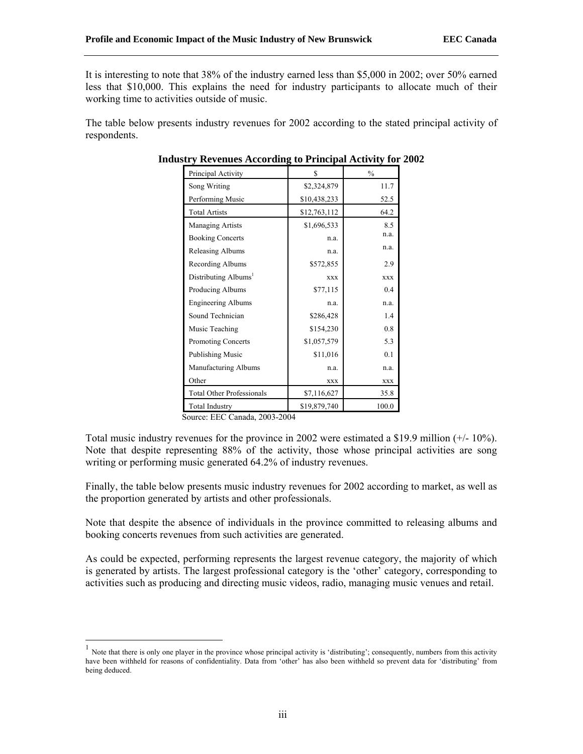It is interesting to note that 38% of the industry earned less than \$5,000 in 2002; over 50% earned less that \$10,000. This explains the need for industry participants to allocate much of their working time to activities outside of music.

The table below presents industry revenues for 2002 according to the stated principal activity of respondents.

| Principal Activity               | \$.          | $\frac{0}{0}$ |
|----------------------------------|--------------|---------------|
| Song Writing                     | \$2,324,879  | 11.7          |
| Performing Music                 | \$10,438,233 | 52.5          |
| <b>Total Artists</b>             | \$12,763,112 | 64.2          |
| <b>Managing Artists</b>          | \$1,696,533  | 8.5           |
| <b>Booking Concerts</b>          | n.a.         | n.a.          |
| Releasing Albums                 | n.a.         | n.a.          |
| Recording Albums                 | \$572,855    | 2.9           |
| Distributing Albums <sup>1</sup> | <b>XXX</b>   | <b>XXX</b>    |
| Producing Albums                 | \$77,115     | 0.4           |
| <b>Engineering Albums</b>        | n.a.         | n.a.          |
| Sound Technician                 | \$286,428    | 1.4           |
| Music Teaching                   | \$154,230    | 0.8           |
| <b>Promoting Concerts</b>        | \$1,057,579  | 5.3           |
| Publishing Music                 | \$11,016     | 0.1           |
| Manufacturing Albums             | n.a.         | n.a.          |
| Other                            | <b>XXX</b>   | <b>XXX</b>    |
| <b>Total Other Professionals</b> | \$7,116,627  | 35.8          |
| <b>Total Industry</b>            | \$19,879,740 | 100.0         |

## **Industry Revenues According to Principal Activity for 2002**

Source: EEC Canada, 2003-2004

Total music industry revenues for the province in 2002 were estimated a \$19.9 million (+/- 10%). Note that despite representing 88% of the activity, those whose principal activities are song writing or performing music generated 64.2% of industry revenues.

Finally, the table below presents music industry revenues for 2002 according to market, as well as the proportion generated by artists and other professionals.

Note that despite the absence of individuals in the province committed to releasing albums and booking concerts revenues from such activities are generated.

As could be expected, performing represents the largest revenue category, the majority of which is generated by artists. The largest professional category is the 'other' category, corresponding to activities such as producing and directing music videos, radio, managing music venues and retail.

<sup>1</sup> Note that there is only one player in the province whose principal activity is 'distributing'; consequently, numbers from this activity have been withheld for reasons of confidentiality. Data from 'other' has also been withheld so prevent data for 'distributing' from being deduced.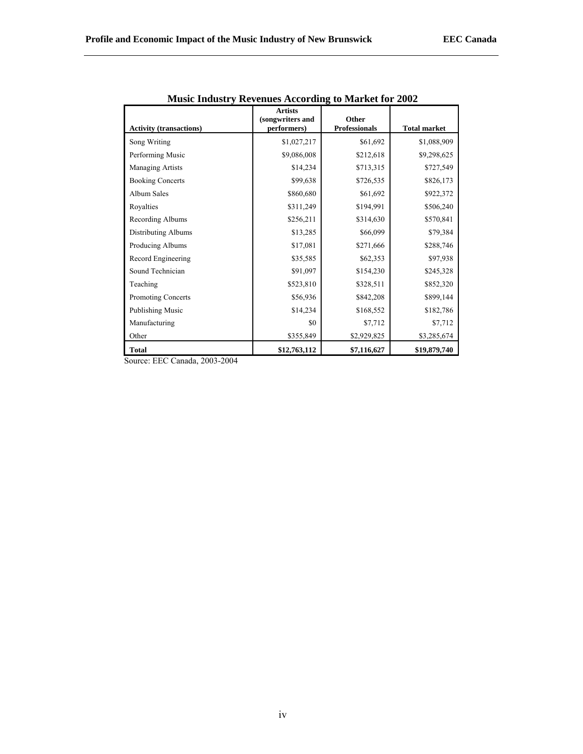| <b>Activity (transactions)</b>                                         | <b>Artists</b><br>(songwriters and<br>performers) | Other<br><b>Professionals</b> | <b>Total market</b> |
|------------------------------------------------------------------------|---------------------------------------------------|-------------------------------|---------------------|
| Song Writing                                                           | \$1,027,217                                       | \$61,692                      | \$1,088,909         |
| Performing Music                                                       | \$9,086,008                                       | \$212,618                     | \$9,298,625         |
| Managing Artists                                                       | \$14,234                                          | \$713,315                     | \$727,549           |
| <b>Booking Concerts</b>                                                | \$99,638                                          | \$726,535                     | \$826,173           |
| <b>Album Sales</b>                                                     | \$860,680                                         | \$61,692                      | \$922,372           |
| Royalties                                                              | \$311,249                                         | \$194,991                     | \$506,240           |
| Recording Albums                                                       | \$256,211                                         | \$314,630                     | \$570,841           |
| Distributing Albums                                                    | \$13,285                                          | \$66,099                      | \$79,384            |
| Producing Albums                                                       | \$17,081                                          | \$271,666                     | \$288,746           |
| Record Engineering                                                     | \$35,585                                          | \$62,353                      | \$97,938            |
| Sound Technician                                                       | \$91,097                                          | \$154,230                     | \$245,328           |
| Teaching                                                               | \$523,810                                         | \$328,511                     | \$852,320           |
| <b>Promoting Concerts</b>                                              | \$56,936                                          | \$842,208                     | \$899,144           |
| Publishing Music                                                       | \$14,234                                          | \$168,552                     | \$182,786           |
| Manufacturing                                                          | \$0                                               | \$7,712                       | \$7,712             |
| Other                                                                  | \$355,849                                         | \$2,929,825                   | \$3,285,674         |
| <b>Total</b><br>$\ldots$ EEC C <sub>ana</sub> 1. 0002.0004<br>$\Omega$ | \$12,763,112                                      | \$7,116,627                   | \$19,879,740        |

Source: EEC Canada, 2003-2004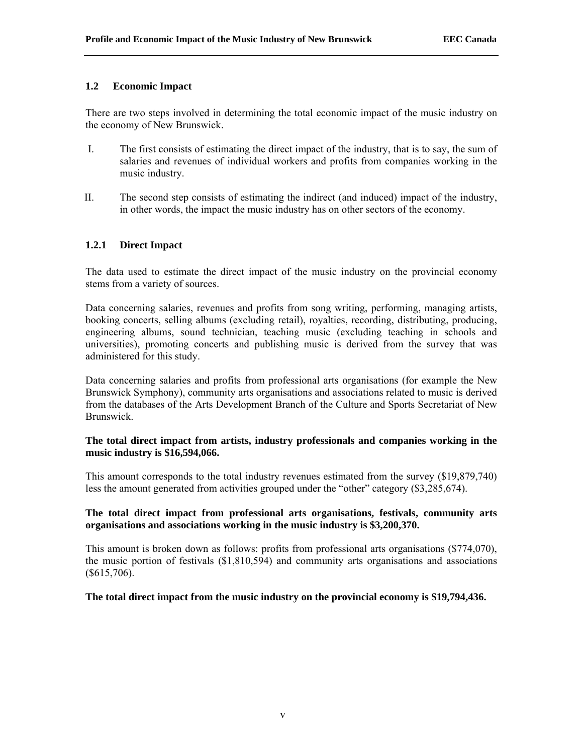## **1.2 Economic Impact**

There are two steps involved in determining the total economic impact of the music industry on the economy of New Brunswick.

- I. The first consists of estimating the direct impact of the industry, that is to say, the sum of salaries and revenues of individual workers and profits from companies working in the music industry.
- II. The second step consists of estimating the indirect (and induced) impact of the industry, in other words, the impact the music industry has on other sectors of the economy.

## **1.2.1 Direct Impact**

The data used to estimate the direct impact of the music industry on the provincial economy stems from a variety of sources.

Data concerning salaries, revenues and profits from song writing, performing, managing artists, booking concerts, selling albums (excluding retail), royalties, recording, distributing, producing, engineering albums, sound technician, teaching music (excluding teaching in schools and universities), promoting concerts and publishing music is derived from the survey that was administered for this study.

Data concerning salaries and profits from professional arts organisations (for example the New Brunswick Symphony), community arts organisations and associations related to music is derived from the databases of the Arts Development Branch of the Culture and Sports Secretariat of New Brunswick.

## **The total direct impact from artists, industry professionals and companies working in the music industry is \$16,594,066.**

This amount corresponds to the total industry revenues estimated from the survey (\$19,879,740) less the amount generated from activities grouped under the "other" category (\$3,285,674).

## **The total direct impact from professional arts organisations, festivals, community arts organisations and associations working in the music industry is \$3,200,370.**

This amount is broken down as follows: profits from professional arts organisations (\$774,070), the music portion of festivals (\$1,810,594) and community arts organisations and associations (\$615,706).

## **The total direct impact from the music industry on the provincial economy is \$19,794,436.**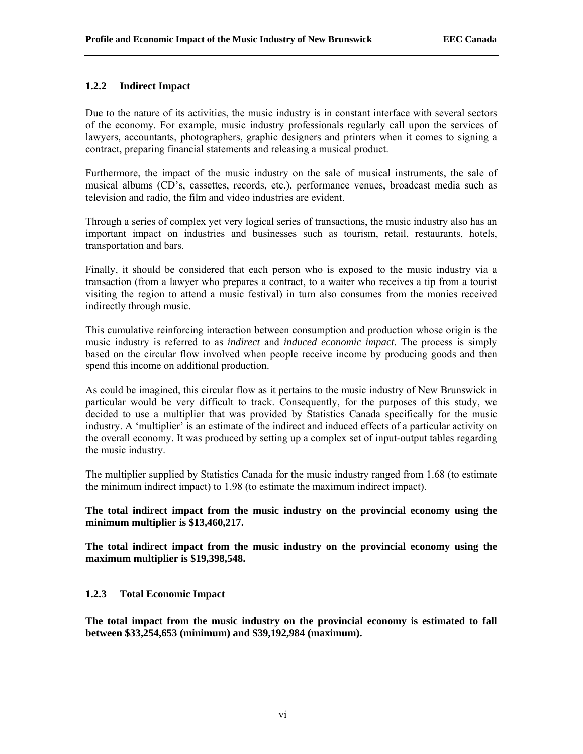## **1.2.2 Indirect Impact**

Due to the nature of its activities, the music industry is in constant interface with several sectors of the economy. For example, music industry professionals regularly call upon the services of lawyers, accountants, photographers, graphic designers and printers when it comes to signing a contract, preparing financial statements and releasing a musical product.

Furthermore, the impact of the music industry on the sale of musical instruments, the sale of musical albums (CD's, cassettes, records, etc.), performance venues, broadcast media such as television and radio, the film and video industries are evident.

Through a series of complex yet very logical series of transactions, the music industry also has an important impact on industries and businesses such as tourism, retail, restaurants, hotels, transportation and bars.

Finally, it should be considered that each person who is exposed to the music industry via a transaction (from a lawyer who prepares a contract, to a waiter who receives a tip from a tourist visiting the region to attend a music festival) in turn also consumes from the monies received indirectly through music.

This cumulative reinforcing interaction between consumption and production whose origin is the music industry is referred to as *indirect* and *induced economic impact*. The process is simply based on the circular flow involved when people receive income by producing goods and then spend this income on additional production.

As could be imagined, this circular flow as it pertains to the music industry of New Brunswick in particular would be very difficult to track. Consequently, for the purposes of this study, we decided to use a multiplier that was provided by Statistics Canada specifically for the music industry. A 'multiplier' is an estimate of the indirect and induced effects of a particular activity on the overall economy. It was produced by setting up a complex set of input-output tables regarding the music industry.

The multiplier supplied by Statistics Canada for the music industry ranged from 1.68 (to estimate the minimum indirect impact) to 1.98 (to estimate the maximum indirect impact).

## **The total indirect impact from the music industry on the provincial economy using the minimum multiplier is \$13,460,217.**

**The total indirect impact from the music industry on the provincial economy using the maximum multiplier is \$19,398,548.** 

## **1.2.3 Total Economic Impact**

**The total impact from the music industry on the provincial economy is estimated to fall between \$33,254,653 (minimum) and \$39,192,984 (maximum).**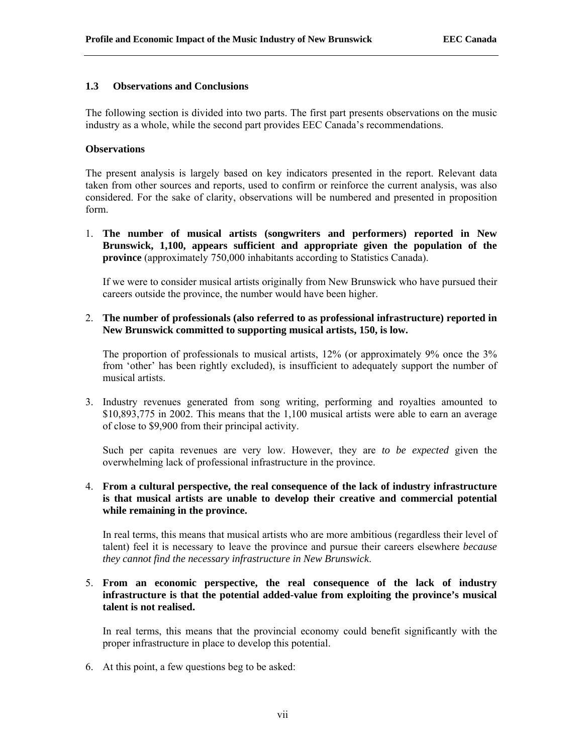### **1.3 Observations and Conclusions**

The following section is divided into two parts. The first part presents observations on the music industry as a whole, while the second part provides EEC Canada's recommendations.

### **Observations**

The present analysis is largely based on key indicators presented in the report. Relevant data taken from other sources and reports, used to confirm or reinforce the current analysis, was also considered. For the sake of clarity, observations will be numbered and presented in proposition form.

1. **The number of musical artists (songwriters and performers) reported in New Brunswick, 1,100, appears sufficient and appropriate given the population of the province** (approximately 750,000 inhabitants according to Statistics Canada).

If we were to consider musical artists originally from New Brunswick who have pursued their careers outside the province, the number would have been higher.

2. **The number of professionals (also referred to as professional infrastructure) reported in New Brunswick committed to supporting musical artists, 150, is low.**

The proportion of professionals to musical artists, 12% (or approximately 9% once the 3% from 'other' has been rightly excluded), is insufficient to adequately support the number of musical artists.

3. Industry revenues generated from song writing, performing and royalties amounted to \$10,893,775 in 2002. This means that the 1,100 musical artists were able to earn an average of close to \$9,900 from their principal activity.

Such per capita revenues are very low. However, they are *to be expected* given the overwhelming lack of professional infrastructure in the province.

## 4. **From a cultural perspective, the real consequence of the lack of industry infrastructure is that musical artists are unable to develop their creative and commercial potential while remaining in the province.**

In real terms, this means that musical artists who are more ambitious (regardless their level of talent) feel it is necessary to leave the province and pursue their careers elsewhere *because they cannot find the necessary infrastructure in New Brunswick*.

## 5. **From an economic perspective, the real consequence of the lack of industry infrastructure is that the potential added-value from exploiting the province's musical talent is not realised.**

In real terms, this means that the provincial economy could benefit significantly with the proper infrastructure in place to develop this potential.

6. At this point, a few questions beg to be asked: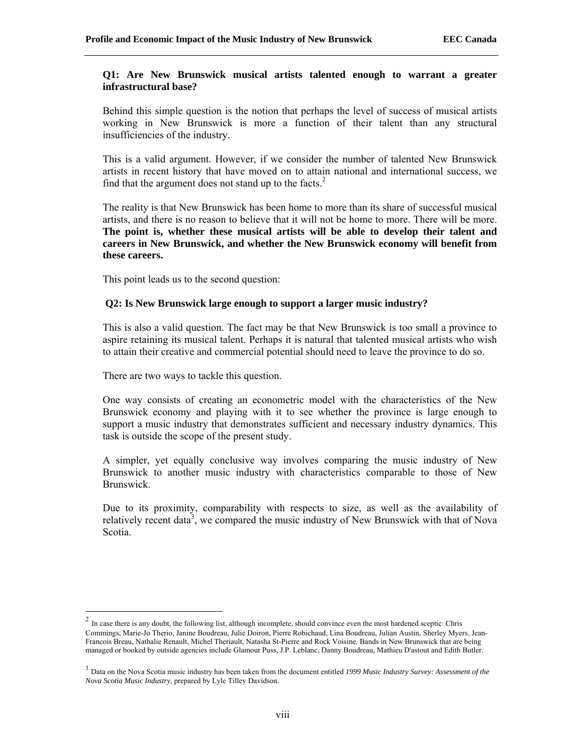### **Q1: Are New Brunswick musical artists talented enough to warrant a greater infrastructural base?**

Behind this simple question is the notion that perhaps the level of success of musical artists working in New Brunswick is more a function of their talent than any structural insufficiencies of the industry.

This is a valid argument. However, if we consider the number of talented New Brunswick artists in recent history that have moved on to attain national and international success, we find that the argument does not stand up to the facts. $2$ 

The reality is that New Brunswick has been home to more than its share of successful musical artists, and there is no reason to believe that it will not be home to more. There will be more. **The point is, whether these musical artists will be able to develop their talent and careers in New Brunswick, and whether the New Brunswick economy will benefit from these careers.** 

This point leads us to the second question:

## **Q2: Is New Brunswick large enough to support a larger music industry?**

This is also a valid question. The fact may be that New Brunswick is too small a province to aspire retaining its musical talent. Perhaps it is natural that talented musical artists who wish to attain their creative and commercial potential should need to leave the province to do so.

There are two ways to tackle this question.

One way consists of creating an econometric model with the characteristics of the New Brunswick economy and playing with it to see whether the province is large enough to support a music industry that demonstrates sufficient and necessary industry dynamics. This task is outside the scope of the present study.

A simpler, yet equally conclusive way involves comparing the music industry of New Brunswick to another music industry with characteristics comparable to those of New Brunswick.

Due to its proximity, comparability with respects to size, as well as the availability of relatively recent data<sup>3</sup>, we compared the music industry of New Brunswick with that of Nova Scotia.

 $<sup>2</sup>$  In case there is any doubt, the following list, although incomplete, should convince even the most hardened sceptic: Chris</sup> Commings, Marie-Jo Therio, Janine Boudreau, Julie Doiron, Pierre Robichaud, Lina Boudreau, Julian Austin, Sherley Myers, Jean-Francois Breau, Nathalie Renault, Michel Theriault, Natasha St-Pierre and Rock Voisine. Bands in New Brunswick that are being managed or booked by outside agencies include Glamour Puss, J.P. Leblanc, Danny Boudreau, Mathieu D'astout and Edith Butler.

<sup>3</sup> Data on the Nova Scotia music industry has been taken from the document entitled *1999 Music Industry Survey: Assessment of the Nova Scotia Music Industry*, prepared by Lyle Tilley Davidson.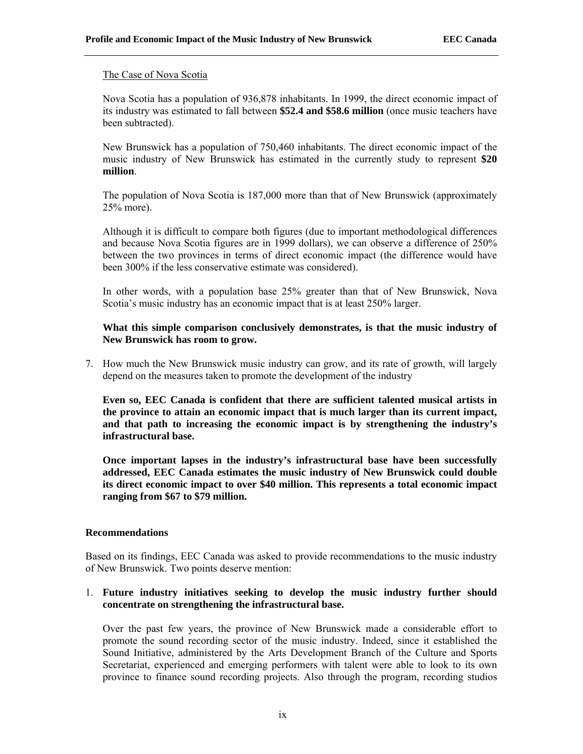#### The Case of Nova Scotia

Nova Scotia has a population of 936,878 inhabitants. In 1999, the direct economic impact of its industry was estimated to fall between **\$52.4 and \$58.6 million** (once music teachers have been subtracted).

New Brunswick has a population of 750,460 inhabitants. The direct economic impact of the music industry of New Brunswick has estimated in the currently study to represent **\$20 million**.

The population of Nova Scotia is 187,000 more than that of New Brunswick (approximately 25% more).

Although it is difficult to compare both figures (due to important methodological differences and because Nova Scotia figures are in 1999 dollars), we can observe a difference of 250% between the two provinces in terms of direct economic impact (the difference would have been 300% if the less conservative estimate was considered).

In other words, with a population base 25% greater than that of New Brunswick, Nova Scotia's music industry has an economic impact that is at least 250% larger.

## **What this simple comparison conclusively demonstrates, is that the music industry of New Brunswick has room to grow.**

7. How much the New Brunswick music industry can grow, and its rate of growth, will largely depend on the measures taken to promote the development of the industry

**Even so, EEC Canada is confident that there are sufficient talented musical artists in the province to attain an economic impact that is much larger than its current impact, and that path to increasing the economic impact is by strengthening the industry's infrastructural base.** 

**Once important lapses in the industry's infrastructural base have been successfully addressed, EEC Canada estimates the music industry of New Brunswick could double its direct economic impact to over \$40 million. This represents a total economic impact ranging from \$67 to \$79 million.** 

#### **Recommendations**

Based on its findings, EEC Canada was asked to provide recommendations to the music industry of New Brunswick. Two points deserve mention:

## 1. **Future industry initiatives seeking to develop the music industry further should concentrate on strengthening the infrastructural base.**

Over the past few years, the province of New Brunswick made a considerable effort to promote the sound recording sector of the music industry. Indeed, since it established the Sound Initiative, administered by the Arts Development Branch of the Culture and Sports Secretariat, experienced and emerging performers with talent were able to look to its own province to finance sound recording projects. Also through the program, recording studios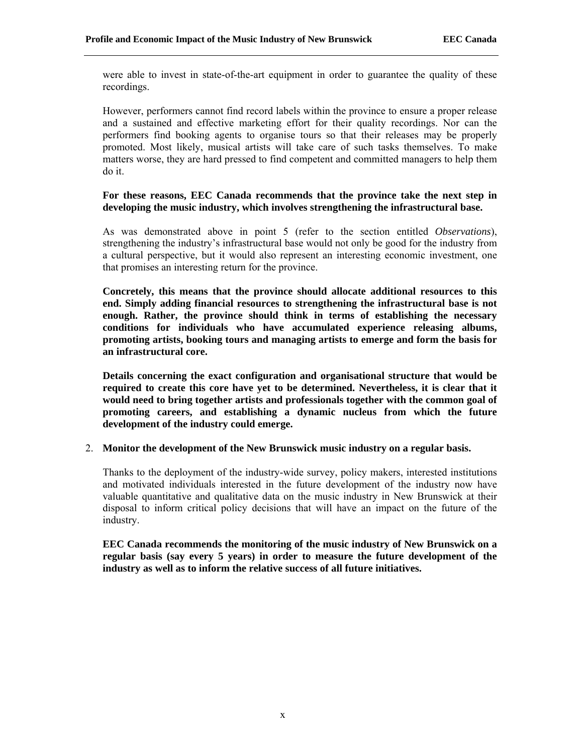were able to invest in state-of-the-art equipment in order to guarantee the quality of these recordings.

However, performers cannot find record labels within the province to ensure a proper release and a sustained and effective marketing effort for their quality recordings. Nor can the performers find booking agents to organise tours so that their releases may be properly promoted. Most likely, musical artists will take care of such tasks themselves. To make matters worse, they are hard pressed to find competent and committed managers to help them do it.

### **For these reasons, EEC Canada recommends that the province take the next step in developing the music industry, which involves strengthening the infrastructural base.**

As was demonstrated above in point 5 (refer to the section entitled *Observations*), strengthening the industry's infrastructural base would not only be good for the industry from a cultural perspective, but it would also represent an interesting economic investment, one that promises an interesting return for the province.

**Concretely, this means that the province should allocate additional resources to this end. Simply adding financial resources to strengthening the infrastructural base is not enough. Rather, the province should think in terms of establishing the necessary conditions for individuals who have accumulated experience releasing albums, promoting artists, booking tours and managing artists to emerge and form the basis for an infrastructural core.** 

**Details concerning the exact configuration and organisational structure that would be required to create this core have yet to be determined. Nevertheless, it is clear that it would need to bring together artists and professionals together with the common goal of promoting careers, and establishing a dynamic nucleus from which the future development of the industry could emerge.** 

#### 2. **Monitor the development of the New Brunswick music industry on a regular basis.**

Thanks to the deployment of the industry-wide survey, policy makers, interested institutions and motivated individuals interested in the future development of the industry now have valuable quantitative and qualitative data on the music industry in New Brunswick at their disposal to inform critical policy decisions that will have an impact on the future of the industry.

**EEC Canada recommends the monitoring of the music industry of New Brunswick on a regular basis (say every 5 years) in order to measure the future development of the industry as well as to inform the relative success of all future initiatives.**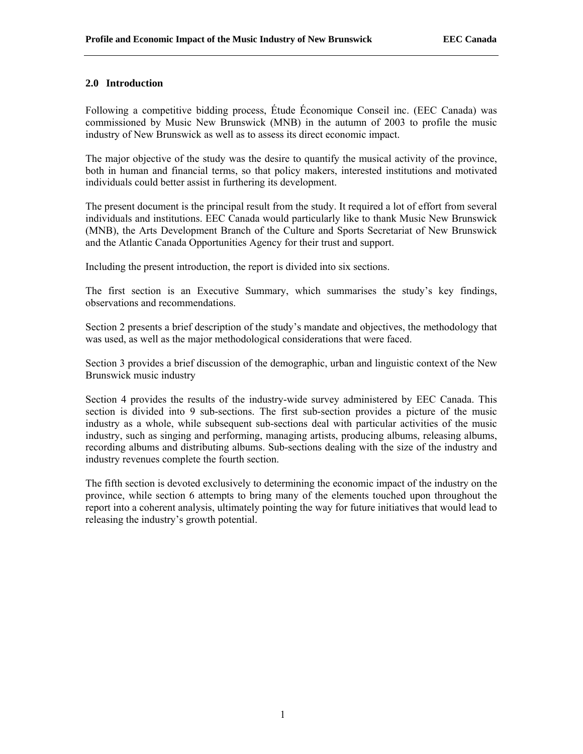## **2.0 Introduction**

Following a competitive bidding process, Étude Économique Conseil inc. (EEC Canada) was commissioned by Music New Brunswick (MNB) in the autumn of 2003 to profile the music industry of New Brunswick as well as to assess its direct economic impact.

The major objective of the study was the desire to quantify the musical activity of the province, both in human and financial terms, so that policy makers, interested institutions and motivated individuals could better assist in furthering its development.

The present document is the principal result from the study. It required a lot of effort from several individuals and institutions. EEC Canada would particularly like to thank Music New Brunswick (MNB), the Arts Development Branch of the Culture and Sports Secretariat of New Brunswick and the Atlantic Canada Opportunities Agency for their trust and support.

Including the present introduction, the report is divided into six sections.

The first section is an Executive Summary, which summarises the study's key findings, observations and recommendations.

Section 2 presents a brief description of the study's mandate and objectives, the methodology that was used, as well as the major methodological considerations that were faced.

Section 3 provides a brief discussion of the demographic, urban and linguistic context of the New Brunswick music industry

Section 4 provides the results of the industry-wide survey administered by EEC Canada. This section is divided into 9 sub-sections. The first sub-section provides a picture of the music industry as a whole, while subsequent sub-sections deal with particular activities of the music industry, such as singing and performing, managing artists, producing albums, releasing albums, recording albums and distributing albums. Sub-sections dealing with the size of the industry and industry revenues complete the fourth section.

The fifth section is devoted exclusively to determining the economic impact of the industry on the province, while section 6 attempts to bring many of the elements touched upon throughout the report into a coherent analysis, ultimately pointing the way for future initiatives that would lead to releasing the industry's growth potential.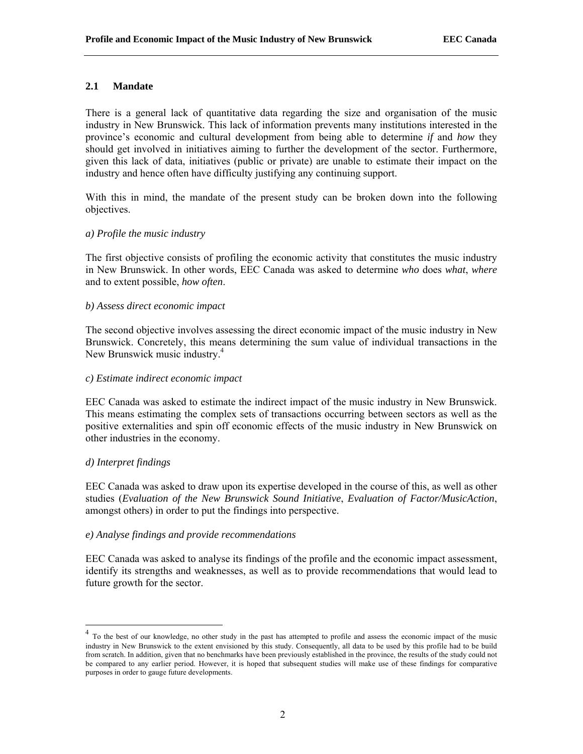## **2.1 Mandate**

There is a general lack of quantitative data regarding the size and organisation of the music industry in New Brunswick. This lack of information prevents many institutions interested in the province's economic and cultural development from being able to determine *if* and *how* they should get involved in initiatives aiming to further the development of the sector. Furthermore, given this lack of data, initiatives (public or private) are unable to estimate their impact on the industry and hence often have difficulty justifying any continuing support.

With this in mind, the mandate of the present study can be broken down into the following objectives.

#### *a) Profile the music industry*

The first objective consists of profiling the economic activity that constitutes the music industry in New Brunswick. In other words, EEC Canada was asked to determine *who* does *what*, *where* and to extent possible, *how often*.

#### *b) Assess direct economic impact*

The second objective involves assessing the direct economic impact of the music industry in New Brunswick. Concretely, this means determining the sum value of individual transactions in the New Brunswick music industry.<sup>4</sup>

#### *c) Estimate indirect economic impact*

EEC Canada was asked to estimate the indirect impact of the music industry in New Brunswick. This means estimating the complex sets of transactions occurring between sectors as well as the positive externalities and spin off economic effects of the music industry in New Brunswick on other industries in the economy.

#### *d) Interpret findings*

EEC Canada was asked to draw upon its expertise developed in the course of this, as well as other studies (*Evaluation of the New Brunswick Sound Initiative*, *Evaluation of Factor/MusicAction*, amongst others) in order to put the findings into perspective.

#### *e) Analyse findings and provide recommendations*

EEC Canada was asked to analyse its findings of the profile and the economic impact assessment, identify its strengths and weaknesses, as well as to provide recommendations that would lead to future growth for the sector.

<sup>&</sup>lt;sup>4</sup> To the best of our knowledge, no other study in the past has attempted to profile and assess the economic impact of the music industry in New Brunswick to the extent envisioned by this study. Consequently, all data to be used by this profile had to be build from scratch. In addition, given that no benchmarks have been previously established in the province, the results of the study could not be compared to any earlier period. However, it is hoped that subsequent studies will make use of these findings for comparative purposes in order to gauge future developments.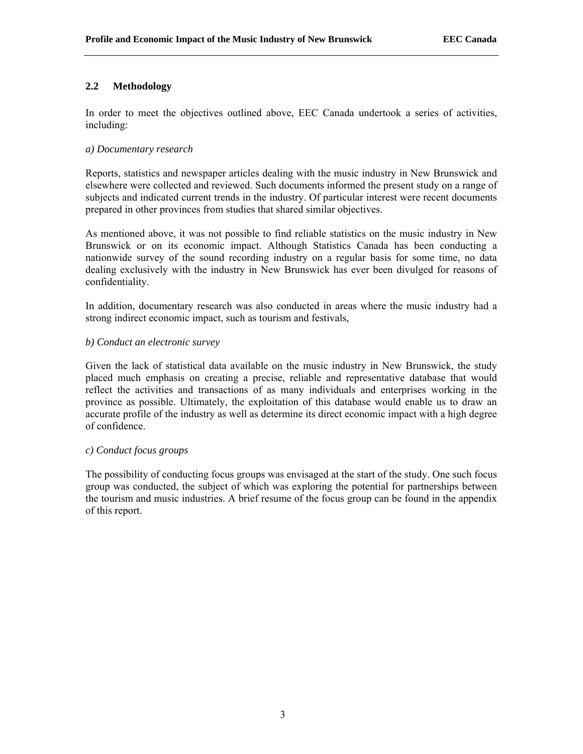# **2.2 Methodology**

In order to meet the objectives outlined above, EEC Canada undertook a series of activities, including:

### *a) Documentary research*

Reports, statistics and newspaper articles dealing with the music industry in New Brunswick and elsewhere were collected and reviewed. Such documents informed the present study on a range of subjects and indicated current trends in the industry. Of particular interest were recent documents prepared in other provinces from studies that shared similar objectives.

As mentioned above, it was not possible to find reliable statistics on the music industry in New Brunswick or on its economic impact. Although Statistics Canada has been conducting a nationwide survey of the sound recording industry on a regular basis for some time, no data dealing exclusively with the industry in New Brunswick has ever been divulged for reasons of confidentiality.

In addition, documentary research was also conducted in areas where the music industry had a strong indirect economic impact, such as tourism and festivals,

### *b) Conduct an electronic survey*

Given the lack of statistical data available on the music industry in New Brunswick, the study placed much emphasis on creating a precise, reliable and representative database that would reflect the activities and transactions of as many individuals and enterprises working in the province as possible. Ultimately, the exploitation of this database would enable us to draw an accurate profile of the industry as well as determine its direct economic impact with a high degree of confidence.

#### *c) Conduct focus groups*

The possibility of conducting focus groups was envisaged at the start of the study. One such focus group was conducted, the subject of which was exploring the potential for partnerships between the tourism and music industries. A brief resume of the focus group can be found in the appendix of this report.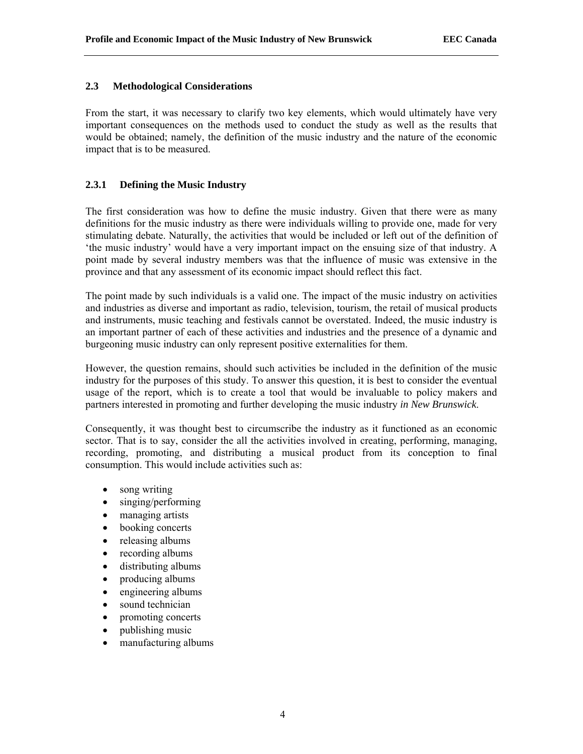## **2.3 Methodological Considerations**

From the start, it was necessary to clarify two key elements, which would ultimately have very important consequences on the methods used to conduct the study as well as the results that would be obtained; namely, the definition of the music industry and the nature of the economic impact that is to be measured.

## **2.3.1 Defining the Music Industry**

The first consideration was how to define the music industry. Given that there were as many definitions for the music industry as there were individuals willing to provide one, made for very stimulating debate. Naturally, the activities that would be included or left out of the definition of 'the music industry' would have a very important impact on the ensuing size of that industry. A point made by several industry members was that the influence of music was extensive in the province and that any assessment of its economic impact should reflect this fact.

The point made by such individuals is a valid one. The impact of the music industry on activities and industries as diverse and important as radio, television, tourism, the retail of musical products and instruments, music teaching and festivals cannot be overstated. Indeed, the music industry is an important partner of each of these activities and industries and the presence of a dynamic and burgeoning music industry can only represent positive externalities for them.

However, the question remains, should such activities be included in the definition of the music industry for the purposes of this study. To answer this question, it is best to consider the eventual usage of the report, which is to create a tool that would be invaluable to policy makers and partners interested in promoting and further developing the music industry *in New Brunswick*.

Consequently, it was thought best to circumscribe the industry as it functioned as an economic sector. That is to say, consider the all the activities involved in creating, performing, managing, recording, promoting, and distributing a musical product from its conception to final consumption. This would include activities such as:

- song writing
- singing/performing
- managing artists
- booking concerts
- releasing albums
- recording albums
- distributing albums
- producing albums
- engineering albums
- sound technician
- promoting concerts
- publishing music
- manufacturing albums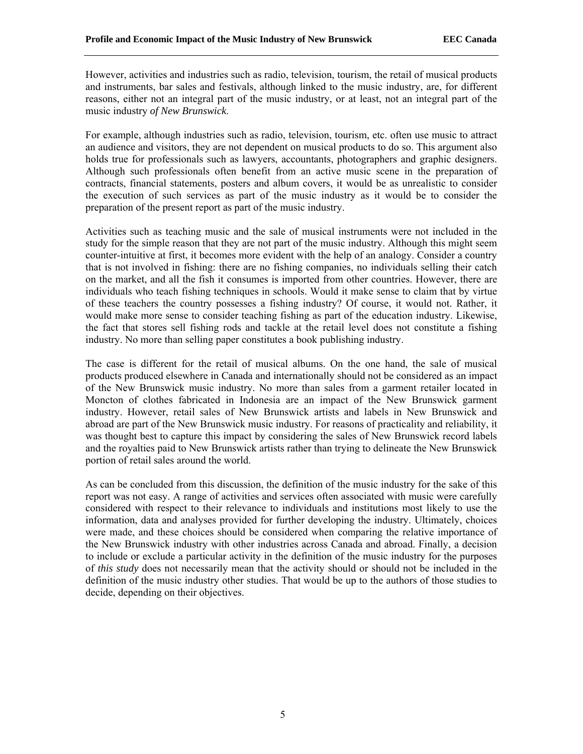However, activities and industries such as radio, television, tourism, the retail of musical products and instruments, bar sales and festivals, although linked to the music industry, are, for different reasons, either not an integral part of the music industry, or at least, not an integral part of the music industry *of New Brunswick*.

For example, although industries such as radio, television, tourism, etc. often use music to attract an audience and visitors, they are not dependent on musical products to do so. This argument also holds true for professionals such as lawyers, accountants, photographers and graphic designers. Although such professionals often benefit from an active music scene in the preparation of contracts, financial statements, posters and album covers, it would be as unrealistic to consider the execution of such services as part of the music industry as it would be to consider the preparation of the present report as part of the music industry.

Activities such as teaching music and the sale of musical instruments were not included in the study for the simple reason that they are not part of the music industry. Although this might seem counter-intuitive at first, it becomes more evident with the help of an analogy. Consider a country that is not involved in fishing: there are no fishing companies, no individuals selling their catch on the market, and all the fish it consumes is imported from other countries. However, there are individuals who teach fishing techniques in schools. Would it make sense to claim that by virtue of these teachers the country possesses a fishing industry? Of course, it would not. Rather, it would make more sense to consider teaching fishing as part of the education industry. Likewise, the fact that stores sell fishing rods and tackle at the retail level does not constitute a fishing industry. No more than selling paper constitutes a book publishing industry.

The case is different for the retail of musical albums. On the one hand, the sale of musical products produced elsewhere in Canada and internationally should not be considered as an impact of the New Brunswick music industry. No more than sales from a garment retailer located in Moncton of clothes fabricated in Indonesia are an impact of the New Brunswick garment industry. However, retail sales of New Brunswick artists and labels in New Brunswick and abroad are part of the New Brunswick music industry. For reasons of practicality and reliability, it was thought best to capture this impact by considering the sales of New Brunswick record labels and the royalties paid to New Brunswick artists rather than trying to delineate the New Brunswick portion of retail sales around the world.

As can be concluded from this discussion, the definition of the music industry for the sake of this report was not easy. A range of activities and services often associated with music were carefully considered with respect to their relevance to individuals and institutions most likely to use the information, data and analyses provided for further developing the industry. Ultimately, choices were made, and these choices should be considered when comparing the relative importance of the New Brunswick industry with other industries across Canada and abroad. Finally, a decision to include or exclude a particular activity in the definition of the music industry for the purposes of *this study* does not necessarily mean that the activity should or should not be included in the definition of the music industry other studies. That would be up to the authors of those studies to decide, depending on their objectives.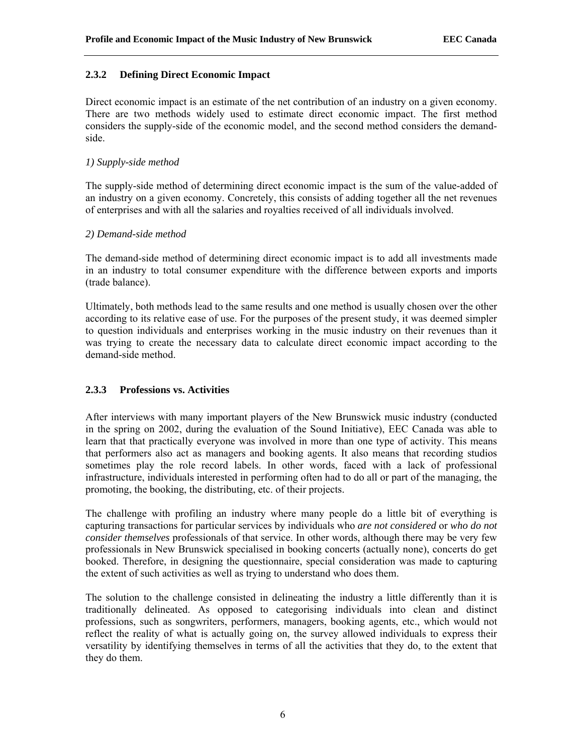### **2.3.2 Defining Direct Economic Impact**

Direct economic impact is an estimate of the net contribution of an industry on a given economy. There are two methods widely used to estimate direct economic impact. The first method considers the supply-side of the economic model, and the second method considers the demandside.

### *1) Supply-side method*

The supply-side method of determining direct economic impact is the sum of the value-added of an industry on a given economy. Concretely, this consists of adding together all the net revenues of enterprises and with all the salaries and royalties received of all individuals involved.

### *2) Demand-side method*

The demand-side method of determining direct economic impact is to add all investments made in an industry to total consumer expenditure with the difference between exports and imports (trade balance).

Ultimately, both methods lead to the same results and one method is usually chosen over the other according to its relative ease of use. For the purposes of the present study, it was deemed simpler to question individuals and enterprises working in the music industry on their revenues than it was trying to create the necessary data to calculate direct economic impact according to the demand-side method.

## **2.3.3 Professions vs. Activities**

After interviews with many important players of the New Brunswick music industry (conducted in the spring on 2002, during the evaluation of the Sound Initiative), EEC Canada was able to learn that that practically everyone was involved in more than one type of activity. This means that performers also act as managers and booking agents. It also means that recording studios sometimes play the role record labels. In other words, faced with a lack of professional infrastructure, individuals interested in performing often had to do all or part of the managing, the promoting, the booking, the distributing, etc. of their projects.

The challenge with profiling an industry where many people do a little bit of everything is capturing transactions for particular services by individuals who *are not considered* or *who do not consider themselves* professionals of that service. In other words, although there may be very few professionals in New Brunswick specialised in booking concerts (actually none), concerts do get booked. Therefore, in designing the questionnaire, special consideration was made to capturing the extent of such activities as well as trying to understand who does them.

The solution to the challenge consisted in delineating the industry a little differently than it is traditionally delineated. As opposed to categorising individuals into clean and distinct professions, such as songwriters, performers, managers, booking agents, etc., which would not reflect the reality of what is actually going on, the survey allowed individuals to express their versatility by identifying themselves in terms of all the activities that they do, to the extent that they do them.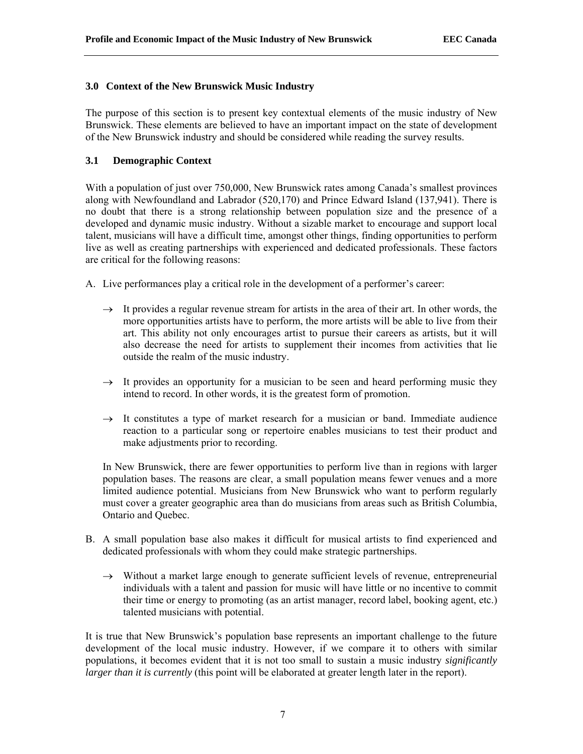## **3.0 Context of the New Brunswick Music Industry**

The purpose of this section is to present key contextual elements of the music industry of New Brunswick. These elements are believed to have an important impact on the state of development of the New Brunswick industry and should be considered while reading the survey results.

## **3.1 Demographic Context**

With a population of just over 750,000, New Brunswick rates among Canada's smallest provinces along with Newfoundland and Labrador (520,170) and Prince Edward Island (137,941). There is no doubt that there is a strong relationship between population size and the presence of a developed and dynamic music industry. Without a sizable market to encourage and support local talent, musicians will have a difficult time, amongst other things, finding opportunities to perform live as well as creating partnerships with experienced and dedicated professionals. These factors are critical for the following reasons:

A. Live performances play a critical role in the development of a performer's career:

- $\rightarrow$  It provides a regular revenue stream for artists in the area of their art. In other words, the more opportunities artists have to perform, the more artists will be able to live from their art. This ability not only encourages artist to pursue their careers as artists, but it will also decrease the need for artists to supplement their incomes from activities that lie outside the realm of the music industry.
- $\rightarrow$  It provides an opportunity for a musician to be seen and heard performing music they intend to record. In other words, it is the greatest form of promotion.
- $\rightarrow$  It constitutes a type of market research for a musician or band. Immediate audience reaction to a particular song or repertoire enables musicians to test their product and make adjustments prior to recording.

In New Brunswick, there are fewer opportunities to perform live than in regions with larger population bases. The reasons are clear, a small population means fewer venues and a more limited audience potential. Musicians from New Brunswick who want to perform regularly must cover a greater geographic area than do musicians from areas such as British Columbia, Ontario and Quebec.

- B. A small population base also makes it difficult for musical artists to find experienced and dedicated professionals with whom they could make strategic partnerships.
	- $\rightarrow$  Without a market large enough to generate sufficient levels of revenue, entrepreneurial individuals with a talent and passion for music will have little or no incentive to commit their time or energy to promoting (as an artist manager, record label, booking agent, etc.) talented musicians with potential.

It is true that New Brunswick's population base represents an important challenge to the future development of the local music industry. However, if we compare it to others with similar populations, it becomes evident that it is not too small to sustain a music industry *significantly larger than it is currently* (this point will be elaborated at greater length later in the report).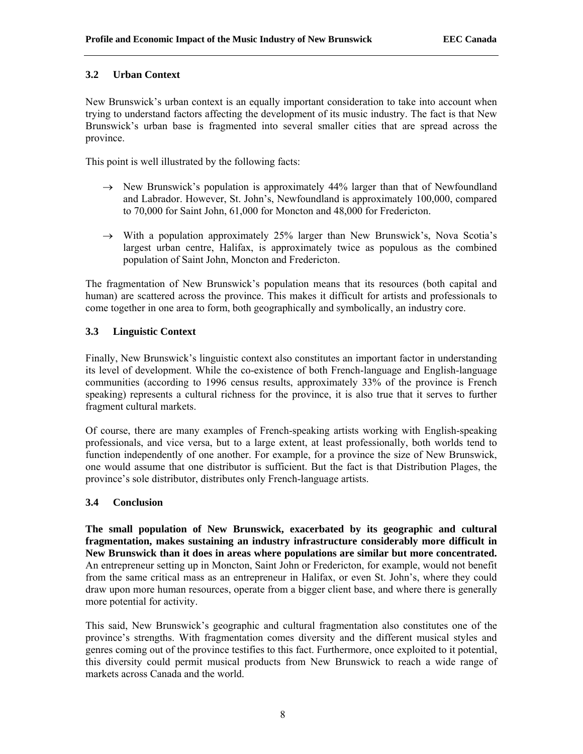### **3.2 Urban Context**

New Brunswick's urban context is an equally important consideration to take into account when trying to understand factors affecting the development of its music industry. The fact is that New Brunswick's urban base is fragmented into several smaller cities that are spread across the province.

This point is well illustrated by the following facts:

- $\rightarrow$  New Brunswick's population is approximately 44% larger than that of Newfoundland and Labrador. However, St. John's, Newfoundland is approximately 100,000, compared to 70,000 for Saint John, 61,000 for Moncton and 48,000 for Fredericton.
- $\rightarrow$  With a population approximately 25% larger than New Brunswick's, Nova Scotia's largest urban centre, Halifax, is approximately twice as populous as the combined population of Saint John, Moncton and Fredericton.

The fragmentation of New Brunswick's population means that its resources (both capital and human) are scattered across the province. This makes it difficult for artists and professionals to come together in one area to form, both geographically and symbolically, an industry core.

## **3.3 Linguistic Context**

Finally, New Brunswick's linguistic context also constitutes an important factor in understanding its level of development. While the co-existence of both French-language and English-language communities (according to 1996 census results, approximately 33% of the province is French speaking) represents a cultural richness for the province, it is also true that it serves to further fragment cultural markets.

Of course, there are many examples of French-speaking artists working with English-speaking professionals, and vice versa, but to a large extent, at least professionally, both worlds tend to function independently of one another. For example, for a province the size of New Brunswick, one would assume that one distributor is sufficient. But the fact is that Distribution Plages, the province's sole distributor, distributes only French-language artists.

## **3.4 Conclusion**

**The small population of New Brunswick, exacerbated by its geographic and cultural fragmentation, makes sustaining an industry infrastructure considerably more difficult in New Brunswick than it does in areas where populations are similar but more concentrated.**  An entrepreneur setting up in Moncton, Saint John or Fredericton, for example, would not benefit from the same critical mass as an entrepreneur in Halifax, or even St. John's, where they could draw upon more human resources, operate from a bigger client base, and where there is generally more potential for activity.

This said, New Brunswick's geographic and cultural fragmentation also constitutes one of the province's strengths. With fragmentation comes diversity and the different musical styles and genres coming out of the province testifies to this fact. Furthermore, once exploited to it potential, this diversity could permit musical products from New Brunswick to reach a wide range of markets across Canada and the world.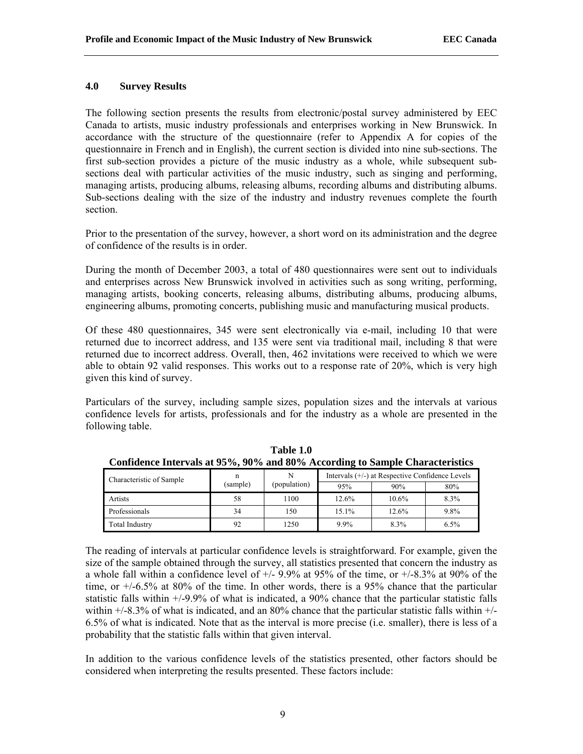### **4.0 Survey Results**

The following section presents the results from electronic/postal survey administered by EEC Canada to artists, music industry professionals and enterprises working in New Brunswick. In accordance with the structure of the questionnaire (refer to Appendix A for copies of the questionnaire in French and in English), the current section is divided into nine sub-sections. The first sub-section provides a picture of the music industry as a whole, while subsequent subsections deal with particular activities of the music industry, such as singing and performing, managing artists, producing albums, releasing albums, recording albums and distributing albums. Sub-sections dealing with the size of the industry and industry revenues complete the fourth section.

Prior to the presentation of the survey, however, a short word on its administration and the degree of confidence of the results is in order.

During the month of December 2003, a total of 480 questionnaires were sent out to individuals and enterprises across New Brunswick involved in activities such as song writing, performing, managing artists, booking concerts, releasing albums, distributing albums, producing albums, engineering albums, promoting concerts, publishing music and manufacturing musical products.

Of these 480 questionnaires, 345 were sent electronically via e-mail, including 10 that were returned due to incorrect address, and 135 were sent via traditional mail, including 8 that were returned due to incorrect address. Overall, then, 462 invitations were received to which we were able to obtain 92 valid responses. This works out to a response rate of 20%, which is very high given this kind of survey.

Particulars of the survey, including sample sizes, population sizes and the intervals at various confidence levels for artists, professionals and for the industry as a whole are presented in the following table.

| Connuctive thick vals at 20 70, 20 70 and 00 70 According to Sample Characteristics |          |              |         |                                                 |      |
|-------------------------------------------------------------------------------------|----------|--------------|---------|-------------------------------------------------|------|
| Characteristic of Sample                                                            |          |              |         | Intervals (+/-) at Respective Confidence Levels |      |
|                                                                                     | (sample) | (population) | 95%     | 90%                                             | 80%  |
| Artists                                                                             | 58       | 100          | 12.6%   | 10.6%                                           | 8.3% |
| Professionals                                                                       | 34       | 150          | 15.1%   | 12.6%                                           | 9.8% |
| <b>Total Industry</b>                                                               | 92       | 1250         | $9.9\%$ | 8.3%                                            | 6.5% |

**Table 1.0 Confidence Intervals at 95%, 90% and 80% According to Sample Characteristics** 

The reading of intervals at particular confidence levels is straightforward. For example, given the size of the sample obtained through the survey, all statistics presented that concern the industry as a whole fall within a confidence level of  $+/$ - 9.9% at 95% of the time, or  $+/$ -8.3% at 90% of the time, or +/-6.5% at 80% of the time. In other words, there is a 95% chance that the particular statistic falls within +/-9.9% of what is indicated, a 90% chance that the particular statistic falls within  $+/-8.3\%$  of what is indicated, and an 80% chance that the particular statistic falls within  $+/-$ 6.5% of what is indicated. Note that as the interval is more precise (i.e. smaller), there is less of a probability that the statistic falls within that given interval.

In addition to the various confidence levels of the statistics presented, other factors should be considered when interpreting the results presented. These factors include: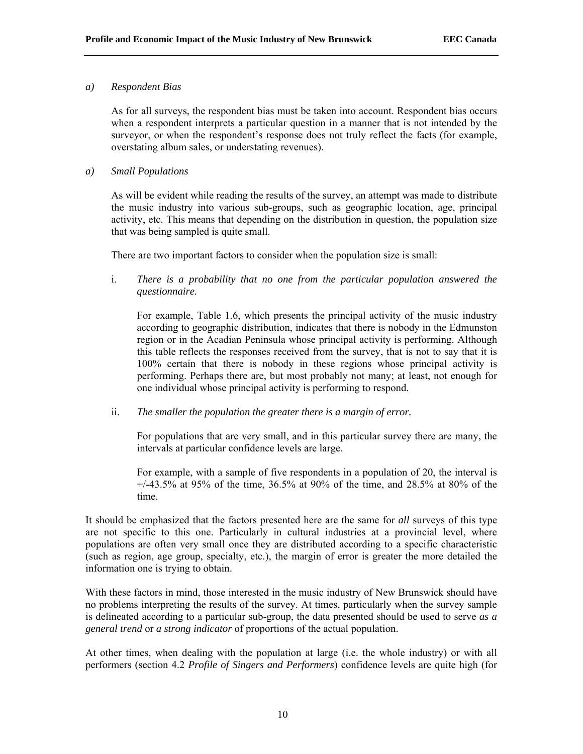### *a) Respondent Bias*

As for all surveys, the respondent bias must be taken into account. Respondent bias occurs when a respondent interprets a particular question in a manner that is not intended by the surveyor, or when the respondent's response does not truly reflect the facts (for example, overstating album sales, or understating revenues).

### *a) Small Populations*

As will be evident while reading the results of the survey, an attempt was made to distribute the music industry into various sub-groups, such as geographic location, age, principal activity, etc. This means that depending on the distribution in question, the population size that was being sampled is quite small.

There are two important factors to consider when the population size is small:

i. *There is a probability that no one from the particular population answered the questionnaire.* 

For example, Table 1.6, which presents the principal activity of the music industry according to geographic distribution, indicates that there is nobody in the Edmunston region or in the Acadian Peninsula whose principal activity is performing. Although this table reflects the responses received from the survey, that is not to say that it is 100% certain that there is nobody in these regions whose principal activity is performing. Perhaps there are, but most probably not many; at least, not enough for one individual whose principal activity is performing to respond.

ii. *The smaller the population the greater there is a margin of error.* 

For populations that are very small, and in this particular survey there are many, the intervals at particular confidence levels are large.

For example, with a sample of five respondents in a population of 20, the interval is +/-43.5% at 95% of the time, 36.5% at 90% of the time, and 28.5% at 80% of the time.

It should be emphasized that the factors presented here are the same for *all* surveys of this type are not specific to this one. Particularly in cultural industries at a provincial level, where populations are often very small once they are distributed according to a specific characteristic (such as region, age group, specialty, etc.), the margin of error is greater the more detailed the information one is trying to obtain.

With these factors in mind, those interested in the music industry of New Brunswick should have no problems interpreting the results of the survey. At times, particularly when the survey sample is delineated according to a particular sub-group, the data presented should be used to serve *as a general trend* or *a strong indicator* of proportions of the actual population.

At other times, when dealing with the population at large (i.e. the whole industry) or with all performers (section 4.2 *Profile of Singers and Performers*) confidence levels are quite high (for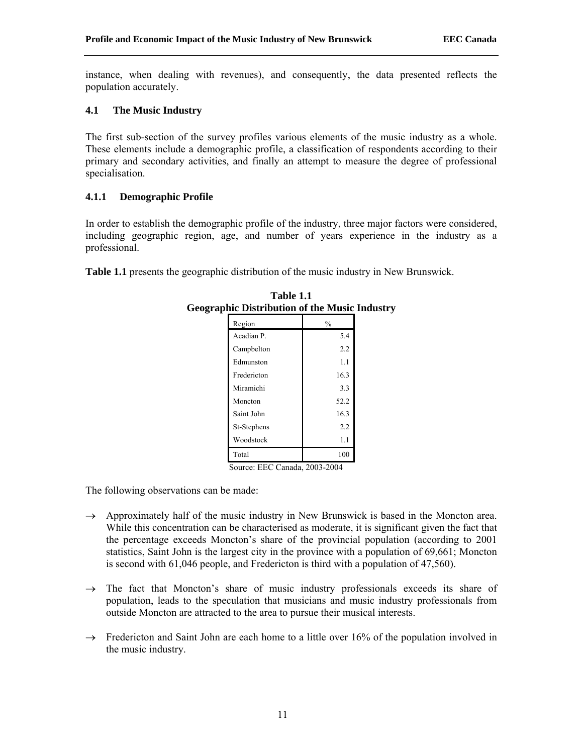instance, when dealing with revenues), and consequently, the data presented reflects the population accurately.

## **4.1 The Music Industry**

The first sub-section of the survey profiles various elements of the music industry as a whole. These elements include a demographic profile, a classification of respondents according to their primary and secondary activities, and finally an attempt to measure the degree of professional specialisation.

# **4.1.1 Demographic Profile**

In order to establish the demographic profile of the industry, three major factors were considered, including geographic region, age, and number of years experience in the industry as a professional.

**Table 1.1** presents the geographic distribution of the music industry in New Brunswick.

| лис ілындаанын опше таакіс т |               |  |  |  |
|------------------------------|---------------|--|--|--|
| Region                       | $\frac{0}{0}$ |  |  |  |
| Acadian P.                   | 5.4           |  |  |  |
| Campbelton                   | 2.2           |  |  |  |
| Edmunston                    | 1.1           |  |  |  |
| Fredericton                  | 16.3          |  |  |  |
| Miramichi                    | 3.3           |  |  |  |
| Moncton                      | 52.2          |  |  |  |
| Saint John                   | 16.3          |  |  |  |
| St-Stephens                  | 2.2           |  |  |  |
| Woodstock                    | 1.1           |  |  |  |
| Total                        | 100           |  |  |  |
|                              |               |  |  |  |

| Table 1.1                                            |  |
|------------------------------------------------------|--|
| <b>Geographic Distribution of the Music Industry</b> |  |
|                                                      |  |

Source: EEC Canada, 2003-2004

The following observations can be made:

- $\rightarrow$  Approximately half of the music industry in New Brunswick is based in the Moncton area. While this concentration can be characterised as moderate, it is significant given the fact that the percentage exceeds Moncton's share of the provincial population (according to 2001 statistics, Saint John is the largest city in the province with a population of 69,661; Moncton is second with 61,046 people, and Fredericton is third with a population of 47,560).
- $\rightarrow$  The fact that Moncton's share of music industry professionals exceeds its share of population, leads to the speculation that musicians and music industry professionals from outside Moncton are attracted to the area to pursue their musical interests.
- $\rightarrow$  Fredericton and Saint John are each home to a little over 16% of the population involved in the music industry.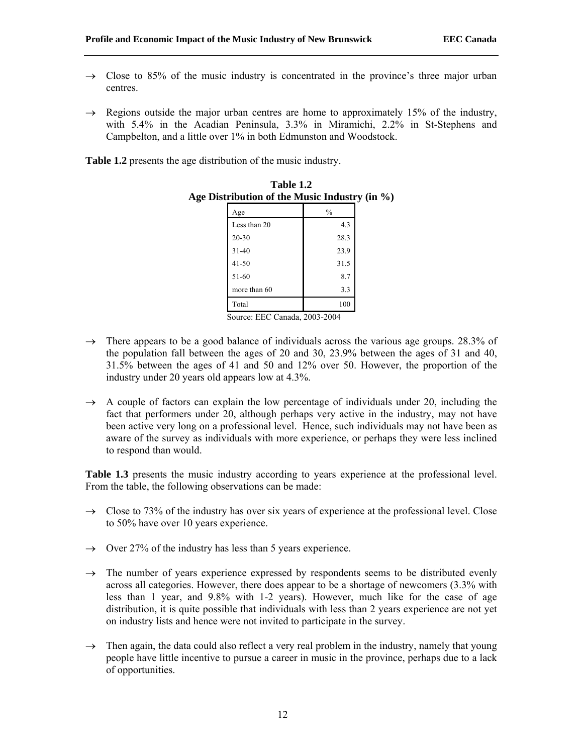- $\rightarrow$  Close to 85% of the music industry is concentrated in the province's three major urban centres.
- $\rightarrow$  Regions outside the major urban centres are home to approximately 15% of the industry, with 5.4% in the Acadian Peninsula, 3.3% in Miramichi, 2.2% in St-Stephens and Campbelton, and a little over 1% in both Edmunston and Woodstock.

**Table 1.2** presents the age distribution of the music industry.

| Age          | $\frac{0}{0}$ |
|--------------|---------------|
| Less than 20 | 4.3           |
| 20-30        | 28.3          |
| $31 - 40$    | 23.9          |
| $41 - 50$    | 31.5          |
| 51-60        | 8.7           |
| more than 60 | 3.3           |
| Total        | 100           |

**Table 1.2 Age Distribution of the Music Industry (in %)** 

- Source: EEC Canada, 2003-2004
- $\rightarrow$  There appears to be a good balance of individuals across the various age groups. 28.3% of the population fall between the ages of 20 and 30, 23.9% between the ages of 31 and 40, 31.5% between the ages of 41 and 50 and 12% over 50. However, the proportion of the industry under 20 years old appears low at 4.3%.
- $\rightarrow$  A couple of factors can explain the low percentage of individuals under 20, including the fact that performers under 20, although perhaps very active in the industry, may not have been active very long on a professional level. Hence, such individuals may not have been as aware of the survey as individuals with more experience, or perhaps they were less inclined to respond than would.

**Table 1.3** presents the music industry according to years experience at the professional level. From the table, the following observations can be made:

- $\rightarrow$  Close to 73% of the industry has over six years of experience at the professional level. Close to 50% have over 10 years experience.
- $\rightarrow$  Over 27% of the industry has less than 5 years experience.
- $\rightarrow$  The number of years experience expressed by respondents seems to be distributed evenly across all categories. However, there does appear to be a shortage of newcomers (3.3% with less than 1 year, and 9.8% with 1-2 years). However, much like for the case of age distribution, it is quite possible that individuals with less than 2 years experience are not yet on industry lists and hence were not invited to participate in the survey.
- $\rightarrow$  Then again, the data could also reflect a very real problem in the industry, namely that young people have little incentive to pursue a career in music in the province, perhaps due to a lack of opportunities.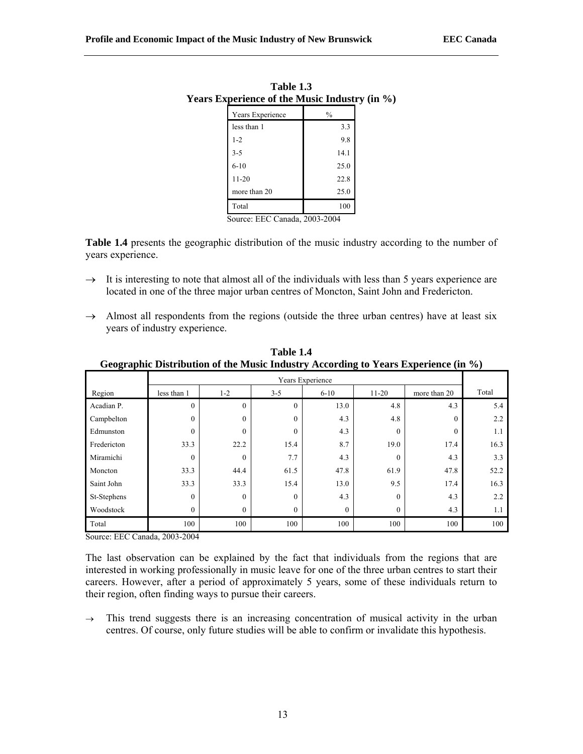| 1 adie 1.5<br>Years Experience of the Music Industry (in %) |                  |               |  |  |  |  |  |
|-------------------------------------------------------------|------------------|---------------|--|--|--|--|--|
|                                                             | Years Experience | $\frac{0}{0}$ |  |  |  |  |  |
|                                                             | less than 1      | 3.3           |  |  |  |  |  |
|                                                             | $1 - 2$          | 9.8           |  |  |  |  |  |
|                                                             | $3 - 5$          | 14.1          |  |  |  |  |  |
|                                                             | $6 - 10$         | 25.0          |  |  |  |  |  |
|                                                             | $11 - 20$        | 22.8          |  |  |  |  |  |
|                                                             | more than 20     | 25.0          |  |  |  |  |  |
|                                                             | Total            | 100           |  |  |  |  |  |
|                                                             |                  |               |  |  |  |  |  |

**Table 1.3** 

Source: EEC Canada, 2003-2004

**Table 1.4** presents the geographic distribution of the music industry according to the number of years experience.

- $\rightarrow$  It is interesting to note that almost all of the individuals with less than 5 years experience are located in one of the three major urban centres of Moncton, Saint John and Fredericton.
- $\rightarrow$  Almost all respondents from the regions (outside the three urban centres) have at least six years of industry experience.

|             | Years Experience |                  |          |              |          |                  |       |  |  |  |
|-------------|------------------|------------------|----------|--------------|----------|------------------|-------|--|--|--|
| Region      | less than 1      | $1 - 2$          | $3 - 5$  | $6 - 10$     | $11-20$  | more than 20     | Total |  |  |  |
| Acadian P.  | $\theta$         | $\boldsymbol{0}$ | $\theta$ | 13.0         | 4.8      | 4.3              | 5.4   |  |  |  |
| Campbelton  | $\Omega$         | $\mathbf{0}$     | $\theta$ | 4.3          | 4.8      | $\boldsymbol{0}$ | 2.2   |  |  |  |
| Edmunston   | $\Omega$         | $\mathbf{0}$     | $\Omega$ | 4.3          | $\Omega$ | $\mathbf{0}$     | 1.1   |  |  |  |
| Fredericton | 33.3             | 22.2             | 15.4     | 8.7          | 19.0     | 17.4             | 16.3  |  |  |  |
| Miramichi   | $\theta$         | $\mathbf{0}$     | 7.7      | 4.3          | $\Omega$ | 4.3              | 3.3   |  |  |  |
| Moncton     | 33.3             | 44.4             | 61.5     | 47.8         | 61.9     | 47.8             | 52.2  |  |  |  |
| Saint John  | 33.3             | 33.3             | 15.4     | 13.0         | 9.5      | 17.4             | 16.3  |  |  |  |
| St-Stephens | $\theta$         | $\mathbf{0}$     | $\Omega$ | 4.3          | $\theta$ | 4.3              | 2.2   |  |  |  |
| Woodstock   | $\theta$         | $\mathbf{0}$     | $\theta$ | $\mathbf{0}$ | $\theta$ | 4.3              | 1.1   |  |  |  |
| Total       | 100              | 100              | 100      | 100          | 100      | 100              | 100   |  |  |  |

**Table 1.4 Geographic Distribution of the Music Industry According to Years Experience (in %)**

Source: EEC Canada, 2003-2004

The last observation can be explained by the fact that individuals from the regions that are interested in working professionally in music leave for one of the three urban centres to start their careers. However, after a period of approximately 5 years, some of these individuals return to their region, often finding ways to pursue their careers.

 $\rightarrow$  This trend suggests there is an increasing concentration of musical activity in the urban centres. Of course, only future studies will be able to confirm or invalidate this hypothesis.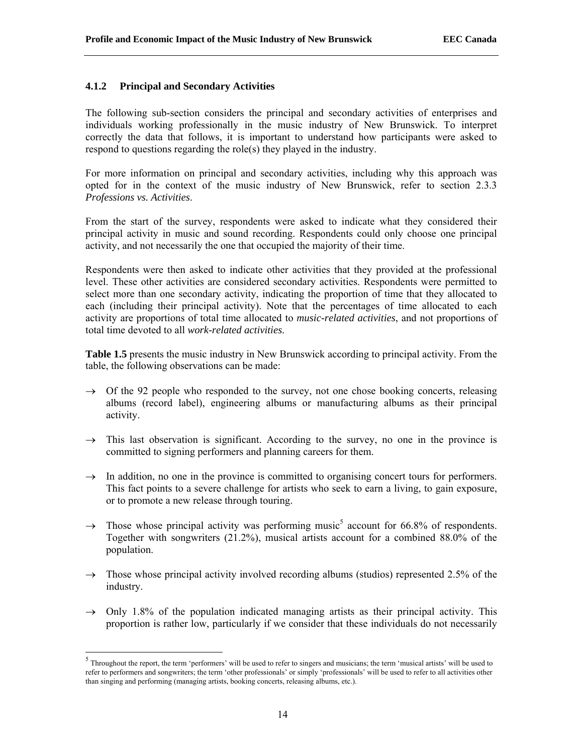## **4.1.2 Principal and Secondary Activities**

The following sub-section considers the principal and secondary activities of enterprises and individuals working professionally in the music industry of New Brunswick. To interpret correctly the data that follows, it is important to understand how participants were asked to respond to questions regarding the role(s) they played in the industry.

For more information on principal and secondary activities, including why this approach was opted for in the context of the music industry of New Brunswick, refer to section 2.3.3 *Professions vs. Activities*.

From the start of the survey, respondents were asked to indicate what they considered their principal activity in music and sound recording. Respondents could only choose one principal activity, and not necessarily the one that occupied the majority of their time.

Respondents were then asked to indicate other activities that they provided at the professional level. These other activities are considered secondary activities. Respondents were permitted to select more than one secondary activity, indicating the proportion of time that they allocated to each (including their principal activity). Note that the percentages of time allocated to each activity are proportions of total time allocated to *music-related activities*, and not proportions of total time devoted to all *work-related activities*.

**Table 1.5** presents the music industry in New Brunswick according to principal activity. From the table, the following observations can be made:

- $\rightarrow$  Of the 92 people who responded to the survey, not one chose booking concerts, releasing albums (record label), engineering albums or manufacturing albums as their principal activity.
- $\rightarrow$  This last observation is significant. According to the survey, no one in the province is committed to signing performers and planning careers for them.
- $\rightarrow$  In addition, no one in the province is committed to organising concert tours for performers. This fact points to a severe challenge for artists who seek to earn a living, to gain exposure, or to promote a new release through touring.
- $\rightarrow$  Those whose principal activity was performing music<sup>5</sup> account for 66.8% of respondents. Together with songwriters (21.2%), musical artists account for a combined 88.0% of the population.
- $\rightarrow$  Those whose principal activity involved recording albums (studios) represented 2.5% of the industry.
- $\rightarrow$  Only 1.8% of the population indicated managing artists as their principal activity. This proportion is rather low, particularly if we consider that these individuals do not necessarily

 $<sup>5</sup>$  Throughout the report, the term 'performers' will be used to refer to singers and musicians; the term 'musical artists' will be used to</sup> refer to performers and songwriters; the term 'other professionals' or simply 'professionals' will be used to refer to all activities other than singing and performing (managing artists, booking concerts, releasing albums, etc.).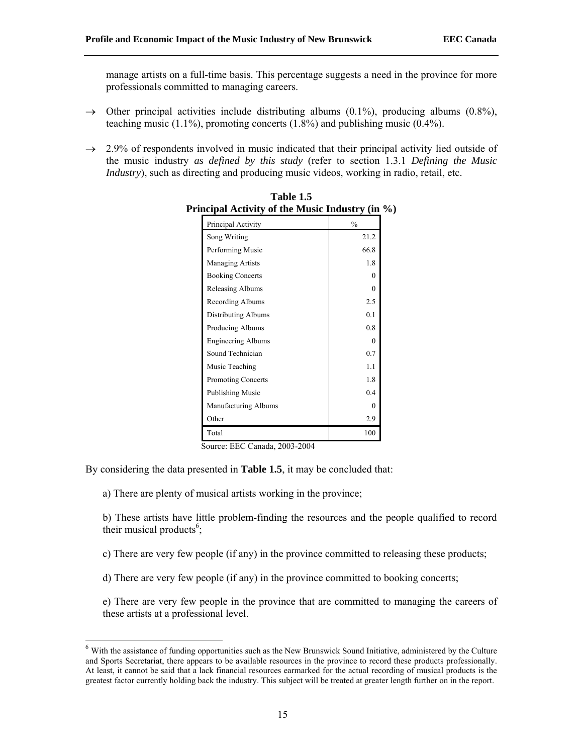manage artists on a full-time basis. This percentage suggests a need in the province for more professionals committed to managing careers.

- $\rightarrow$  Other principal activities include distributing albums (0.1%), producing albums (0.8%), teaching music (1.1%), promoting concerts (1.8%) and publishing music (0.4%).
- $\rightarrow$  2.9% of respondents involved in music indicated that their principal activity lied outside of the music industry *as defined by this study* (refer to section 1.3.1 *Defining the Music Industry*), such as directing and producing music videos, working in radio, retail, etc.

| meipal Acuvity of the music muusti y (m |               |
|-----------------------------------------|---------------|
| Principal Activity                      | $\frac{0}{0}$ |
| Song Writing                            | 21.2          |
| Performing Music                        | 66.8          |
| Managing Artists                        | 1.8           |
| <b>Booking Concerts</b>                 | $\Omega$      |
| Releasing Albums                        | $\Omega$      |
| Recording Albums                        | 2.5           |
| Distributing Albums                     | 0.1           |
| Producing Albums                        | 0.8           |
| <b>Engineering Albums</b>               | $\Omega$      |
| Sound Technician                        | 0.7           |
| Music Teaching                          | 1.1           |
| <b>Promoting Concerts</b>               | 1.8           |
| Publishing Music                        | 0.4           |
| Manufacturing Albums                    | $\Omega$      |
| Other                                   | 2.9           |
| Total                                   | 100           |

**Table 1.5 Principal Activity of the Music Industry (in %)**

Source: EEC Canada, 2003-2004

By considering the data presented in **Table 1.5**, it may be concluded that:

a) There are plenty of musical artists working in the province;

b) These artists have little problem-finding the resources and the people qualified to record their musical products $6$ ;

c) There are very few people (if any) in the province committed to releasing these products;

d) There are very few people (if any) in the province committed to booking concerts;

e) There are very few people in the province that are committed to managing the careers of these artists at a professional level.

<sup>6</sup> With the assistance of funding opportunities such as the New Brunswick Sound Initiative, administered by the Culture and Sports Secretariat, there appears to be available resources in the province to record these products professionally. At least, it cannot be said that a lack financial resources earmarked for the actual recording of musical products is the greatest factor currently holding back the industry. This subject will be treated at greater length further on in the report.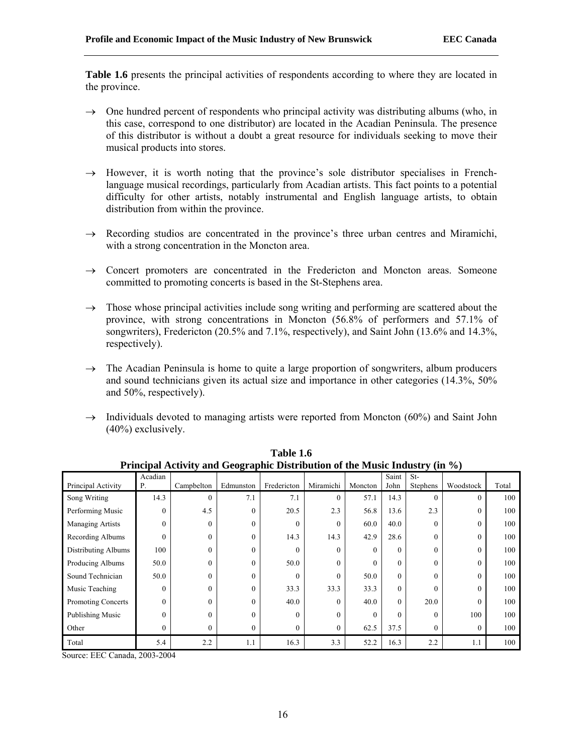**Table 1.6** presents the principal activities of respondents according to where they are located in the province.

- $\rightarrow$  One hundred percent of respondents who principal activity was distributing albums (who, in this case, correspond to one distributor) are located in the Acadian Peninsula. The presence of this distributor is without a doubt a great resource for individuals seeking to move their musical products into stores.
- $\rightarrow$  However, it is worth noting that the province's sole distributor specialises in Frenchlanguage musical recordings, particularly from Acadian artists. This fact points to a potential difficulty for other artists, notably instrumental and English language artists, to obtain distribution from within the province.
- $\rightarrow$  Recording studios are concentrated in the province's three urban centres and Miramichi, with a strong concentration in the Moncton area.
- $\rightarrow$  Concert promoters are concentrated in the Fredericton and Moncton areas. Someone committed to promoting concerts is based in the St-Stephens area.
- $\rightarrow$  Those whose principal activities include song writing and performing are scattered about the province, with strong concentrations in Moncton (56.8% of performers and 57.1% of songwriters), Fredericton (20.5% and 7.1%, respectively), and Saint John (13.6% and 14.3%, respectively).
- $\rightarrow$  The Acadian Peninsula is home to quite a large proportion of songwriters, album producers and sound technicians given its actual size and importance in other categories (14.3%, 50% and 50%, respectively).
- $\rightarrow$  Individuals devoted to managing artists were reported from Moncton (60%) and Saint John (40%) exclusively.

| Principal Activity and Geographic Distribution of the Music Industry (in %) |              |              |           |             |           |          |          |          |           |       |
|-----------------------------------------------------------------------------|--------------|--------------|-----------|-------------|-----------|----------|----------|----------|-----------|-------|
|                                                                             | Acadian      |              |           |             |           |          | Saint    | $St-$    |           |       |
| Principal Activity                                                          | Ρ.           | Campbelton   | Edmunston | Fredericton | Miramichi | Moncton  | John     | Stephens | Woodstock | Total |
| Song Writing                                                                | 14.3         | $\mathbf{0}$ | 7.1       | 7.1         | $\Omega$  | 57.1     | 14.3     |          | $\theta$  | 100   |
| Performing Music                                                            | $\theta$     | 4.5          | $\Omega$  | 20.5        | 2.3       | 56.8     | 13.6     | 2.3      | $\Omega$  | 100   |
| Managing Artists                                                            | $\theta$     | $\theta$     | $\Omega$  | 0           | $\Omega$  | 60.0     | 40.0     | $\Omega$ | $\theta$  | 100   |
| Recording Albums                                                            | $\theta$     | $\mathbf{0}$ | $\Omega$  | 14.3        | 14.3      | 42.9     | 28.6     | $\Omega$ | $\theta$  | 100   |
| Distributing Albums                                                         | 100          | $\theta$     | $\Omega$  | $\theta$    | $\Omega$  | $\Omega$ | $\Omega$ | $\Omega$ | $\Omega$  | 100   |
| Producing Albums                                                            | 50.0         | $\theta$     | $\theta$  | 50.0        | $\theta$  | $\Omega$ | $\Omega$ | $\Omega$ | $\theta$  | 100   |
| Sound Technician                                                            | 50.0         | $\mathbf{0}$ | $\Omega$  | 0           | $\Omega$  | 50.0     | $\Omega$ | $\theta$ | $\theta$  | 100   |
| Music Teaching                                                              | $\theta$     | $\theta$     | $\Omega$  | 33.3        | 33.3      | 33.3     | $\Omega$ | $\Omega$ | $\theta$  | 100   |
| <b>Promoting Concerts</b>                                                   | $\theta$     | $\theta$     | $\Omega$  | 40.0        | $\Omega$  | 40.0     | $\Omega$ | 20.0     | $\theta$  | 100   |
| Publishing Music                                                            | $\theta$     | $\theta$     | $\Omega$  | $\theta$    | $\Omega$  | $\Omega$ | $\Omega$ | $\Omega$ | 100       | 100   |
| Other                                                                       | $\mathbf{0}$ | $\theta$     | $\theta$  | 0           | $\theta$  | 62.5     | 37.5     | $\Omega$ | $\Omega$  | 100   |
| Total                                                                       | 5.4          | 2.2          | 1.1       | 16.3        | 3.3       | 52.2     | 16.3     | 2.2      | 1.1       | 100   |

**Table 1.6 Principal Activity and Geographic Distribution of the Music Industry (in %)**

Source: EEC Canada, 2003-2004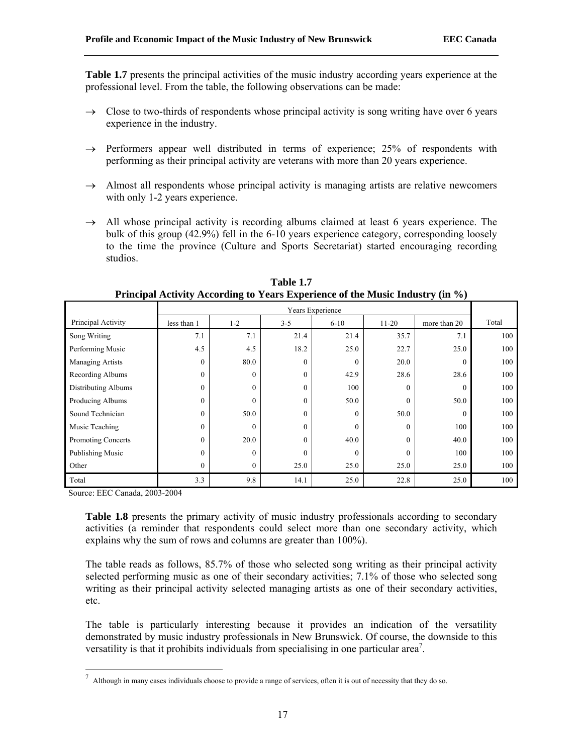**Table 1.7** presents the principal activities of the music industry according years experience at the professional level. From the table, the following observations can be made:

- $\rightarrow$  Close to two-thirds of respondents whose principal activity is song writing have over 6 years experience in the industry.
- $\rightarrow$  Performers appear well distributed in terms of experience; 25% of respondents with performing as their principal activity are veterans with more than 20 years experience.
- $\rightarrow$  Almost all respondents whose principal activity is managing artists are relative newcomers with only 1-2 years experience.
- $\rightarrow$  All whose principal activity is recording albums claimed at least 6 years experience. The bulk of this group (42.9%) fell in the 6-10 years experience category, corresponding loosely to the time the province (Culture and Sports Secretariat) started encouraging recording studios.

|                            | Years Experience |              |          |              |          |              |       |  |  |  |
|----------------------------|------------------|--------------|----------|--------------|----------|--------------|-------|--|--|--|
| Principal Activity         | less than 1      | $1 - 2$      | $3 - 5$  | $6 - 10$     | $11-20$  | more than 20 | Total |  |  |  |
| Song Writing               | 7.1              | 7.1          | 21.4     | 21.4         | 35.7     | 7.1          | 100   |  |  |  |
| Performing Music           | 4.5              | 4.5          | 18.2     | 25.0         | 22.7     | 25.0         | 100   |  |  |  |
| <b>Managing Artists</b>    | $\theta$         | 80.0         | $\theta$ | $\theta$     | 20.0     | $\Omega$     | 100   |  |  |  |
| Recording Albums           | $\mathbf{0}$     | $\theta$     | $\theta$ | 42.9         | 28.6     | 28.6         | 100   |  |  |  |
| <b>Distributing Albums</b> | $\theta$         | $\theta$     | $\theta$ | 100          | $\Omega$ | $\Omega$     | 100   |  |  |  |
| Producing Albums           | $\mathbf{0}$     | $\theta$     | $\theta$ | 50.0         | $\theta$ | 50.0         | 100   |  |  |  |
| Sound Technician           | $\mathbf{0}$     | 50.0         | $\theta$ | $\mathbf{0}$ | 50.0     | $\theta$     | 100   |  |  |  |
| Music Teaching             | $\theta$         | $\theta$     | $\theta$ | $\mathbf{0}$ | $\theta$ | 100          | 100   |  |  |  |
| <b>Promoting Concerts</b>  | $\mathbf{0}$     | 20.0         | $\theta$ | 40.0         | $\theta$ | 40.0         | 100   |  |  |  |
| Publishing Music           | $\theta$         | $\theta$     | $\theta$ | $\theta$     | $\theta$ | 100          | 100   |  |  |  |
| Other                      | $\boldsymbol{0}$ | $\mathbf{0}$ | 25.0     | 25.0         | 25.0     | 25.0         | 100   |  |  |  |
| Total                      | 3.3              | 9.8          | 14.1     | 25.0         | 22.8     | 25.0         | 100   |  |  |  |

**Table 1.7 Principal Activity According to Years Experience of the Music Industry (in %)** 

Source: EEC Canada, 2003-2004

**Table 1.8** presents the primary activity of music industry professionals according to secondary activities (a reminder that respondents could select more than one secondary activity, which explains why the sum of rows and columns are greater than 100%).

The table reads as follows, 85.7% of those who selected song writing as their principal activity selected performing music as one of their secondary activities; 7.1% of those who selected song writing as their principal activity selected managing artists as one of their secondary activities, etc.

The table is particularly interesting because it provides an indication of the versatility demonstrated by music industry professionals in New Brunswick. Of course, the downside to this versatility is that it prohibits individuals from specialising in one particular area<sup>7</sup>.

 $^7$  Although in many cases individuals choose to provide a range of services, often it is out of necessity that they do so.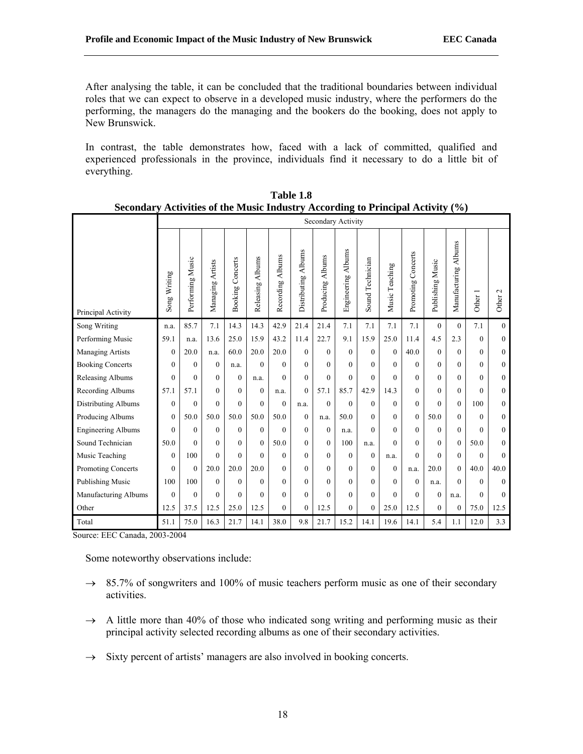After analysing the table, it can be concluded that the traditional boundaries between individual roles that we can expect to observe in a developed music industry, where the performers do the performing, the managers do the managing and the bookers do the booking, does not apply to New Brunswick.

In contrast, the table demonstrates how, faced with a lack of committed, qualified and experienced professionals in the province, individuals find it necessary to do a little bit of everything.

|                           |              | Secondary Activity |                  |                         |                     |                            |                     |                            |                    |                  |                |                    |                  |                         |              |                    |
|---------------------------|--------------|--------------------|------------------|-------------------------|---------------------|----------------------------|---------------------|----------------------------|--------------------|------------------|----------------|--------------------|------------------|-------------------------|--------------|--------------------|
| Principal Activity        | Song Writing | Performing Music   | Managing Artists | <b>Booking Concerts</b> | Releasing<br>Albums | <b>Albums</b><br>Recording | Distributing Albums | <b>Albums</b><br>Producing | Engineering Albums | Sound Technician | Music Teaching | Promoting Concerts | Publishing Music | Albums<br>Manufacturing | Other 1      | Other <sub>2</sub> |
| Song Writing              | n.a.         | 85.7               | 7.1              | 14.3                    | 14.3                | 42.9                       | 21.4                | 21.4                       | 7.1                | 7.1              | 7.1            | 7.1                | $\theta$         | $\theta$                | 7.1          | $\theta$           |
| Performing Music          | 59.1         | n.a.               | 13.6             | 25.0                    | 15.9                | 43.2                       | 11.4                | 22.7                       | 9.1                | 15.9             | 25.0           | 11.4               | 4.5              | 2.3                     | $\theta$     | $\theta$           |
| <b>Managing Artists</b>   | $\mathbf{0}$ | 20.0               | n.a.             | 60.0                    | 20.0                | 20.0                       | $\Omega$            | $\Omega$                   | $\theta$           | $\theta$         | $\theta$       | 40.0               | $\mathbf{0}$     | $\theta$                | $\mathbf{0}$ | $\mathbf{0}$       |
| <b>Booking Concerts</b>   | $\Omega$     | $\theta$           | $\Omega$         | n.a.                    | $\theta$            | $\Omega$                   | $\theta$            | $\Omega$                   | $\Omega$           | $\Omega$         | $\Omega$       | $\theta$           | $\theta$         | $\theta$                | $\Omega$     | $\mathbf{0}$       |
| Releasing Albums          | $\theta$     | $\Omega$           | $\Omega$         | $\theta$                | n.a.                | $\Omega$                   | $\Omega$            | $\Omega$                   | $\theta$           | $\theta$         | $\Omega$       | $\theta$           | $\theta$         | $\theta$                | $\Omega$     | $\theta$           |
| Recording Albums          | 57.1         | 57.1               | $\theta$         | $\mathbf{0}$            | $\mathbf{0}$        | n.a.                       | $\theta$            | 57.1                       | 85.7               | 42.9             | 14.3           | $\theta$           | $\theta$         | $\theta$                | $\theta$     | $\mathbf{0}$       |
| Distributing Albums       | $\theta$     | $\Omega$           | $\Omega$         | $\theta$                | $\theta$            | $\Omega$                   | n.a.                | $\Omega$                   | $\Omega$           | $\Omega$         | $\Omega$       | $\Omega$           | $\Omega$         | $\theta$                | 100          | $\theta$           |
| Producing Albums          | $\mathbf{0}$ | 50.0               | 50.0             | 50.0                    | 50.0                | 50.0                       | $\Omega$            | n.a.                       | 50.0               | $\theta$         | $\Omega$       | $\Omega$           | 50.0             | $\Omega$                | $\theta$     | $\theta$           |
| <b>Engineering Albums</b> | $\theta$     | $\Omega$           | $\Omega$         | $\theta$                | $\mathbf{0}$        | $\Omega$                   | $\Omega$            | $\Omega$                   | n.a.               | $\theta$         | $\Omega$       | $\theta$           | $\theta$         | $\theta$                | $\Omega$     | $\theta$           |
| Sound Technician          | 50.0         | $\Omega$           | $\Omega$         | $\mathbf{0}$            | $\mathbf{0}$        | 50.0                       | $\Omega$            | $\Omega$                   | 100                | n.a.             | $\theta$       | $\theta$           | $\theta$         | $\mathbf{0}$            | 50.0         | $\theta$           |
| Music Teaching            | $\theta$     | 100                | $\Omega$         | $\theta$                | $\theta$            | $\theta$                   | $\Omega$            | $\Omega$                   | $\theta$           | $\theta$         | n.a.           | $\theta$           | $\Omega$         | $\theta$                | $\theta$     | $\theta$           |
| Promoting Concerts        | $\theta$     | $\theta$           | 20.0             | 20.0                    | 20.0                | $\mathbf{0}$               | $\Omega$            | $\theta$                   | $\theta$           | $\theta$         | $\Omega$       | n.a.               | 20.0             | $\mathbf{0}$            | 40.0         | 40.0               |
| <b>Publishing Music</b>   | 100          | 100                | $\Omega$         | $\mathbf{0}$            | $\mathbf{0}$        | $\overline{0}$             | $\Omega$            | $\Omega$                   | $\theta$           | $\theta$         | $\Omega$       | $\theta$           | n.a.             | $\Omega$                | $\theta$     | $\theta$           |
| Manufacturing Albums      | $\theta$     | $\Omega$           | $\Omega$         | $\theta$                | $\theta$            | $\theta$                   | $\Omega$            | $\theta$                   | $\theta$           | $\theta$         | $\theta$       | $\Omega$           | $\mathbf{0}$     | n.a.                    | $\theta$     | $\theta$           |
| Other                     | 12.5         | 37.5               | 12.5             | 25.0                    | 12.5                | $\overline{0}$             | $\mathbf{0}$        | 12.5                       | $\mathbf{0}$       | $\overline{0}$   | 25.0           | 12.5               | $\overline{0}$   | $\mathbf{0}$            | 75.0         | 12.5               |
| Total                     | 51.1         | 75.0               | 16.3             | 21.7                    | 14.1                | 38.0                       | 9.8                 | 21.7                       | 15.2               | 14.1             | 19.6           | 14.1               | 5.4              | 1.1                     | 12.0         | 3.3                |

**Table 1.8 Secondary Activities of the Music Industry According to Principal Activity (%)** 

Source: EEC Canada, 2003-2004

Some noteworthy observations include:

- $\rightarrow$  85.7% of songwriters and 100% of music teachers perform music as one of their secondary activities.
- $\rightarrow$  A little more than 40% of those who indicated song writing and performing music as their principal activity selected recording albums as one of their secondary activities.
- $\rightarrow$  Sixty percent of artists' managers are also involved in booking concerts.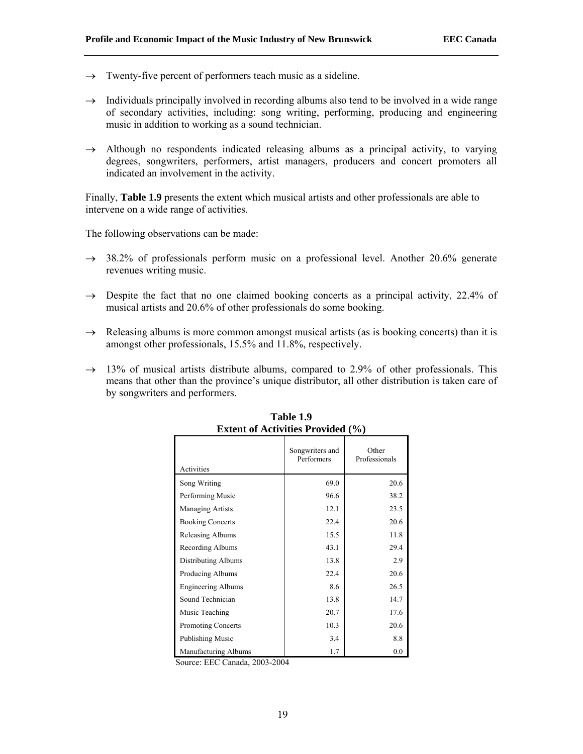- $\rightarrow$  Twenty-five percent of performers teach music as a sideline.
- $\rightarrow$  Individuals principally involved in recording albums also tend to be involved in a wide range of secondary activities, including: song writing, performing, producing and engineering music in addition to working as a sound technician.
- $\rightarrow$  Although no respondents indicated releasing albums as a principal activity, to varying degrees, songwriters, performers, artist managers, producers and concert promoters all indicated an involvement in the activity.

Finally, **Table 1.9** presents the extent which musical artists and other professionals are able to intervene on a wide range of activities.

The following observations can be made:

- $\rightarrow$  38.2% of professionals perform music on a professional level. Another 20.6% generate revenues writing music.
- $\rightarrow$  Despite the fact that no one claimed booking concerts as a principal activity, 22.4% of musical artists and 20.6% of other professionals do some booking.
- $\rightarrow$  Releasing albums is more common amongst musical artists (as is booking concerts) than it is amongst other professionals, 15.5% and 11.8%, respectively.
- $\rightarrow$  13% of musical artists distribute albums, compared to 2.9% of other professionals. This means that other than the province's unique distributor, all other distribution is taken care of by songwriters and performers.

| <b>Extent of Activities Provided (%)</b> |                               |                        |  |  |  |  |
|------------------------------------------|-------------------------------|------------------------|--|--|--|--|
| Activities                               | Songwriters and<br>Performers | Other<br>Professionals |  |  |  |  |
|                                          |                               |                        |  |  |  |  |
| Song Writing                             | 69.0                          | 20.6                   |  |  |  |  |
| Performing Music                         | 96.6                          | 38.2                   |  |  |  |  |
| <b>Managing Artists</b>                  | 12.1                          | 23.5                   |  |  |  |  |
| <b>Booking Concerts</b>                  | 22.4                          | 20.6                   |  |  |  |  |
| Releasing Albums                         | 15.5                          | 11.8                   |  |  |  |  |
| Recording Albums                         | 43.1                          | 29.4                   |  |  |  |  |
| Distributing Albums                      | 13.8                          | 2.9                    |  |  |  |  |
| Producing Albums                         | 22.4                          | 20.6                   |  |  |  |  |
| <b>Engineering Albums</b>                | 8.6                           | 26.5                   |  |  |  |  |
| Sound Technician                         | 13.8                          | 14.7                   |  |  |  |  |
| Music Teaching                           | 20.7                          | 17.6                   |  |  |  |  |
| <b>Promoting Concerts</b>                | 10.3                          | 20.6                   |  |  |  |  |
| <b>Publishing Music</b>                  | 3.4                           | 8.8                    |  |  |  |  |
| Manufacturing Albums                     | 1.7                           | 0.0                    |  |  |  |  |

**Table 1.9** 

Source: EEC Canada, 2003-2004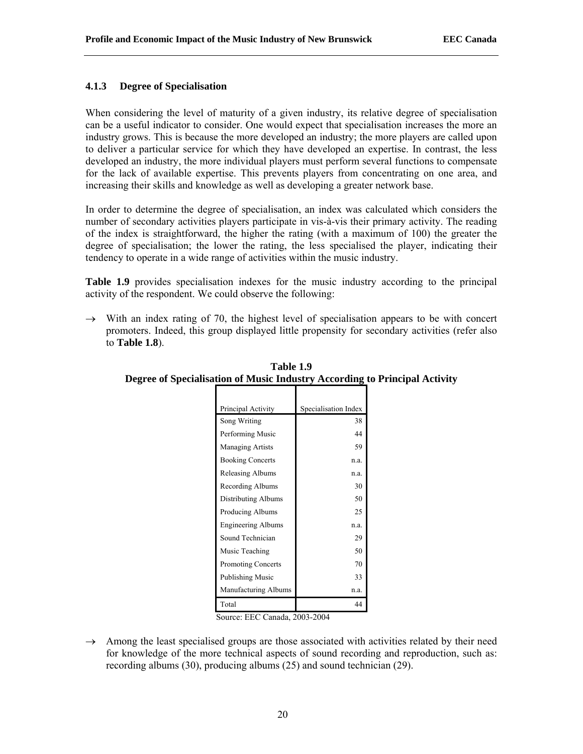## **4.1.3 Degree of Specialisation**

When considering the level of maturity of a given industry, its relative degree of specialisation can be a useful indicator to consider. One would expect that specialisation increases the more an industry grows. This is because the more developed an industry; the more players are called upon to deliver a particular service for which they have developed an expertise. In contrast, the less developed an industry, the more individual players must perform several functions to compensate for the lack of available expertise. This prevents players from concentrating on one area, and increasing their skills and knowledge as well as developing a greater network base.

In order to determine the degree of specialisation, an index was calculated which considers the number of secondary activities players participate in vis-à-vis their primary activity. The reading of the index is straightforward, the higher the rating (with a maximum of 100) the greater the degree of specialisation; the lower the rating, the less specialised the player, indicating their tendency to operate in a wide range of activities within the music industry.

**Table 1.9** provides specialisation indexes for the music industry according to the principal activity of the respondent. We could observe the following:

 $\rightarrow$  With an index rating of 70, the highest level of specialisation appears to be with concert promoters. Indeed, this group displayed little propensity for secondary activities (refer also to **Table 1.8**).

| Principal Activity        | Specialisation Index |
|---------------------------|----------------------|
| Song Writing              | 38                   |
| Performing Music          | 44                   |
| <b>Managing Artists</b>   | 59                   |
| <b>Booking Concerts</b>   | n.a.                 |
| Releasing Albums          | n.a.                 |
| Recording Albums          | 30                   |
| Distributing Albums       | 50                   |
| Producing Albums          | 25                   |
| <b>Engineering Albums</b> | n.a.                 |
| Sound Technician          | 29                   |
| Music Teaching            | 50                   |
| Promoting Concerts        | 70                   |
| Publishing Music          | 33                   |
| Manufacturing Albums      | n.a.                 |
| Total                     | 44                   |

**Table 1.9 Degree of Specialisation of Music Industry According to Principal Activity**

Source: EEC Canada, 2003-2004

 $\rightarrow$  Among the least specialised groups are those associated with activities related by their need for knowledge of the more technical aspects of sound recording and reproduction, such as: recording albums (30), producing albums (25) and sound technician (29).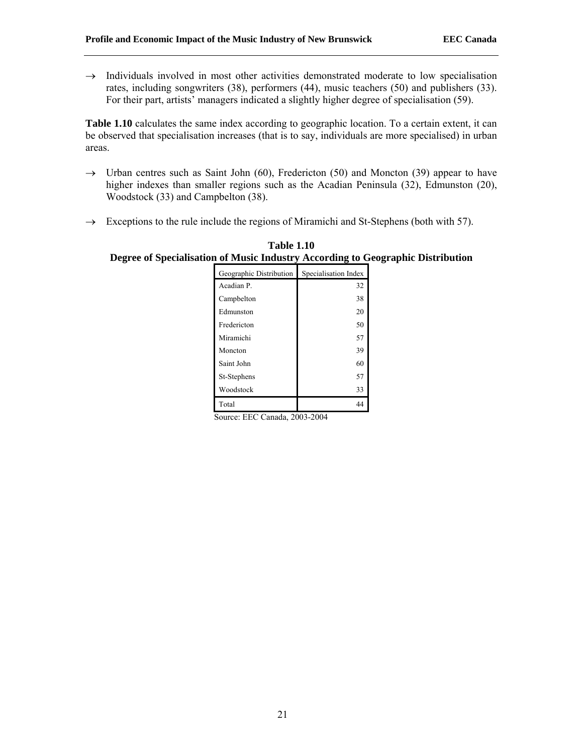$\rightarrow$  Individuals involved in most other activities demonstrated moderate to low specialisation rates, including songwriters (38), performers (44), music teachers (50) and publishers (33). For their part, artists' managers indicated a slightly higher degree of specialisation (59).

Table 1.10 calculates the same index according to geographic location. To a certain extent, it can be observed that specialisation increases (that is to say, individuals are more specialised) in urban areas.

- $\rightarrow$  Urban centres such as Saint John (60), Fredericton (50) and Moncton (39) appear to have higher indexes than smaller regions such as the Acadian Peninsula (32), Edmunston (20), Woodstock (33) and Campbelton (38).
- $\rightarrow$  Exceptions to the rule include the regions of Miramichi and St-Stephens (both with 57).

|                         | -                    |
|-------------------------|----------------------|
| Geographic Distribution | Specialisation Index |
| Acadian P.              | 32                   |
| Campbelton              | 38                   |
| Edmunston               | 20                   |
| Fredericton             | 50                   |
| Miramichi               | 57                   |
| Moncton                 | 39                   |
| Saint John              | 60                   |
| St-Stephens             | 57                   |
| Woodstock               | 33                   |
| Total                   | 44                   |

**Table 1.10 Degree of Specialisation of Music Industry According to Geographic Distribution**

Source: EEC Canada, 2003-2004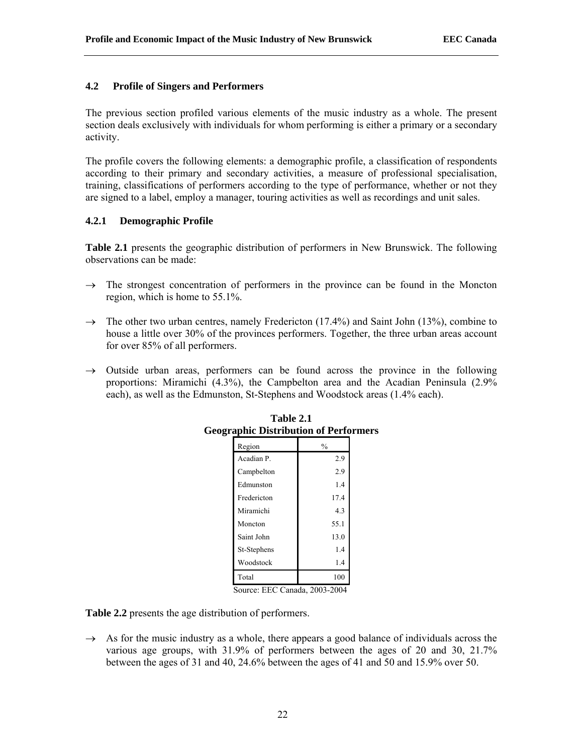## **4.2 Profile of Singers and Performers**

The previous section profiled various elements of the music industry as a whole. The present section deals exclusively with individuals for whom performing is either a primary or a secondary activity.

The profile covers the following elements: a demographic profile, a classification of respondents according to their primary and secondary activities, a measure of professional specialisation, training, classifications of performers according to the type of performance, whether or not they are signed to a label, employ a manager, touring activities as well as recordings and unit sales.

## **4.2.1 Demographic Profile**

**Table 2.1** presents the geographic distribution of performers in New Brunswick. The following observations can be made:

- $\rightarrow$  The strongest concentration of performers in the province can be found in the Moncton region, which is home to 55.1%.
- $\rightarrow$  The other two urban centres, namely Fredericton (17.4%) and Saint John (13%), combine to house a little over 30% of the provinces performers. Together, the three urban areas account for over 85% of all performers.
- $\rightarrow$  Outside urban areas, performers can be found across the province in the following proportions: Miramichi (4.3%), the Campbelton area and the Acadian Peninsula (2.9% each), as well as the Edmunston, St-Stephens and Woodstock areas (1.4% each).

| raphic Distribution of Perforr |               |  |
|--------------------------------|---------------|--|
| Region                         | $\frac{0}{0}$ |  |
| Acadian P.                     | 2.9           |  |
| Campbelton                     | 2.9           |  |
| Edmunston                      | 1.4           |  |
| Fredericton                    | 17.4          |  |
| Miramichi                      | 4.3           |  |
| Moncton                        | 55.1          |  |
| Saint John                     | 13.0          |  |
| St-Stephens                    | 1.4           |  |
| Woodstock                      | 1.4           |  |
| Total                          | 100           |  |

**Table 2.1 Geographic Distribution of Performers**

Source: EEC Canada, 2003-2004

**Table 2.2** presents the age distribution of performers.

 $\rightarrow$  As for the music industry as a whole, there appears a good balance of individuals across the various age groups, with 31.9% of performers between the ages of 20 and 30, 21.7% between the ages of 31 and 40, 24.6% between the ages of 41 and 50 and 15.9% over 50.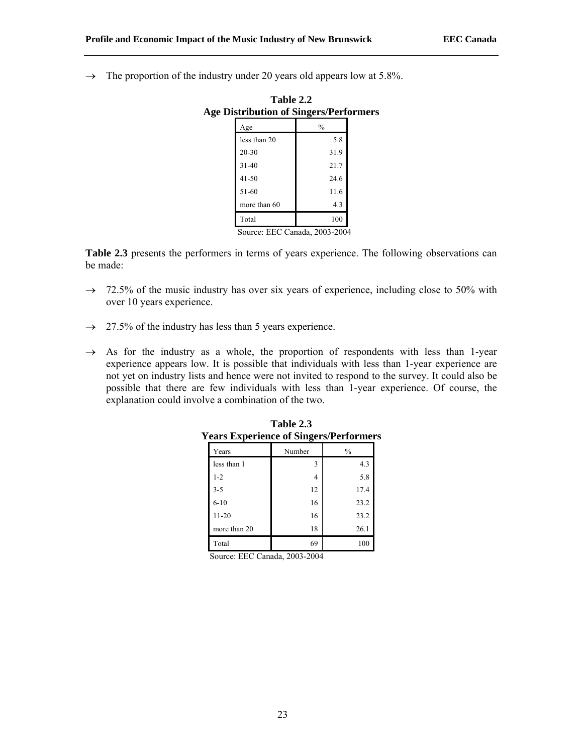$\rightarrow$  The proportion of the industry under 20 years old appears low at 5.8%.

| <b>Age Distribution of Singers/Performers</b> |               |  |  |  |  |  |  |
|-----------------------------------------------|---------------|--|--|--|--|--|--|
| Age                                           | $\frac{0}{0}$ |  |  |  |  |  |  |
| less than 20                                  | 5.8           |  |  |  |  |  |  |
| $20 - 30$                                     | 31.9          |  |  |  |  |  |  |
| $31 - 40$                                     | 21.7          |  |  |  |  |  |  |
| $41 - 50$                                     | 24.6          |  |  |  |  |  |  |
| 51-60                                         | 11.6          |  |  |  |  |  |  |
| more than 60                                  | 4.3           |  |  |  |  |  |  |
| Total                                         | 100           |  |  |  |  |  |  |
| PPAA<br>$\sim$                                | 1.00000001    |  |  |  |  |  |  |

**Table 2.2** 

Source: EEC Canada, 2003-2004

**Table 2.3** presents the performers in terms of years experience. The following observations can be made:

- $\rightarrow$  72.5% of the music industry has over six years of experience, including close to 50% with over 10 years experience.
- $\rightarrow$  27.5% of the industry has less than 5 years experience.
- $\rightarrow$  As for the industry as a whole, the proportion of respondents with less than 1-year experience appears low. It is possible that individuals with less than 1-year experience are not yet on industry lists and hence were not invited to respond to the survey. It could also be possible that there are few individuals with less than 1-year experience. Of course, the explanation could involve a combination of the two.

|              | o      |               |
|--------------|--------|---------------|
| Years        | Number | $\frac{0}{0}$ |
| less than 1  | 3      | 4.3           |
| $1 - 2$      | 4      | 5.8           |
| $3 - 5$      | 12     | 17.4          |
| $6 - 10$     | 16     | 23.2          |
| $11 - 20$    | 16     | 23.2          |
| more than 20 | 18     | 26.1          |
| Total        | 69     | 100           |

| Table 2.3                                     |  |
|-----------------------------------------------|--|
| <b>Years Experience of Singers/Performers</b> |  |

Source: EEC Canada, 2003-2004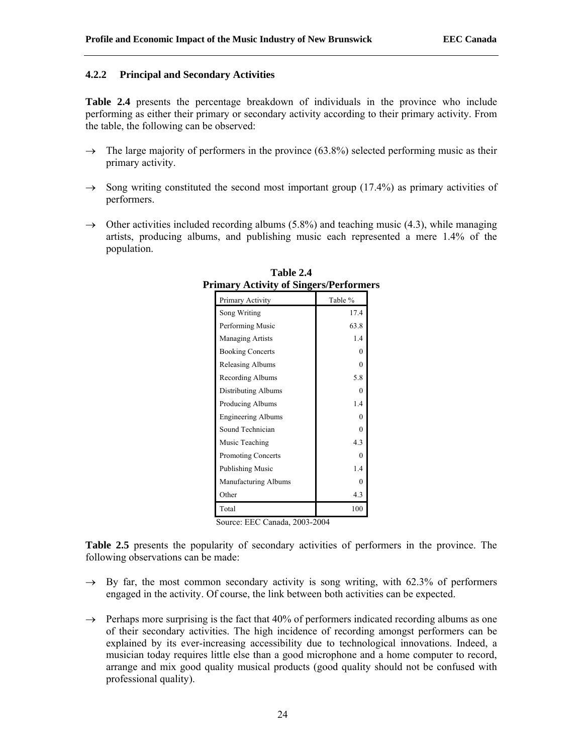## **4.2.2 Principal and Secondary Activities**

**Table 2.4** presents the percentage breakdown of individuals in the province who include performing as either their primary or secondary activity according to their primary activity. From the table, the following can be observed:

- $\rightarrow$  The large majority of performers in the province (63.8%) selected performing music as their primary activity.
- $\rightarrow$  Song writing constituted the second most important group (17.4%) as primary activities of performers.
- $\rightarrow$  Other activities included recording albums (5.8%) and teaching music (4.3), while managing artists, producing albums, and publishing music each represented a mere 1.4% of the population.

| imary Activity of Singers/Performe |         |
|------------------------------------|---------|
| Primary Activity                   | Table % |
| Song Writing                       | 17.4    |
| Performing Music                   | 63.8    |
| <b>Managing Artists</b>            | 1.4     |
| <b>Booking Concerts</b>            | 0       |
| Releasing Albums                   | 0       |
| Recording Albums                   | 5.8     |
| Distributing Albums                | 0       |
| Producing Albums                   | 1.4     |
| <b>Engineering Albums</b>          | 0       |
| Sound Technician                   | 0       |
| Music Teaching                     | 4.3     |
| <b>Promoting Concerts</b>          | 0       |
| <b>Publishing Music</b>            | 1.4     |
| Manufacturing Albums               | 0       |
| Other                              | 4.3     |
| Total                              | 100     |

**Table 2.4 Primary Activity of Singers/Performers**

Source: EEC Canada, 2003-2004

**Table 2.5** presents the popularity of secondary activities of performers in the province. The following observations can be made:

- $\rightarrow$  By far, the most common secondary activity is song writing, with 62.3% of performers engaged in the activity. Of course, the link between both activities can be expected.
- $\rightarrow$  Perhaps more surprising is the fact that 40% of performers indicated recording albums as one of their secondary activities. The high incidence of recording amongst performers can be explained by its ever-increasing accessibility due to technological innovations. Indeed, a musician today requires little else than a good microphone and a home computer to record, arrange and mix good quality musical products (good quality should not be confused with professional quality).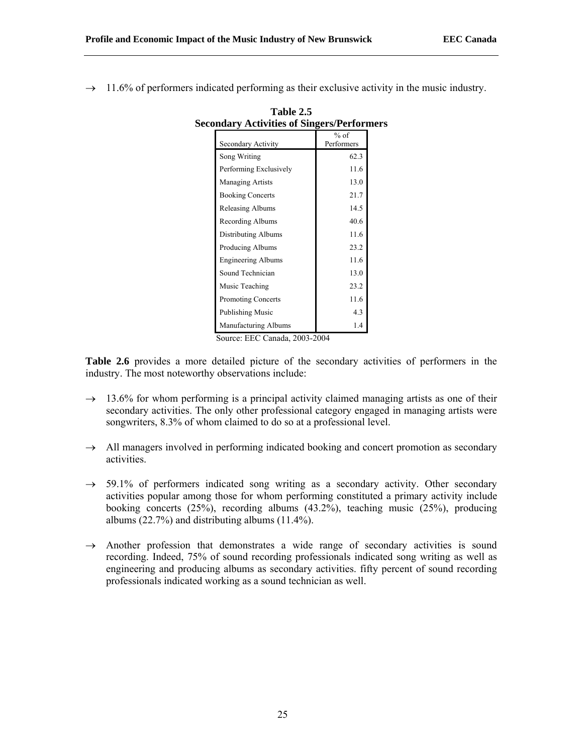$\rightarrow$  11.6% of performers indicated performing as their exclusive activity in the music industry.

| Secondary Activity        | $%$ of<br>Performers |
|---------------------------|----------------------|
| Song Writing              | 62.3                 |
| Performing Exclusively    | 11.6                 |
| <b>Managing Artists</b>   | 13.0                 |
| <b>Booking Concerts</b>   | 21.7                 |
| Releasing Albums          | 14.5                 |
| Recording Albums          | 40.6                 |
| Distributing Albums       | 11.6                 |
| Producing Albums          | 23.2                 |
| <b>Engineering Albums</b> | 11.6                 |
| Sound Technician          | 13.0                 |
| Music Teaching            | 23.2                 |
| Promoting Concerts        | 11.6                 |
| <b>Publishing Music</b>   | 4.3                  |
| Manufacturing Albums      | 1.4                  |

**Table 2.5 Secondary Activities of Singers/Performers**

Source: EEC Canada, 2003-2004

Table 2.6 provides a more detailed picture of the secondary activities of performers in the industry. The most noteworthy observations include:

- $\rightarrow$  13.6% for whom performing is a principal activity claimed managing artists as one of their secondary activities. The only other professional category engaged in managing artists were songwriters, 8.3% of whom claimed to do so at a professional level.
- $\rightarrow$  All managers involved in performing indicated booking and concert promotion as secondary activities.
- $\rightarrow$  59.1% of performers indicated song writing as a secondary activity. Other secondary activities popular among those for whom performing constituted a primary activity include booking concerts (25%), recording albums (43.2%), teaching music (25%), producing albums (22.7%) and distributing albums (11.4%).
- $\rightarrow$  Another profession that demonstrates a wide range of secondary activities is sound recording. Indeed, 75% of sound recording professionals indicated song writing as well as engineering and producing albums as secondary activities. fifty percent of sound recording professionals indicated working as a sound technician as well.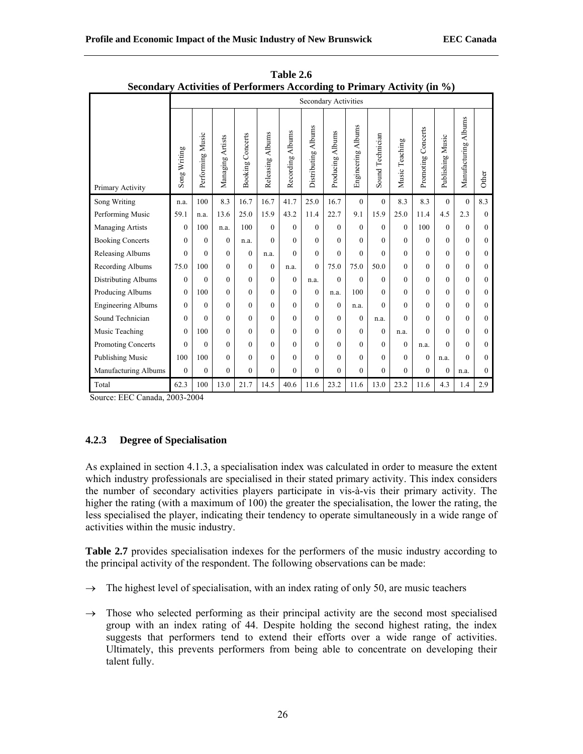| Secondary Activities of Performers According to Primary Activity (in $\%$ ) |              |                  |                  |                         |                  |                  |                               |                             |                    |                  |                |                    |                  |                                |                |
|-----------------------------------------------------------------------------|--------------|------------------|------------------|-------------------------|------------------|------------------|-------------------------------|-----------------------------|--------------------|------------------|----------------|--------------------|------------------|--------------------------------|----------------|
|                                                                             |              |                  |                  |                         |                  |                  |                               | <b>Secondary Activities</b> |                    |                  |                |                    |                  |                                |                |
| Primary Activity                                                            | Song Writing | Performing Music | Managing Artists | <b>Booking Concerts</b> | Releasing Albums | Recording Albums | <b>Albums</b><br>Distributing | Albums<br>Producing         | Engineering Albums | Sound Technician | Music Teaching | Promoting Concerts | Publishing Music | <b>Albums</b><br>Manufacturing | Other          |
| Song Writing                                                                | n.a.         | 100              | 8.3              | 16.7                    | 16.7             | 41.7             | 25.0                          | 16.7                        | $\mathbf{0}$       | $\mathbf{0}$     | 8.3            | 8.3                | $\theta$         | $\theta$                       | 8.3            |
| Performing Music                                                            | 59.1         | n.a.             | 13.6             | 25.0                    | 15.9             | 43.2             | 11.4                          | 22.7                        | 9.1                | 15.9             | 25.0           | 11.4               | 4.5              | 2.3                            | $\theta$       |
| Managing Artists                                                            | $\theta$     | 100              | n.a.             | 100                     | $\Omega$         | $\Omega$         | $\theta$                      | $\mathbf{0}$                | $\mathbf{0}$       | $\mathbf{0}$     | $\theta$       | 100                | $\theta$         | $\theta$                       | $\theta$       |
| <b>Booking Concerts</b>                                                     | $\theta$     | $\Omega$         | $\Omega$         | n.a.                    | $\Omega$         | $\theta$         | $\theta$                      | $\theta$                    | $\mathbf{0}$       | $\theta$         | $\theta$       | $\Omega$           | $\theta$         | $\Omega$                       | $\theta$       |
| Releasing Albums                                                            | $\Omega$     | $\Omega$         | $\Omega$         | $\Omega$                | n.a.             | $\Omega$         | $\theta$                      | $\theta$                    | $\mathbf{0}$       | $\theta$         | $\theta$       | $\Omega$           | $\theta$         | $\theta$                       | $\theta$       |
| Recording Albums                                                            | 75.0         | 100              | $\theta$         | $\theta$                | $\theta$         | n.a.             | $\theta$                      | 75.0                        | 75.0               | 50.0             | $\theta$       | $\Omega$           | $\theta$         | $\theta$                       | $\theta$       |
| <b>Distributing Albums</b>                                                  | $\theta$     | $\Omega$         | $\theta$         | $\theta$                | $\theta$         | $\Omega$         | n.a.                          | $\theta$                    | $\theta$           | $\theta$         | $\theta$       | $\Omega$           | $\theta$         | $\theta$                       | $\theta$       |
| Producing Albums                                                            | $\theta$     | 100              | $\theta$         | $\theta$                | $\Omega$         | $\Omega$         | $\theta$                      | n.a.                        | 100                | $\theta$         | $\theta$       | $\Omega$           | 0                | $\theta$                       | $\theta$       |
| <b>Engineering Albums</b>                                                   | $\theta$     | $\Omega$         | $\theta$         | $\theta$                | $\theta$         | $\theta$         | $\theta$                      | $\theta$                    | n.a.               | $\theta$         | $\theta$       | $\Omega$           | $\theta$         | $\overline{0}$                 | $\overline{0}$ |
| Sound Technician                                                            | $\theta$     | $\Omega$         | $\Omega$         | $\Omega$                | $\Omega$         | $\Omega$         | $\theta$                      | $\mathbf{0}$                | $\mathbf{0}$       | n.a.             | $\Omega$       | $\Omega$           | $\theta$         | $\Omega$                       | $\theta$       |
| Music Teaching                                                              | $\theta$     | 100              | $\Omega$         | $\Omega$                | $\theta$         | $\theta$         | $\theta$                      | $\theta$                    | $\mathbf{0}$       | $\mathbf{0}$     | n.a.           | $\theta$           | $\theta$         | $\theta$                       | $\theta$       |
| Promoting Concerts                                                          | $\Omega$     | $\Omega$         | $\theta$         | $\Omega$                | $\theta$         | $\theta$         | $\theta$                      | $\mathbf{0}$                | $\overline{0}$     | $\mathbf{0}$     | $\mathbf{0}$   | n.a.               | $\Omega$         | $\theta$                       | $\theta$       |
| Publishing Music                                                            | 100          | 100              | $\theta$         | $\theta$                | $\theta$         | $\theta$         | $\theta$                      | $\overline{0}$              | $\overline{0}$     | $\mathbf{0}$     | $\theta$       | $\mathbf{0}$       | n.a.             | $\theta$                       | $\theta$       |
| Manufacturing Albums                                                        | $\mathbf{0}$ | $\theta$         | $\theta$         | $\theta$                | $\mathbf{0}$     | $\Omega$         | $\theta$                      | $\mathbf{0}$                | $\boldsymbol{0}$   | $\mathbf{0}$     | $\overline{0}$ | $\mathbf{0}$       | $\boldsymbol{0}$ | n.a.                           | $\mathbf{0}$   |
| Total                                                                       | 62.3         | 100              | 13.0             | 21.7                    | 14.5             | 40.6             | 11.6                          | 23.2                        | 11.6               | 13.0             | 23.2           | 11.6               | 4.3              | 1.4                            | 2.9            |

**Table 2.6 Secondary Activities of Performers According to Primary Activity (in %)**

# **4.2.3 Degree of Specialisation**

As explained in section 4.1.3, a specialisation index was calculated in order to measure the extent which industry professionals are specialised in their stated primary activity. This index considers the number of secondary activities players participate in vis-à-vis their primary activity. The higher the rating (with a maximum of 100) the greater the specialisation, the lower the rating, the less specialised the player, indicating their tendency to operate simultaneously in a wide range of activities within the music industry.

**Table 2.7** provides specialisation indexes for the performers of the music industry according to the principal activity of the respondent. The following observations can be made:

- $\rightarrow$  The highest level of specialisation, with an index rating of only 50, are music teachers
- $\rightarrow$  Those who selected performing as their principal activity are the second most specialised group with an index rating of 44. Despite holding the second highest rating, the index suggests that performers tend to extend their efforts over a wide range of activities. Ultimately, this prevents performers from being able to concentrate on developing their talent fully.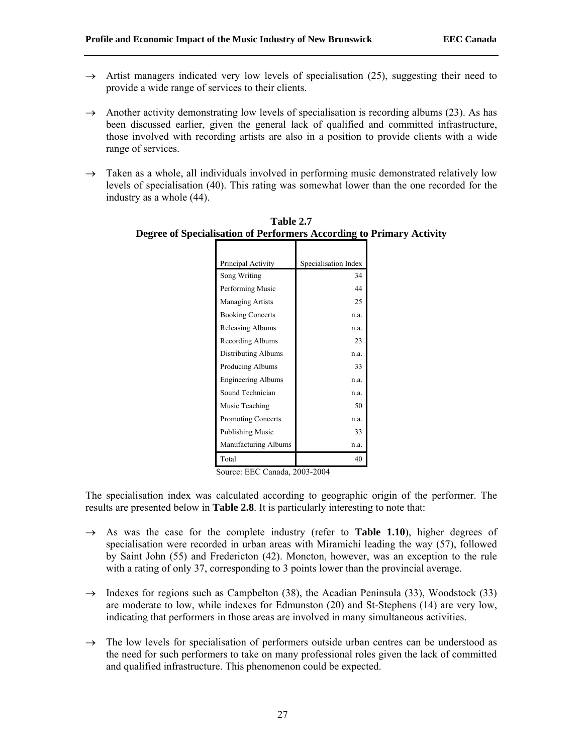- $\rightarrow$  Artist managers indicated very low levels of specialisation (25), suggesting their need to provide a wide range of services to their clients.
- $\rightarrow$  Another activity demonstrating low levels of specialisation is recording albums (23). As has been discussed earlier, given the general lack of qualified and committed infrastructure, those involved with recording artists are also in a position to provide clients with a wide range of services.
- $\rightarrow$  Taken as a whole, all individuals involved in performing music demonstrated relatively low levels of specialisation (40). This rating was somewhat lower than the one recorded for the industry as a whole (44).

| Principal Activity        | Specialisation Index |
|---------------------------|----------------------|
| Song Writing              | 34                   |
| Performing Music          | 44                   |
| <b>Managing Artists</b>   | 25                   |
| <b>Booking Concerts</b>   | n.a.                 |
| Releasing Albums          | n.a.                 |
| Recording Albums          | 23                   |
| Distributing Albums       | n.a.                 |
| Producing Albums          | 33                   |
| <b>Engineering Albums</b> | n.a.                 |
| Sound Technician          | n.a.                 |
| Music Teaching            | 50                   |
| <b>Promoting Concerts</b> | n.a.                 |
| Publishing Music          | 33                   |
| Manufacturing Albums      | n.a.                 |
| Total                     | 40                   |

**Table 2.7 Degree of Specialisation of Performers According to Primary Activity**

The specialisation index was calculated according to geographic origin of the performer. The results are presented below in **Table 2.8**. It is particularly interesting to note that:

- $\rightarrow$  As was the case for the complete industry (refer to **Table 1.10**), higher degrees of specialisation were recorded in urban areas with Miramichi leading the way (57), followed by Saint John (55) and Fredericton (42). Moncton, however, was an exception to the rule with a rating of only 37, corresponding to 3 points lower than the provincial average.
- $\rightarrow$  Indexes for regions such as Campbelton (38), the Acadian Peninsula (33), Woodstock (33) are moderate to low, while indexes for Edmunston (20) and St-Stephens (14) are very low, indicating that performers in those areas are involved in many simultaneous activities.
- $\rightarrow$  The low levels for specialisation of performers outside urban centres can be understood as the need for such performers to take on many professional roles given the lack of committed and qualified infrastructure. This phenomenon could be expected.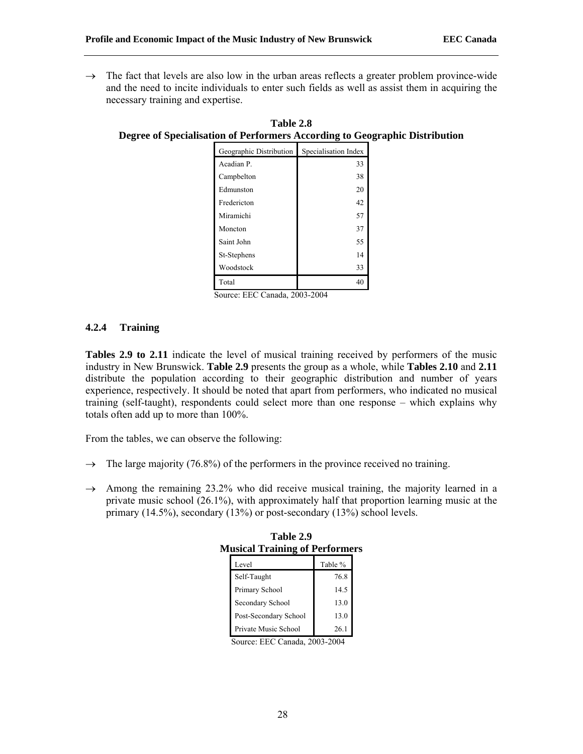$\rightarrow$  The fact that levels are also low in the urban areas reflects a greater problem province-wide and the need to incite individuals to enter such fields as well as assist them in acquiring the necessary training and expertise.

| Geographic Distribution | Specialisation Index |
|-------------------------|----------------------|
| Acadian P.              | 33                   |
| Campbelton              | 38                   |
| Edmunston               | 20                   |
| Fredericton             | 42                   |
| Miramichi               | 57                   |
| Moncton                 | 37                   |
| Saint John              | 55                   |
| St-Stephens             | 14                   |
| Woodstock               | 33                   |
| Total                   | 40                   |

**Table 2.8 Degree of Specialisation of Performers According to Geographic Distribution**

Source: EEC Canada, 2003-2004

## **4.2.4 Training**

**Tables 2.9 to 2.11** indicate the level of musical training received by performers of the music industry in New Brunswick. **Table 2.9** presents the group as a whole, while **Tables 2.10** and **2.11** distribute the population according to their geographic distribution and number of years experience, respectively. It should be noted that apart from performers, who indicated no musical training (self-taught), respondents could select more than one response – which explains why totals often add up to more than 100%.

From the tables, we can observe the following:

- $\rightarrow$  The large majority (76.8%) of the performers in the province received no training.
- $\rightarrow$  Among the remaining 23.2% who did receive musical training, the majority learned in a private music school (26.1%), with approximately half that proportion learning music at the primary (14.5%), secondary (13%) or post-secondary (13%) school levels.

| Level                 | Table % |
|-----------------------|---------|
| Self-Taught           | 76.8    |
| Primary School        | 14.5    |
| Secondary School      | 13.0    |
| Post-Secondary School | 13.0    |
| Private Music School  | 26.1    |

**Table 2.9 Musical Training of Performers**

Source: EEC Canada, 2003-2004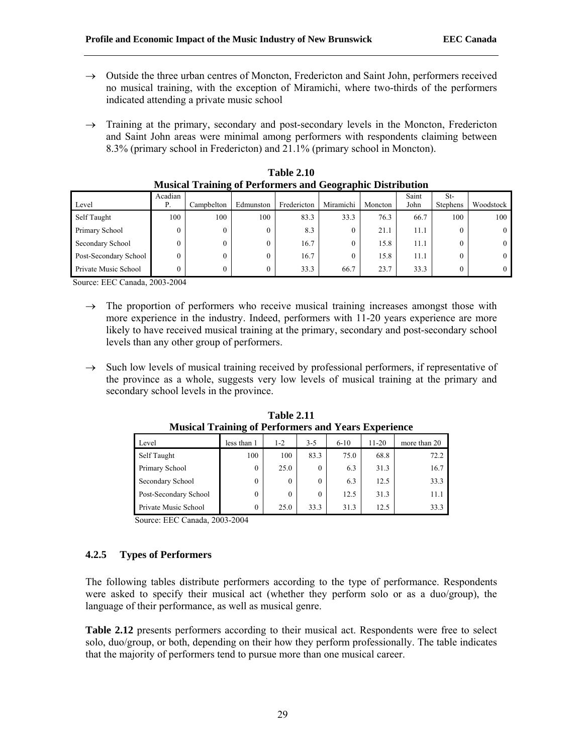- $\rightarrow$  Outside the three urban centres of Moncton, Fredericton and Saint John, performers received no musical training, with the exception of Miramichi, where two-thirds of the performers indicated attending a private music school
- $\rightarrow$  Training at the primary, secondary and post-secondary levels in the Moncton, Fredericton and Saint John areas were minimal among performers with respondents claiming between 8.3% (primary school in Fredericton) and 21.1% (primary school in Moncton).

| Level                 | Acadian<br>Р. | Campbelton     | Edmunston | Fredericton | Miramichi | Moncton | Saint<br>John | St-<br><b>Stephens</b> | Woodstock |
|-----------------------|---------------|----------------|-----------|-------------|-----------|---------|---------------|------------------------|-----------|
| Self Taught           | 100           | 100            | 100       | 83.3        | 33.3      | 76.3    | 66.7          | 100                    | 100       |
| Primary School        | 0             | $\overline{0}$ |           | 8.3         | 0         | 21.1    | 11.1          | 0                      |           |
| Secondary School      | 0             | 0              |           | 16.7        | 0         | 15.8    | 11.1          | 0                      |           |
| Post-Secondary School | 0             | 0              |           | 16.7        | 0         | 15.8    | 11.1          | $\theta$               |           |
| Private Music School  | 0             | $\overline{0}$ |           | 33.3        | 66.7      | 23.7    | 33.3          | 0                      |           |

| <b>Table 2.10</b>                                                 |
|-------------------------------------------------------------------|
| <b>Musical Training of Performers and Geographic Distribution</b> |

- $\rightarrow$  The proportion of performers who receive musical training increases amongst those with more experience in the industry. Indeed, performers with 11-20 years experience are more likely to have received musical training at the primary, secondary and post-secondary school levels than any other group of performers.
- $\rightarrow$  Such low levels of musical training received by professional performers, if representative of the province as a whole, suggests very low levels of musical training at the primary and secondary school levels in the province.

| <u>Musical Training of Perioriners and Years Experience</u> |             |          |          |          |           |              |  |  |  |  |
|-------------------------------------------------------------|-------------|----------|----------|----------|-----------|--------------|--|--|--|--|
| Level                                                       | less than 1 | $1 - 2$  | $3 - 5$  | $6 - 10$ | $11 - 20$ | more than 20 |  |  |  |  |
| Self Taught                                                 | 100         | 100      | 83.3     | 75.0     | 68.8      | 72.2         |  |  |  |  |
| Primary School                                              | $\theta$    | 25.0     | $\theta$ | 6.3      | 31.3      | 16.7         |  |  |  |  |
| Secondary School                                            | $\theta$    | $\theta$ | $\theta$ | 6.3      | 12.5      | 33.3         |  |  |  |  |
| Post-Secondary School                                       | 0           | $\theta$ | $\theta$ | 12.5     | 31.3      | 11.1         |  |  |  |  |
| Private Music School                                        | 0           | 25.0     | 33.3     | 31.3     | 12.5      | 33.3         |  |  |  |  |

**Table 2.11 Musical Training of Performers and Years Experience**

Source: EEC Canada, 2003-2004

## **4.2.5 Types of Performers**

The following tables distribute performers according to the type of performance. Respondents were asked to specify their musical act (whether they perform solo or as a duo/group), the language of their performance, as well as musical genre.

**Table 2.12** presents performers according to their musical act. Respondents were free to select solo, duo/group, or both, depending on their how they perform professionally. The table indicates that the majority of performers tend to pursue more than one musical career.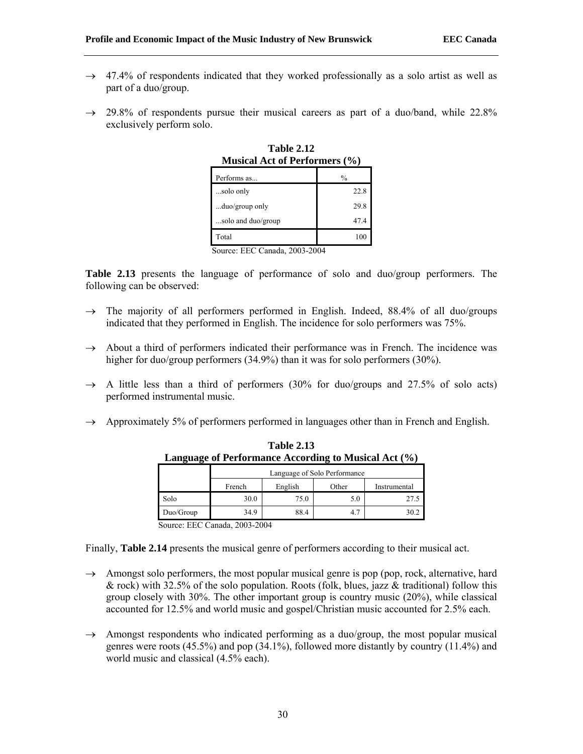- $\rightarrow$  47.4% of respondents indicated that they worked professionally as a solo artist as well as part of a duo/group.
- $\rightarrow$  29.8% of respondents pursue their musical careers as part of a duo/band, while 22.8% exclusively perform solo.

| IVIUSICAL ACU OL I ELIOI IIIEI S ( $\sqrt{6}$ ) |
|-------------------------------------------------|
| $\frac{0}{0}$                                   |
| 22.8                                            |
| 29.8                                            |
| 47.4                                            |
| 100                                             |
|                                                 |

**Table 2.12 Musical Act of Performers (%)**

**Table 2.13** presents the language of performance of solo and duo/group performers. The following can be observed:

- $\rightarrow$  The majority of all performers performed in English. Indeed, 88.4% of all duo/groups indicated that they performed in English. The incidence for solo performers was 75%.
- $\rightarrow$  About a third of performers indicated their performance was in French. The incidence was higher for duo/group performers (34.9%) than it was for solo performers (30%).
- $\rightarrow$  A little less than a third of performers (30% for duo/groups and 27.5% of solo acts) performed instrumental music.
- $\rightarrow$  Approximately 5% of performers performed in languages other than in French and English.

| Language of Performance According to Musical Act (%) |                                            |                              |     |      |  |  |  |  |  |  |
|------------------------------------------------------|--------------------------------------------|------------------------------|-----|------|--|--|--|--|--|--|
|                                                      |                                            | Language of Solo Performance |     |      |  |  |  |  |  |  |
|                                                      | English<br>Other<br>French<br>Instrumental |                              |     |      |  |  |  |  |  |  |
| Solo                                                 | 30.0                                       | 75.0                         | 5.0 | 27.5 |  |  |  |  |  |  |
| Duo/Group                                            | 34.9                                       | 88.4                         | 4.7 | 30.2 |  |  |  |  |  |  |

**Table 2.13 Language of Performance According to Musical Act (%)**

Source: EEC Canada, 2003-2004

Finally, **Table 2.14** presents the musical genre of performers according to their musical act.

- $\rightarrow$  Amongst solo performers, the most popular musical genre is pop (pop, rock, alternative, hard & rock) with 32.5% of the solo population. Roots (folk, blues, jazz & traditional) follow this group closely with 30%. The other important group is country music (20%), while classical accounted for 12.5% and world music and gospel/Christian music accounted for 2.5% each.
- $\rightarrow$  Amongst respondents who indicated performing as a duo/group, the most popular musical genres were roots (45.5%) and pop (34.1%), followed more distantly by country (11.4%) and world music and classical (4.5% each).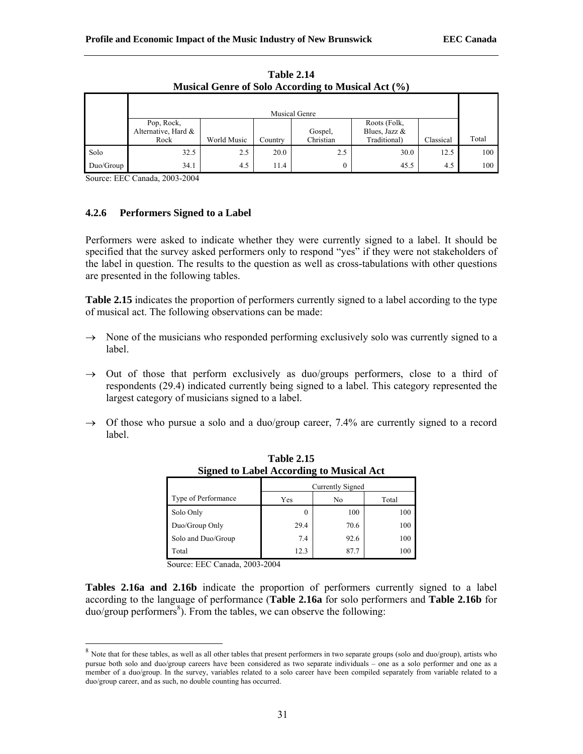|           | Musical Genre of Solo According to Musical Act (%) |             |         |                      |                                                 |           |       |  |  |  |  |
|-----------|----------------------------------------------------|-------------|---------|----------------------|-------------------------------------------------|-----------|-------|--|--|--|--|
|           |                                                    |             |         | <b>Musical Genre</b> |                                                 |           |       |  |  |  |  |
|           | Pop, Rock,<br>Alternative, Hard &<br>Rock          | World Music | Country | Gospel,<br>Christian | Roots (Folk,<br>Blues, Jazz $&$<br>Traditional) | Classical | Total |  |  |  |  |
| Solo      | 32.5                                               | 2.5         | 20.0    | 2.5                  | 30.0                                            | 12.5      | 100   |  |  |  |  |
| Duo/Group | 34.1                                               | 4.5         | 11.4    |                      | 45.5                                            | 4.5       | 100   |  |  |  |  |

**Table 2.14**   $M_{\text{initial}}$   $G_{\text{even}}$  of  $S_{\text{obs}}$   $A_{\text{second}}$   $M_{\text{initial}}$   $A_{\text{total}}$   $(0/2)$ 

l

## **4.2.6 Performers Signed to a Label**

Performers were asked to indicate whether they were currently signed to a label. It should be specified that the survey asked performers only to respond "yes" if they were not stakeholders of the label in question. The results to the question as well as cross-tabulations with other questions are presented in the following tables.

**Table 2.15** indicates the proportion of performers currently signed to a label according to the type of musical act. The following observations can be made:

- $\rightarrow$  None of the musicians who responded performing exclusively solo was currently signed to a label.
- $\rightarrow$  Out of those that perform exclusively as duo/groups performers, close to a third of respondents (29.4) indicated currently being signed to a label. This category represented the largest category of musicians signed to a label.
- $\rightarrow$  Of those who pursue a solo and a duo/group career, 7.4% are currently signed to a record label.

|                     | Currently Signed |      |       |  |
|---------------------|------------------|------|-------|--|
| Type of Performance | Yes              | No   | Total |  |
| Solo Only           | $_{0}$           | 100  | 100   |  |
| Duo/Group Only      | 29.4             | 70.6 | 100   |  |
| Solo and Duo/Group  | 7.4              | 92.6 | 100   |  |
| Total               | 12.3             | 87 7 | 100   |  |

**Table 2.15 Signed to Label According to Musical Act**

Source: EEC Canada, 2003-2004

**Tables 2.16a and 2.16b** indicate the proportion of performers currently signed to a label according to the language of performance (**Table 2.16a** for solo performers and **Table 2.16b** for duo/group performers<sup>8</sup>). From the tables, we can observe the following:

<sup>&</sup>lt;sup>8</sup> Note that for these tables, as well as all other tables that present performers in two separate groups (solo and duo/group), artists who pursue both solo and duo/group careers have been considered as two separate individuals – one as a solo performer and one as a member of a duo/group. In the survey, variables related to a solo career have been compiled separately from variable related to a duo/group career, and as such, no double counting has occurred.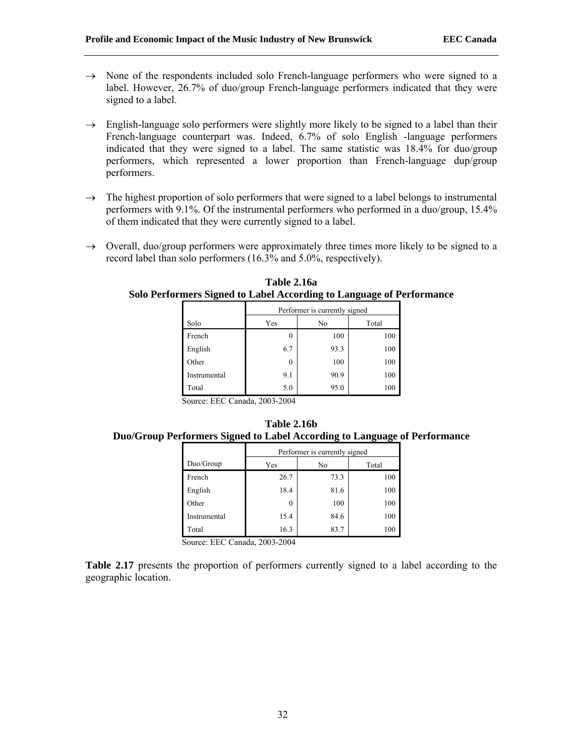- $\rightarrow$  None of the respondents included solo French-language performers who were signed to a label. However, 26.7% of duo/group French-language performers indicated that they were signed to a label.
- $\rightarrow$  English-language solo performers were slightly more likely to be signed to a label than their French-language counterpart was. Indeed, 6.7% of solo English -language performers indicated that they were signed to a label. The same statistic was 18.4% for duo/group performers, which represented a lower proportion than French-language dup/group performers.
- $\rightarrow$  The highest proportion of solo performers that were signed to a label belongs to instrumental performers with 9.1%. Of the instrumental performers who performed in a duo/group, 15.4% of them indicated that they were currently signed to a label.
- $\rightarrow$  Overall, duo/group performers were approximately three times more likely to be signed to a record label than solo performers (16.3% and 5.0%, respectively).

**Table 2.16a Solo Performers Signed to Label According to Language of Performance**

|              | Performer is currently signed |      |       |  |
|--------------|-------------------------------|------|-------|--|
| Solo         | Yes                           | No   | Total |  |
| French       | $_{0}$                        | 100  | 100   |  |
| English      | 6.7                           | 93.3 | 100   |  |
| Other        | $\theta$                      | 100  | 100   |  |
| Instrumental | 9.1                           | 90.9 | 100   |  |
| Total        | 5.0                           | 95.0 | 100   |  |

|  | Table 2.16b |                                                                           |
|--|-------------|---------------------------------------------------------------------------|
|  |             | Duo/Group Performers Signed to Label According to Language of Performance |

|              | Performer is currently signed |      |       |  |
|--------------|-------------------------------|------|-------|--|
| Duo/Group    | Yes                           | No   | Total |  |
| French       | 26.7                          | 73.3 | 100   |  |
| English      | 18.4                          | 81.6 | 100   |  |
| Other        |                               | 100  | 100   |  |
| Instrumental | 15.4                          | 84.6 | 100   |  |
| Total        | 16.3                          | 83.7 | 100   |  |

Source: EEC Canada, 2003-2004

**Table 2.17** presents the proportion of performers currently signed to a label according to the geographic location.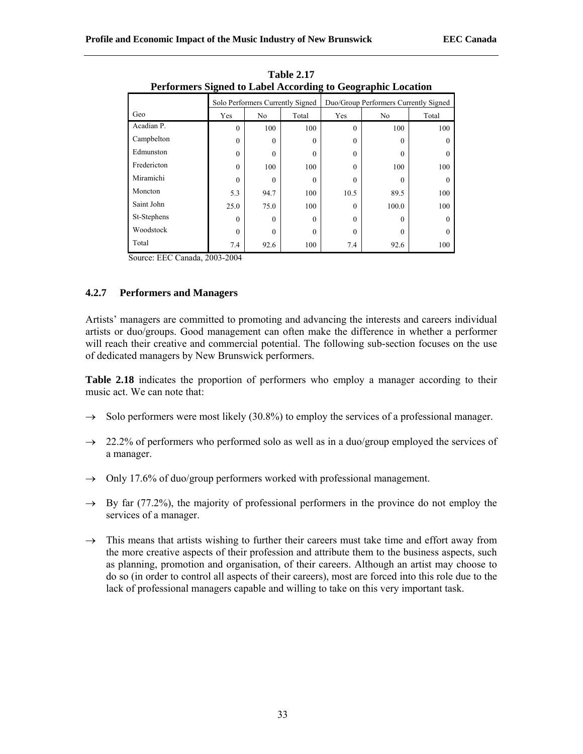| Performers Signed to Label According to Geographic Location |                                  |                |                                       |          |                |          |  |
|-------------------------------------------------------------|----------------------------------|----------------|---------------------------------------|----------|----------------|----------|--|
|                                                             | Solo Performers Currently Signed |                | Duo/Group Performers Currently Signed |          |                |          |  |
| Geo                                                         | Yes                              | N <sub>0</sub> | Total                                 | Yes      | N <sub>0</sub> | Total    |  |
| Acadian P.                                                  | $\theta$                         | 100            | 100                                   | $\theta$ | 100            | 100      |  |
| Campbelton                                                  | $\theta$                         | $\theta$       | $\theta$                              | 0        | $\Omega$       |          |  |
| Edmunston                                                   | $\Omega$                         | 0              | $\theta$                              | 0        |                |          |  |
| Fredericton                                                 | $\Omega$                         | 100            | 100                                   | $\theta$ | 100            | 100      |  |
| Miramichi                                                   | 0                                | 0              | $\Omega$                              | 0        |                | $\Omega$ |  |
| Moncton                                                     | 5.3                              | 94.7           | 100                                   | 10.5     | 89.5           | 100      |  |
| Saint John                                                  | 25.0                             | 75.0           | 100                                   | $\theta$ | 100.0          | 100      |  |
| St-Stephens                                                 | 0                                | $\Omega$       | $\theta$                              | $\theta$ | 0              | $\Omega$ |  |
| Woodstock                                                   | $\theta$                         | 0              | $\theta$                              | $\theta$ | 0              | $\Omega$ |  |
| Total                                                       | 7.4                              | 92.6           | 100                                   | 7.4      | 92.6           | 100      |  |

**Table 2.17 Performers Signed to Label According to Geographic Location**

## **4.2.7 Performers and Managers**

Artists' managers are committed to promoting and advancing the interests and careers individual artists or duo/groups. Good management can often make the difference in whether a performer will reach their creative and commercial potential. The following sub-section focuses on the use of dedicated managers by New Brunswick performers.

Table 2.18 indicates the proportion of performers who employ a manager according to their music act. We can note that:

- $\rightarrow$  Solo performers were most likely (30.8%) to employ the services of a professional manager.
- $\rightarrow$  22.2% of performers who performed solo as well as in a duo/group employed the services of a manager.
- $\rightarrow$  Only 17.6% of duo/group performers worked with professional management.
- $\rightarrow$  By far (77.2%), the majority of professional performers in the province do not employ the services of a manager.
- $\rightarrow$  This means that artists wishing to further their careers must take time and effort away from the more creative aspects of their profession and attribute them to the business aspects, such as planning, promotion and organisation, of their careers. Although an artist may choose to do so (in order to control all aspects of their careers), most are forced into this role due to the lack of professional managers capable and willing to take on this very important task.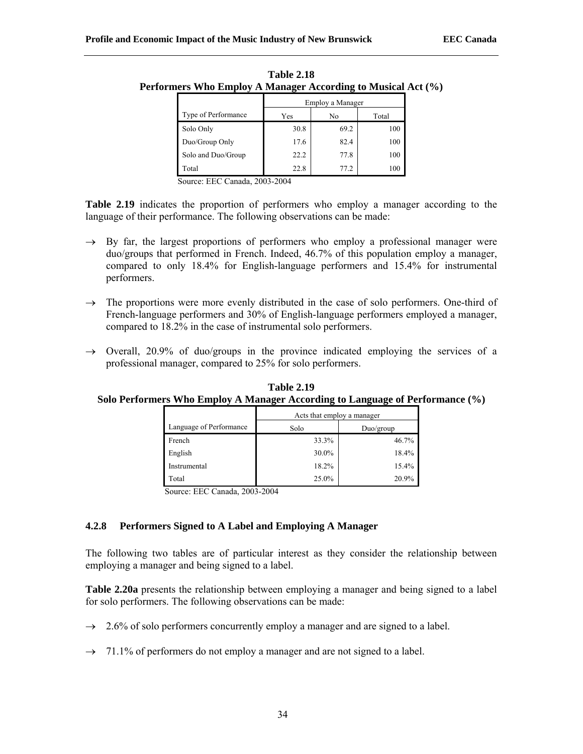| rmers wno Employ A Manager According to Musical Ac |                     |                  |      |       |  |
|----------------------------------------------------|---------------------|------------------|------|-------|--|
|                                                    |                     | Employ a Manager |      |       |  |
|                                                    | Type of Performance | Yes              | No   | Total |  |
|                                                    | Solo Only           | 30.8             | 69.2 | 100   |  |
|                                                    | Duo/Group Only      | 17.6             | 82.4 | 100   |  |
|                                                    | Solo and Duo/Group  | 22.2             | 77.8 | 100   |  |
|                                                    | Total               | 22.8             | 77.2 | 100   |  |

| Table 2.18                                                   |
|--------------------------------------------------------------|
| Performers Who Employ A Manager According to Musical Act (%) |

Table 2.19 indicates the proportion of performers who employ a manager according to the language of their performance. The following observations can be made:

- $\rightarrow$  By far, the largest proportions of performers who employ a professional manager were duo/groups that performed in French. Indeed, 46.7% of this population employ a manager, compared to only 18.4% for English-language performers and 15.4% for instrumental performers.
- $\rightarrow$  The proportions were more evenly distributed in the case of solo performers. One-third of French-language performers and 30% of English-language performers employed a manager, compared to 18.2% in the case of instrumental solo performers.
- $\rightarrow$  Overall, 20.9% of duo/groups in the province indicated employing the services of a professional manager, compared to 25% for solo performers.

|                         | Acts that employ a manager |           |  |
|-------------------------|----------------------------|-----------|--|
| Language of Performance | Solo                       | Duo/group |  |
| French                  | 33.3%                      | 46.7%     |  |
| English                 | 30.0%                      | 18.4%     |  |
| Instrumental            | 18.2%                      | 15.4%     |  |
| Total                   | 25.0%                      | 20.9%     |  |

**Table 2.19 Solo Performers Who Employ A Manager According to Language of Performance (%)**

Source: EEC Canada, 2003-2004

## **4.2.8 Performers Signed to A Label and Employing A Manager**

The following two tables are of particular interest as they consider the relationship between employing a manager and being signed to a label.

**Table 2.20a** presents the relationship between employing a manager and being signed to a label for solo performers. The following observations can be made:

- $\rightarrow$  2.6% of solo performers concurrently employ a manager and are signed to a label.
- $\rightarrow$  71.1% of performers do not employ a manager and are not signed to a label.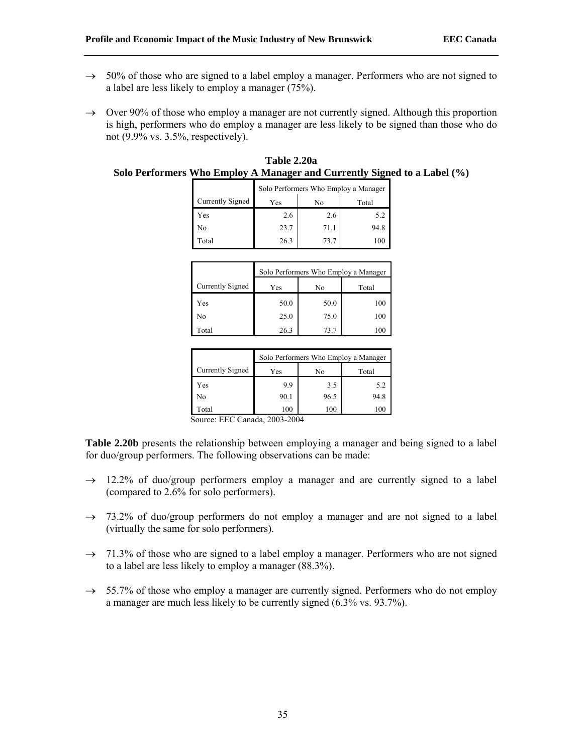- $\rightarrow$  50% of those who are signed to a label employ a manager. Performers who are not signed to a label are less likely to employ a manager (75%).
- $\rightarrow$  Over 90% of those who employ a manager are not currently signed. Although this proportion is high, performers who do employ a manager are less likely to be signed than those who do not (9.9% vs. 3.5%, respectively).

|                  | Solo Performers Who Employ a Manager |      |       |
|------------------|--------------------------------------|------|-------|
| Currently Signed | Yes                                  | No   | Total |
| Yes              | 2.6                                  | 2.6  | 5.2   |
| No               | 23.7                                 | 71.1 | 94.8  |
| Total            | 26.3                                 | 73.7 | 100   |

| Table 2.20a                                                              |
|--------------------------------------------------------------------------|
| Solo Performers Who Employ A Manager and Currently Signed to a Label (%) |

|                  | Solo Performers Who Employ a Manager |      |       |
|------------------|--------------------------------------|------|-------|
| Currently Signed | Yes                                  | No   | Total |
| Yes              | 50.0                                 | 50.0 | 100   |
| No               | 25.0                                 | 75.0 | 100   |
| Total            | 26.3                                 | 73.7 | 100   |

|                  | Solo Performers Who Employ a Manager |      |       |  |
|------------------|--------------------------------------|------|-------|--|
| Currently Signed | Yes                                  | No   | Total |  |
| Yes              | 9.9                                  | 3.5  | 5.2   |  |
| No               | 90.1                                 | 96.5 | 94.8  |  |
| Total            | 100                                  | 100  | 100   |  |

**Table 2.20b** presents the relationship between employing a manager and being signed to a label for duo/group performers. The following observations can be made:

- $\rightarrow$  12.2% of duo/group performers employ a manager and are currently signed to a label (compared to 2.6% for solo performers).
- $\rightarrow$  73.2% of duo/group performers do not employ a manager and are not signed to a label (virtually the same for solo performers).
- $\rightarrow$  71.3% of those who are signed to a label employ a manager. Performers who are not signed to a label are less likely to employ a manager (88.3%).
- $\rightarrow$  55.7% of those who employ a manager are currently signed. Performers who do not employ a manager are much less likely to be currently signed (6.3% vs. 93.7%).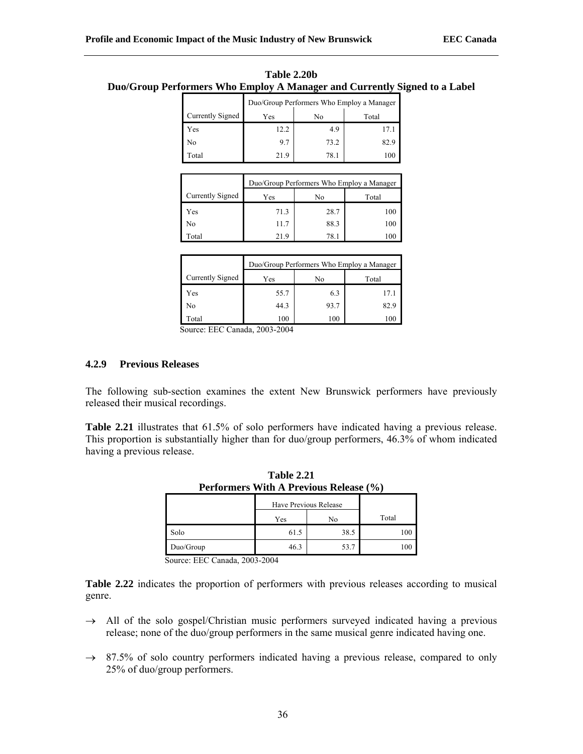|                  | Duo/Group Performers Who Employ a Manager |      |       |  |  |  |  |
|------------------|-------------------------------------------|------|-------|--|--|--|--|
| Currently Signed | Yes                                       | No   | Total |  |  |  |  |
| Yes              | 12.2                                      | 4.9  | 17.1  |  |  |  |  |
| No               | 97                                        | 73.2 | 82.9  |  |  |  |  |
| Total            | 219                                       | 78.1 | 100   |  |  |  |  |

| Table 2.20b                                                               |
|---------------------------------------------------------------------------|
| Duo/Group Performers Who Employ A Manager and Currently Signed to a Label |

|                  | Duo/Group Performers Who Employ a Manager |      |       |  |  |  |  |  |
|------------------|-------------------------------------------|------|-------|--|--|--|--|--|
| Currently Signed | Yes                                       | No   | Total |  |  |  |  |  |
| Yes              | 71.3                                      | 28.7 | 100   |  |  |  |  |  |
| No               | 11.7                                      | 88.3 | 100   |  |  |  |  |  |
| Total            | 219                                       | 78.1 | 10    |  |  |  |  |  |

|                  | Duo/Group Performers Who Employ a Manager |      |       |  |  |  |  |  |
|------------------|-------------------------------------------|------|-------|--|--|--|--|--|
| Currently Signed | Yes                                       | No   | Total |  |  |  |  |  |
| Yes              | 55.7                                      | 6.3  | 17.1  |  |  |  |  |  |
| No               | 44.3                                      | 93.7 | 82.9  |  |  |  |  |  |
| Total            | 100                                       | 100  | 100   |  |  |  |  |  |

#### **4.2.9 Previous Releases**

The following sub-section examines the extent New Brunswick performers have previously released their musical recordings.

**Table 2.21** illustrates that 61.5% of solo performers have indicated having a previous release. This proportion is substantially higher than for duo/group performers, 46.3% of whom indicated having a previous release.

**Table 2.21** 

| Performers With A Previous Release (%) |                       |      |       |  |  |  |  |
|----------------------------------------|-----------------------|------|-------|--|--|--|--|
|                                        | Have Previous Release |      |       |  |  |  |  |
|                                        | Yes                   | No   | Total |  |  |  |  |
| Solo                                   | 61.5                  | 38.5 | 100   |  |  |  |  |
| Duo/Group                              | 46.3                  | 53.7 | 100   |  |  |  |  |

Source: EEC Canada, 2003-2004

**Table 2.22** indicates the proportion of performers with previous releases according to musical genre.

- $\rightarrow$  All of the solo gospel/Christian music performers surveyed indicated having a previous release; none of the duo/group performers in the same musical genre indicated having one.
- $\rightarrow$  87.5% of solo country performers indicated having a previous release, compared to only 25% of duo/group performers.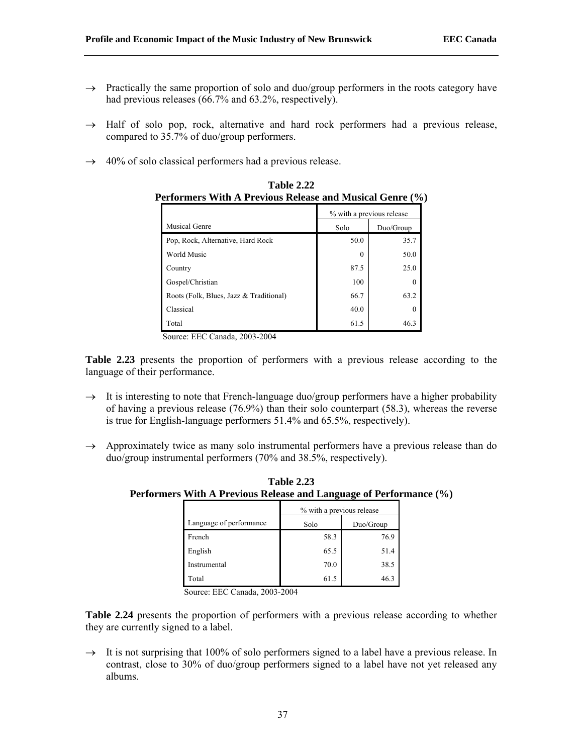- $\rightarrow$  Practically the same proportion of solo and duo/group performers in the roots category have had previous releases (66.7% and 63.2%, respectively).
- $\rightarrow$  Half of solo pop, rock, alternative and hard rock performers had a previous release, compared to 35.7% of duo/group performers.
- $\rightarrow$  40% of solo classical performers had a previous release.

| <u>el Iornicio</u><br>TTC+10us Ixchease and Musical Ochite (7) |                           |           |  |
|----------------------------------------------------------------|---------------------------|-----------|--|
|                                                                | % with a previous release |           |  |
| Musical Genre                                                  | Solo                      | Duo/Group |  |
| Pop, Rock, Alternative, Hard Rock                              | 50.0                      | 35.7      |  |
| <b>World Music</b>                                             | $\theta$                  | 50.0      |  |
| Country                                                        | 87.5                      | 25.0      |  |
| Gospel/Christian                                               | 100                       | $\Omega$  |  |
| Roots (Folk, Blues, Jazz & Traditional)                        | 66.7                      | 63.2      |  |
| Classical                                                      | 40.0                      | $\Omega$  |  |
| Total                                                          | 61.5                      | 46.3      |  |

**Table 2.22 Performers With A Previous Release and Musical Genre (%)**

**Table 2.23** presents the proportion of performers with a previous release according to the language of their performance.

- $\rightarrow$  It is interesting to note that French-language duo/group performers have a higher probability of having a previous release (76.9%) than their solo counterpart (58.3), whereas the reverse is true for English-language performers 51.4% and 65.5%, respectively).
- $\rightarrow$  Approximately twice as many solo instrumental performers have a previous release than do duo/group instrumental performers (70% and 38.5%, respectively).

|                         | mers With A Previous Release and Language of Performa |           |  |  |  |  |  |
|-------------------------|-------------------------------------------------------|-----------|--|--|--|--|--|
|                         | % with a previous release                             |           |  |  |  |  |  |
| Language of performance | Solo                                                  | Duo/Group |  |  |  |  |  |
| French                  | 58.3                                                  | 76.9      |  |  |  |  |  |
| English                 | 65.5                                                  | 51.4      |  |  |  |  |  |
| Instrumental            | 70.0                                                  | 38.5      |  |  |  |  |  |
| Total                   | 61.5                                                  | 46.3      |  |  |  |  |  |

**Table 2.23 Performers With A Previous Release and Language of Performance (%)**

Source: EEC Canada, 2003-2004

**Table 2.24** presents the proportion of performers with a previous release according to whether they are currently signed to a label.

 $\rightarrow$  It is not surprising that 100% of solo performers signed to a label have a previous release. In contrast, close to 30% of duo/group performers signed to a label have not yet released any albums.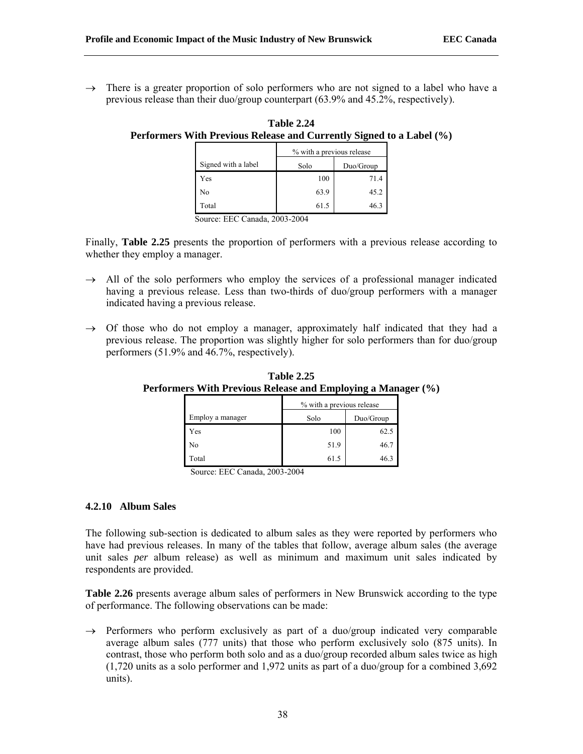$\rightarrow$  There is a greater proportion of solo performers who are not signed to a label who have a previous release than their duo/group counterpart (63.9% and 45.2%, respectively).

|                     | % with a previous release |           |  |  |  |
|---------------------|---------------------------|-----------|--|--|--|
| Signed with a label | Solo                      | Duo/Group |  |  |  |
| Yes                 | 100                       | 71.4      |  |  |  |
| No                  | 63.9                      | 45.2      |  |  |  |
| Total               | 61.5                      | 46.3      |  |  |  |

**Table 2.24 Performers With Previous Release and Currently Signed to a Label (%)**

Source: EEC Canada, 2003-2004

Finally, **Table 2.25** presents the proportion of performers with a previous release according to whether they employ a manager.

- $\rightarrow$  All of the solo performers who employ the services of a professional manager indicated having a previous release. Less than two-thirds of duo/group performers with a manager indicated having a previous release.
- $\rightarrow$  Of those who do not employ a manager, approximately half indicated that they had a previous release. The proportion was slightly higher for solo performers than for duo/group performers (51.9% and 46.7%, respectively).

|                  | % with a previous release |           |  |  |
|------------------|---------------------------|-----------|--|--|
| Employ a manager | Solo                      | Duo/Group |  |  |
| Yes              | 100                       | 62.5      |  |  |
| No               | 51.9                      | 46.7      |  |  |
| Total            | 61.5                      | 46.3      |  |  |

**Table 2.25 Performers With Previous Release and Employing a Manager (%)**

Source: EEC Canada, 2003-2004

#### **4.2.10 Album Sales**

The following sub-section is dedicated to album sales as they were reported by performers who have had previous releases. In many of the tables that follow, average album sales (the average unit sales *per* album release) as well as minimum and maximum unit sales indicated by respondents are provided.

**Table 2.26** presents average album sales of performers in New Brunswick according to the type of performance. The following observations can be made:

 $\rightarrow$  Performers who perform exclusively as part of a duo/group indicated very comparable average album sales (777 units) that those who perform exclusively solo (875 units). In contrast, those who perform both solo and as a duo/group recorded album sales twice as high (1,720 units as a solo performer and 1,972 units as part of a duo/group for a combined 3,692 units).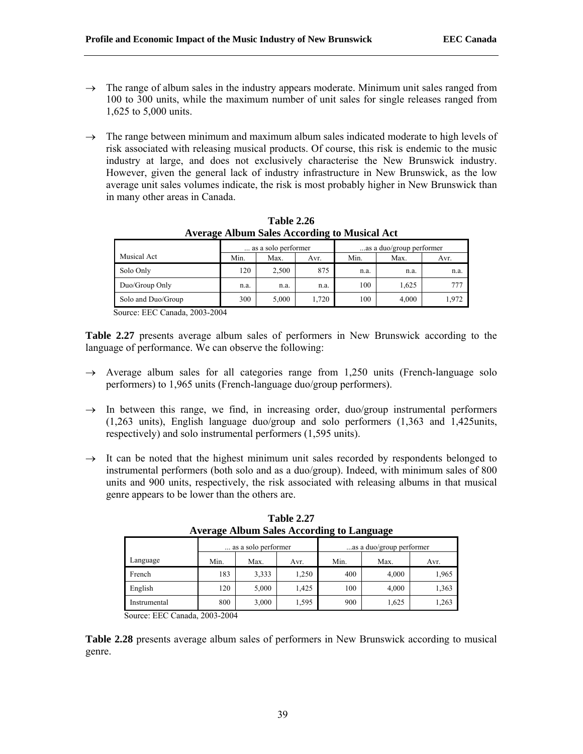- $\rightarrow$  The range of album sales in the industry appears moderate. Minimum unit sales ranged from 100 to 300 units, while the maximum number of unit sales for single releases ranged from 1,625 to 5,000 units.
- $\rightarrow$  The range between minimum and maximum album sales indicated moderate to high levels of risk associated with releasing musical products. Of course, this risk is endemic to the music industry at large, and does not exclusively characterise the New Brunswick industry. However, given the general lack of industry infrastructure in New Brunswick, as the low average unit sales volumes indicate, the risk is most probably higher in New Brunswick than in many other areas in Canada.

|                    | as a solo performer |       |      | as a duo/group performer |       |                 |  |
|--------------------|---------------------|-------|------|--------------------------|-------|-----------------|--|
| Musical Act        | Min.                | Max.  | Avr. | Min.                     | Max.  | Avr.            |  |
| Solo Only          | 120                 | 2,500 | 875  | n.a.                     | n.a.  | n.a.            |  |
| Duo/Group Only     | n.a.                | n.a.  | n.a. | 100                      | 1.625 | 77 <sub>1</sub> |  |
| Solo and Duo/Group | 300                 | 5.000 | .720 | 100                      | 4,000 | 1.972           |  |

**Table 2.26 Average Album Sales According to Musical Act**

**Table 2.27** presents average album sales of performers in New Brunswick according to the language of performance. We can observe the following:

- $\rightarrow$  Average album sales for all categories range from 1,250 units (French-language solo performers) to 1,965 units (French-language duo/group performers).
- $\rightarrow$  In between this range, we find, in increasing order, duo/group instrumental performers (1,263 units), English language duo/group and solo performers (1,363 and 1,425units, respectively) and solo instrumental performers (1,595 units).
- $\rightarrow$  It can be noted that the highest minimum unit sales recorded by respondents belonged to instrumental performers (both solo and as a duo/group). Indeed, with minimum sales of 800 units and 900 units, respectively, the risk associated with releasing albums in that musical genre appears to be lower than the others are.

|              | as a solo performer |       |       | as a duo/group performer |       |       |
|--------------|---------------------|-------|-------|--------------------------|-------|-------|
| Language     | Min.                | Max.  | Avr.  | Min.                     | Max.  | Avr.  |
| French       | 183                 | 3,333 | 1,250 | 400                      | 4,000 | 1,965 |
| English      | 120                 | 5,000 | 1,425 | 100                      | 4,000 | 1,363 |
| Instrumental | 800                 | 3,000 | 1,595 | 900                      | 1,625 | 1,263 |

**Table 2.27 Average Album Sales According to Language**

Source: EEC Canada, 2003-2004

**Table 2.28** presents average album sales of performers in New Brunswick according to musical genre.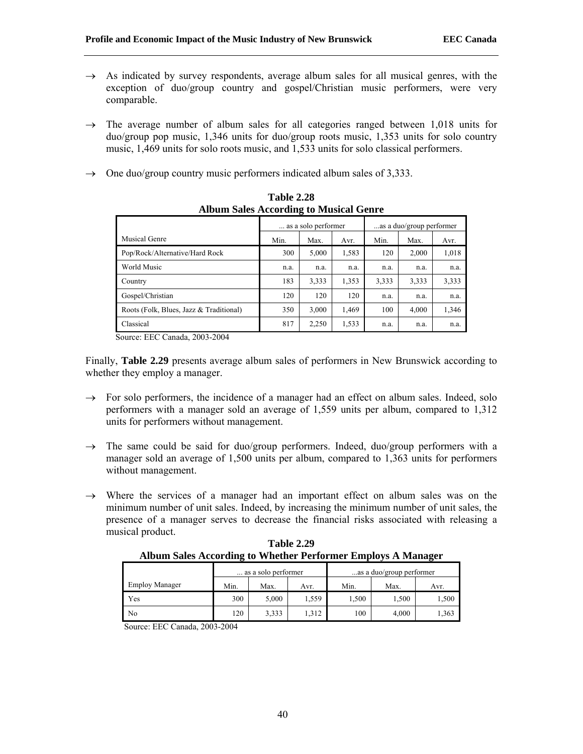- $\rightarrow$  As indicated by survey respondents, average album sales for all musical genres, with the exception of duo/group country and gospel/Christian music performers, were very comparable.
- $\rightarrow$  The average number of album sales for all categories ranged between 1,018 units for duo/group pop music, 1,346 units for duo/group roots music, 1,353 units for solo country music, 1,469 units for solo roots music, and 1,533 units for solo classical performers.
- $\rightarrow$  One duo/group country music performers indicated album sales of 3,333.

|                                         |      | as a solo performer |       | as a duo/group performer |       |       |
|-----------------------------------------|------|---------------------|-------|--------------------------|-------|-------|
| Musical Genre                           | Min. | Max.                | Avr.  | Min.                     | Max.  | Avr.  |
| Pop/Rock/Alternative/Hard Rock          | 300  | 5,000               | 1,583 | 120                      | 2,000 | 1,018 |
| World Music                             | n.a. | n.a.                | n.a.  | n.a.                     | n.a.  | n.a.  |
| Country                                 | 183  | 3,333               | 1,353 | 3,333                    | 3,333 | 3,333 |
| Gospel/Christian                        | 120  | 120                 | 120   | n.a.                     | n.a.  | n.a.  |
| Roots (Folk, Blues, Jazz & Traditional) | 350  | 3,000               | 1,469 | 100                      | 4,000 | 1,346 |
| Classical                               | 817  | 2,250               | 1,533 | n.a.                     | n.a.  | n.a.  |

**Table 2.28 Album Sales According to Musical Genre** 

Finally, **Table 2.29** presents average album sales of performers in New Brunswick according to whether they employ a manager.

- $\rightarrow$  For solo performers, the incidence of a manager had an effect on album sales. Indeed, solo performers with a manager sold an average of 1,559 units per album, compared to 1,312 units for performers without management.
- $\rightarrow$  The same could be said for duo/group performers. Indeed, duo/group performers with a manager sold an average of 1,500 units per album, compared to 1,363 units for performers without management.
- $\rightarrow$  Where the services of a manager had an important effect on album sales was on the minimum number of unit sales. Indeed, by increasing the minimum number of unit sales, the presence of a manager serves to decrease the financial risks associated with releasing a musical product.

|                       |      | as a solo performer |       | as a duo/group performer |       |       |  |
|-----------------------|------|---------------------|-------|--------------------------|-------|-------|--|
| <b>Employ Manager</b> | Min. | Max.                | Avr.  | Min.                     | Max.  | Avr.  |  |
| Yes                   | 300  | 5,000               | 1,559 | 1,500                    | 1.500 | 1,500 |  |
| N <sub>0</sub>        | 120  | 3.333               | 1,312 | 100                      | 4,000 | 1,363 |  |

**Table 2.29 Album Sales According to Whether Performer Employs A Manager**

Source: EEC Canada, 2003-2004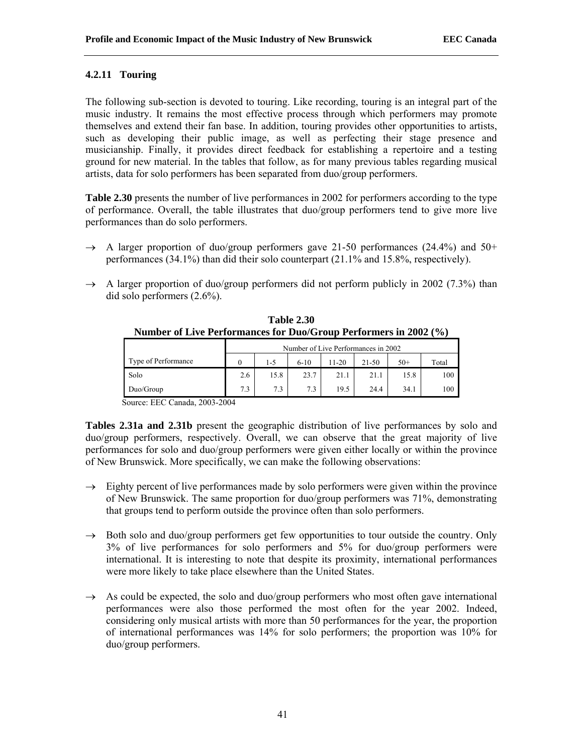## **4.2.11 Touring**

The following sub-section is devoted to touring. Like recording, touring is an integral part of the music industry. It remains the most effective process through which performers may promote themselves and extend their fan base. In addition, touring provides other opportunities to artists, such as developing their public image, as well as perfecting their stage presence and musicianship. Finally, it provides direct feedback for establishing a repertoire and a testing ground for new material. In the tables that follow, as for many previous tables regarding musical artists, data for solo performers has been separated from duo/group performers.

**Table 2.30** presents the number of live performances in 2002 for performers according to the type of performance. Overall, the table illustrates that duo/group performers tend to give more live performances than do solo performers.

- $\rightarrow$  A larger proportion of duo/group performers gave 21-50 performances (24.4%) and 50+ performances (34.1%) than did their solo counterpart (21.1% and 15.8%, respectively).
- $\rightarrow$  A larger proportion of duo/group performers did not perform publicly in 2002 (7.3%) than did solo performers (2.6%).

| <b>Table 2.30</b><br>Number of Live Performances for Duo/Group Performers in 2002 (%) |
|---------------------------------------------------------------------------------------|
| Number of Live Performances in 2002                                                   |

|                     | Number of Live Performances in 2002 |      |          |       |           |       |       |
|---------------------|-------------------------------------|------|----------|-------|-----------|-------|-------|
| Type of Performance |                                     | 1-5  | $6 - 10$ | 11-20 | $21 - 50$ | $50+$ | Total |
| Solo                | 2.6                                 | 15.8 | 23.7     |       | 21.1      | 15.8  | 100   |
| Duo/Group           | 7.3                                 | 7.3  | 7.3      | 19.5  | 24.4      | 34.1  | 100   |

Source: EEC Canada, 2003-2004

**Tables 2.31a and 2.31b** present the geographic distribution of live performances by solo and duo/group performers, respectively. Overall, we can observe that the great majority of live performances for solo and duo/group performers were given either locally or within the province of New Brunswick. More specifically, we can make the following observations:

- $\rightarrow$  Eighty percent of live performances made by solo performers were given within the province of New Brunswick. The same proportion for duo/group performers was 71%, demonstrating that groups tend to perform outside the province often than solo performers.
- $\rightarrow$  Both solo and duo/group performers get few opportunities to tour outside the country. Only 3% of live performances for solo performers and 5% for duo/group performers were international. It is interesting to note that despite its proximity, international performances were more likely to take place elsewhere than the United States.
- $\rightarrow$  As could be expected, the solo and duo/group performers who most often gave international performances were also those performed the most often for the year 2002. Indeed, considering only musical artists with more than 50 performances for the year, the proportion of international performances was 14% for solo performers; the proportion was 10% for duo/group performers.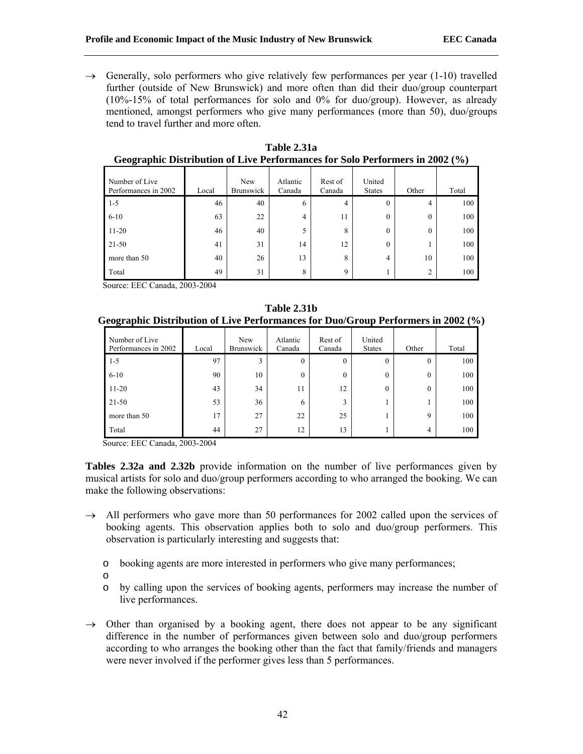$\rightarrow$  Generally, solo performers who give relatively few performances per year (1-10) travelled further (outside of New Brunswick) and more often than did their duo/group counterpart (10%-15% of total performances for solo and 0% for duo/group). However, as already mentioned, amongst performers who give many performances (more than 50), duo/groups tend to travel further and more often.

| Number of Live<br>Performances in 2002 | Local | New<br><b>Brunswick</b> | Atlantic<br>Canada | Rest of<br>Canada | United<br><b>States</b> | Other         | Total |
|----------------------------------------|-------|-------------------------|--------------------|-------------------|-------------------------|---------------|-------|
| $1 - 5$                                | 46    | 40                      | 6                  | 4                 | $\theta$                | 4             | 100   |
| $6 - 10$                               | 63    | 22                      | 4                  | 11                | $\theta$                | $\theta$      | 100   |
| $11 - 20$                              | 46    | 40                      | 5                  | 8                 | $\theta$                | $\Omega$      | 100   |
| 21-50                                  | 41    | 31                      | 14                 | 12                | $\theta$                |               | 100   |
| more than 50                           | 40    | 26                      | 13                 | 8                 | 4                       | 10            | 100   |
| Total                                  | 49    | 31                      | 8                  | 9                 |                         | $\mathcal{L}$ | 100   |

**Table 2.31a Geographic Distribution of Live Performances for Solo Performers in 2002 (%)**

Source: EEC Canada, 2003-2004

**Table 2.31b Geographic Distribution of Live Performances for Duo/Group Performers in 2002 (%)**

| Number of Live<br>Performances in 2002 | Local | New<br><b>Brunswick</b> | Atlantic<br>Canada | Rest of<br>Canada | United<br><b>States</b> | Other       | Total |
|----------------------------------------|-------|-------------------------|--------------------|-------------------|-------------------------|-------------|-------|
| $1 - 5$                                | 97    | 3                       | $\mathbf{0}$       | $\theta$          | 0                       | $\theta$    | 100   |
| $6 - 10$                               | 90    | 10                      | $\theta$           | $\theta$          | 0                       | $\Omega$    | 100   |
| $11 - 20$                              | 43    | 34                      | 11                 | 12                | 0                       | $\theta$    | 100   |
| $21 - 50$                              | 53    | 36                      | 6                  | 3                 |                         |             | 100   |
| more than 50                           | 17    | 27                      | 22                 | 25                |                         | $\mathbf Q$ | 100   |
| Total                                  | 44    | 27                      | 12                 | 13                |                         | 4           | 100   |

Source: EEC Canada, 2003-2004

**Tables 2.32a and 2.32b** provide information on the number of live performances given by musical artists for solo and duo/group performers according to who arranged the booking. We can make the following observations:

- $\rightarrow$  All performers who gave more than 50 performances for 2002 called upon the services of booking agents. This observation applies both to solo and duo/group performers. This observation is particularly interesting and suggests that:
	- o booking agents are more interested in performers who give many performances;
	- o
	- o by calling upon the services of booking agents, performers may increase the number of live performances.
- $\rightarrow$  Other than organised by a booking agent, there does not appear to be any significant difference in the number of performances given between solo and duo/group performers according to who arranges the booking other than the fact that family/friends and managers were never involved if the performer gives less than 5 performances.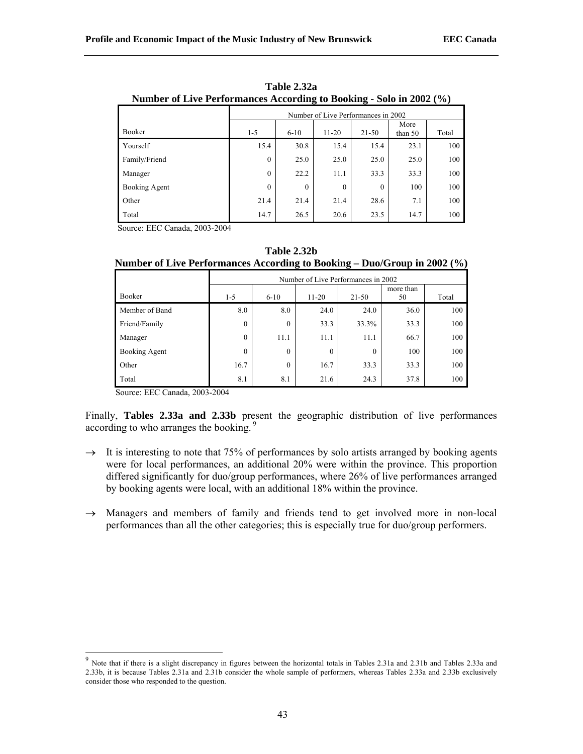|               | Number of Live Performances According to Booking - Solo in 2002 (%) |                                     |          |          |                 |       |  |
|---------------|---------------------------------------------------------------------|-------------------------------------|----------|----------|-----------------|-------|--|
|               |                                                                     | Number of Live Performances in 2002 |          |          |                 |       |  |
| Booker        | $1 - 5$                                                             | $6 - 10$                            | $11-20$  | 21-50    | More<br>than 50 | Total |  |
| Yourself      | 15.4                                                                | 30.8                                | 15.4     | 15.4     | 23.1            | 100   |  |
| Family/Friend | $\theta$                                                            | 25.0                                | 25.0     | 25.0     | 25.0            | 100   |  |
| Manager       | $\theta$                                                            | 22.2                                | 11.1     | 33.3     | 33.3            | 100   |  |
| Booking Agent | $\mathbf{0}$                                                        | $\mathbf{0}$                        | $\theta$ | $\theta$ | 100             | 100   |  |
| Other         | 21.4                                                                | 21.4                                | 21.4     | 28.6     | 7.1             | 100   |  |
| Total         | 14.7                                                                | 26.5                                | 20.6     | 23.5     | 14.7            | 100   |  |

**Table 2.32a Number of Live Performances According to Booking - Solo in 2002 (%)**

**Table 2.32b Number of Live Performances According to Booking – Duo/Group in 2002 (%)**

|                | Number of Live Performances in 2002 |              |          |           |                 |       |  |
|----------------|-------------------------------------|--------------|----------|-----------|-----------------|-------|--|
| Booker         | $1 - 5$                             | $6 - 10$     | $11-20$  | $21 - 50$ | more than<br>50 | Total |  |
| Member of Band | 8.0                                 | 8.0          | 24.0     | 24.0      | 36.0            | 100   |  |
| Friend/Family  | $\theta$                            | $\mathbf{0}$ | 33.3     | 33.3%     | 33.3            | 100   |  |
| Manager        | $\theta$                            | 11.1         | 11.1     | 11.1      | 66.7            | 100   |  |
| Booking Agent  | $\Omega$                            | $\mathbf{0}$ | $\theta$ | $\theta$  | 100             | 100   |  |
| Other          | 16.7                                | $\mathbf{0}$ | 16.7     | 33.3      | 33.3            | 100   |  |
| Total          | 8.1                                 | 8.1          | 21.6     | 24.3      | 37.8            | 100   |  |

Source: EEC Canada, 2003-2004

Finally, **Tables 2.33a and 2.33b** present the geographic distribution of live performances according to who arranges the booking.<sup>9</sup>

- $\rightarrow$  It is interesting to note that 75% of performances by solo artists arranged by booking agents were for local performances, an additional 20% were within the province. This proportion differed significantly for duo/group performances, where 26% of live performances arranged by booking agents were local, with an additional 18% within the province.
- → Managers and members of family and friends tend to get involved more in non-local performances than all the other categories; this is especially true for duo/group performers.

 $9$  Note that if there is a slight discrepancy in figures between the horizontal totals in Tables 2.31a and 2.31b and Tables 2.33a and 2.33b, it is because Tables 2.31a and 2.31b consider the whole sample of performers, whereas Tables 2.33a and 2.33b exclusively consider those who responded to the question.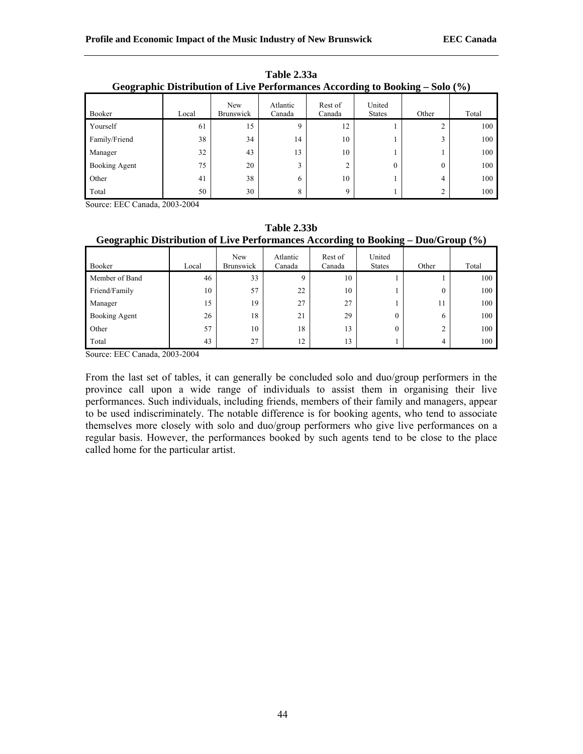|               | Geographic Distribution of Live Periormances According to Booking – Solo (%) |                  |                    |                   |                         |          |       |
|---------------|------------------------------------------------------------------------------|------------------|--------------------|-------------------|-------------------------|----------|-------|
| Booker        | Local                                                                        | New<br>Brunswick | Atlantic<br>Canada | Rest of<br>Canada | United<br><b>States</b> | Other    | Total |
| Yourself      | 61                                                                           | 15               | Q                  | 12                |                         |          | 100   |
| Family/Friend | 38                                                                           | 34               | 14                 | 10                |                         |          | 100   |
| Manager       | 32                                                                           | 43               | 13                 | 10                |                         |          | 100   |
| Booking Agent | 75                                                                           | 20               | 3                  | ⌒                 | $\theta$                | $\theta$ | 100   |
| Other         | 41                                                                           | 38               | 6                  | 10                |                         | 4        | 100   |
| Total         | 50                                                                           | 30               | 8                  | Q                 |                         | ◠        | 100   |

**Table 2.33a**   $Coormalio$  Distribution of Live Perform

|                | Geographic Distribution of Live Performances According to Booking – Duo/Group (%) |                         |                    |                   |                         |       |       |  |
|----------------|-----------------------------------------------------------------------------------|-------------------------|--------------------|-------------------|-------------------------|-------|-------|--|
| Booker         | Local                                                                             | New<br><b>Brunswick</b> | Atlantic<br>Canada | Rest of<br>Canada | United<br><b>States</b> | Other | Total |  |
| Member of Band | 46                                                                                | 33                      |                    | 10                |                         |       | 100   |  |
| Friend/Family  | 10                                                                                | 57                      | 22                 | 10                |                         | 0     | 100   |  |
| Manager        | 15                                                                                | 19                      | 27                 | 27                |                         | 11    | 100   |  |
| Booking Agent  | 26                                                                                | 18                      | 21                 | 29                | $\theta$                | 6     | 100   |  |
| Other          | 57                                                                                | 10                      | 18                 | 13                | 0                       |       | 100   |  |
| Total          | 43                                                                                | 27                      | 12                 | 13                |                         |       | 100   |  |

**Table 2.33b** 

Source: EEC Canada, 2003-2004

From the last set of tables, it can generally be concluded solo and duo/group performers in the province call upon a wide range of individuals to assist them in organising their live performances. Such individuals, including friends, members of their family and managers, appear to be used indiscriminately. The notable difference is for booking agents, who tend to associate themselves more closely with solo and duo/group performers who give live performances on a regular basis. However, the performances booked by such agents tend to be close to the place called home for the particular artist.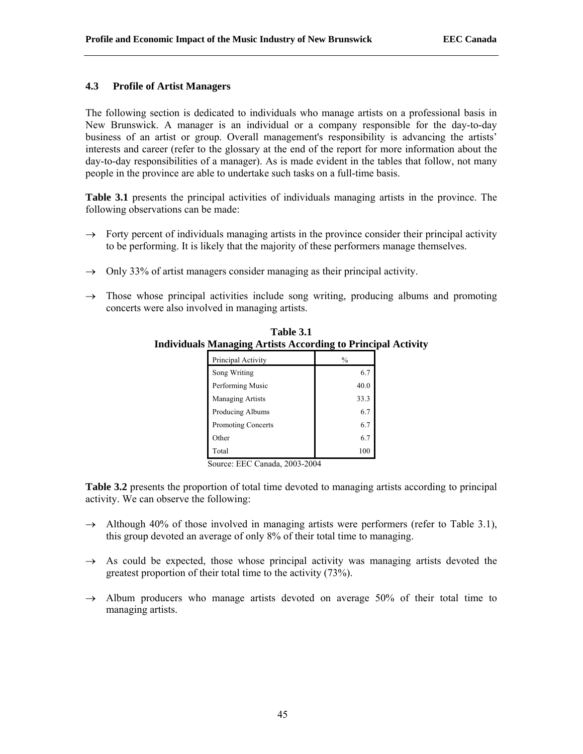## **4.3 Profile of Artist Managers**

The following section is dedicated to individuals who manage artists on a professional basis in New Brunswick. A manager is an individual or a company responsible for the day-to-day business of an artist or group. Overall management's responsibility is advancing the artists' interests and career (refer to the glossary at the end of the report for more information about the day-to-day responsibilities of a manager). As is made evident in the tables that follow, not many people in the province are able to undertake such tasks on a full-time basis.

**Table 3.1** presents the principal activities of individuals managing artists in the province. The following observations can be made:

- $\rightarrow$  Forty percent of individuals managing artists in the province consider their principal activity to be performing. It is likely that the majority of these performers manage themselves.
- $\rightarrow$  Only 33% of artist managers consider managing as their principal activity.
- $\rightarrow$  Those whose principal activities include song writing, producing albums and promoting concerts were also involved in managing artists.

| Principal Activity      | $\frac{0}{0}$ |
|-------------------------|---------------|
| Song Writing            | 6.7           |
| Performing Music        | 40.0          |
| <b>Managing Artists</b> | 33.3          |
| Producing Albums        | 6.7           |
| Promoting Concerts      | 6.7           |
| Other                   | 6.7           |
| Total                   | 100           |

**Table 3.1 Individuals Managing Artists According to Principal Activity** 

Source: EEC Canada, 2003-2004

**Table 3.2** presents the proportion of total time devoted to managing artists according to principal activity. We can observe the following:

- $\rightarrow$  Although 40% of those involved in managing artists were performers (refer to Table 3.1), this group devoted an average of only 8% of their total time to managing.
- $\rightarrow$  As could be expected, those whose principal activity was managing artists devoted the greatest proportion of their total time to the activity (73%).
- $\rightarrow$  Album producers who manage artists devoted on average 50% of their total time to managing artists.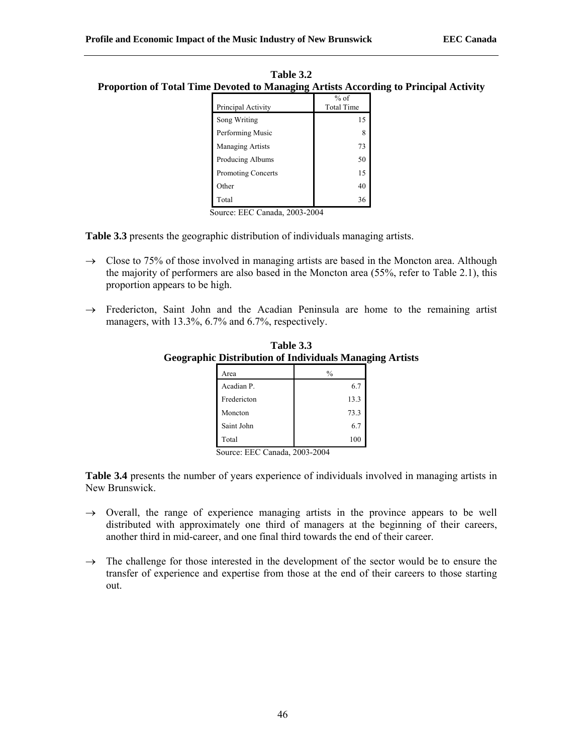| <b>Table 3.2</b>                                                                     |  |
|--------------------------------------------------------------------------------------|--|
| Proportion of Total Time Devoted to Managing Artists According to Principal Activity |  |

| Principal Activity        | $%$ of<br><b>Total Time</b> |
|---------------------------|-----------------------------|
| Song Writing              | 15                          |
| Performing Music          | 8                           |
| <b>Managing Artists</b>   | 73                          |
| Producing Albums          | 50                          |
| <b>Promoting Concerts</b> | 15                          |
| Other                     | 40                          |
| Total                     | 36                          |

**Table 3.3** presents the geographic distribution of individuals managing artists.

- $\rightarrow$  Close to 75% of those involved in managing artists are based in the Moncton area. Although the majority of performers are also based in the Moncton area (55%, refer to Table 2.1), this proportion appears to be high.
- $\rightarrow$  Fredericton, Saint John and the Acadian Peninsula are home to the remaining artist managers, with 13.3%, 6.7% and 6.7%, respectively.

| Area        | $\frac{0}{0}$ |
|-------------|---------------|
| Acadian P.  | 6.7           |
| Fredericton | 13.3          |
| Moncton     | 73.3          |
| Saint John  | 6.7           |
| Total       | 100           |

**Table 3.3 Geographic Distribution of Individuals Managing Artists**

Source: EEC Canada, 2003-2004

**Table 3.4** presents the number of years experience of individuals involved in managing artists in New Brunswick.

- $\rightarrow$  Overall, the range of experience managing artists in the province appears to be well distributed with approximately one third of managers at the beginning of their careers, another third in mid-career, and one final third towards the end of their career.
- $\rightarrow$  The challenge for those interested in the development of the sector would be to ensure the transfer of experience and expertise from those at the end of their careers to those starting out.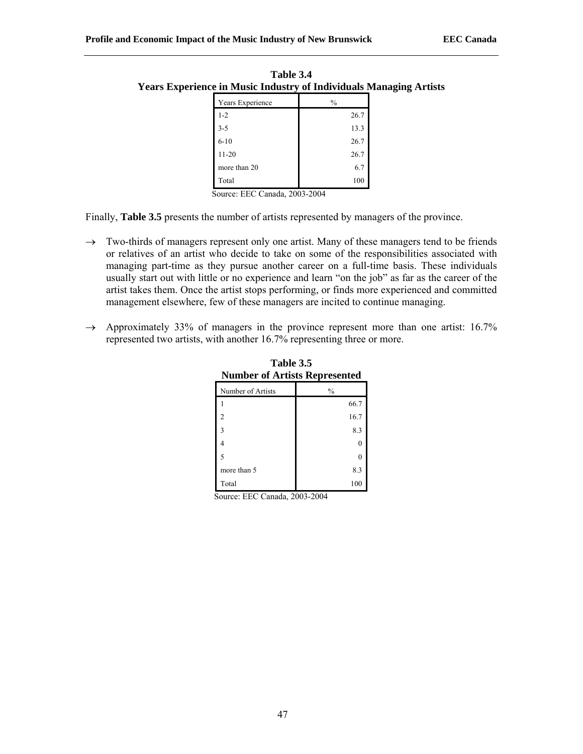| xperience in Music Industry of Individuals Managli |               |  |
|----------------------------------------------------|---------------|--|
| Years Experience                                   | $\frac{0}{0}$ |  |
| $1 - 2$                                            | 26.7          |  |
| $3 - 5$                                            | 13.3          |  |
| $6 - 10$                                           | 26.7          |  |
| $11 - 20$                                          | 26.7          |  |
| more than 20                                       | 6.7           |  |
| Total                                              | 100           |  |

**Table 3.4 Years Experience in Music Industry of Individuals Managing Artists**

Finally, **Table 3.5** presents the number of artists represented by managers of the province.

- $\rightarrow$  Two-thirds of managers represent only one artist. Many of these managers tend to be friends or relatives of an artist who decide to take on some of the responsibilities associated with managing part-time as they pursue another career on a full-time basis. These individuals usually start out with little or no experience and learn "on the job" as far as the career of the artist takes them. Once the artist stops performing, or finds more experienced and committed management elsewhere, few of these managers are incited to continue managing.
- $\rightarrow$  Approximately 33% of managers in the province represent more than one artist: 16.7% represented two artists, with another 16.7% representing three or more.

| Number of Artists | $\frac{0}{0}$ |
|-------------------|---------------|
|                   | 66.7          |
| 2                 | 16.7          |
| 3                 | 8.3           |
| 4                 | 0             |
| 5                 | 0             |
| more than 5       | 8.3           |
| Total             | 100           |

**Table 3.5 Number of Artists Represented**

Source: EEC Canada, 2003-2004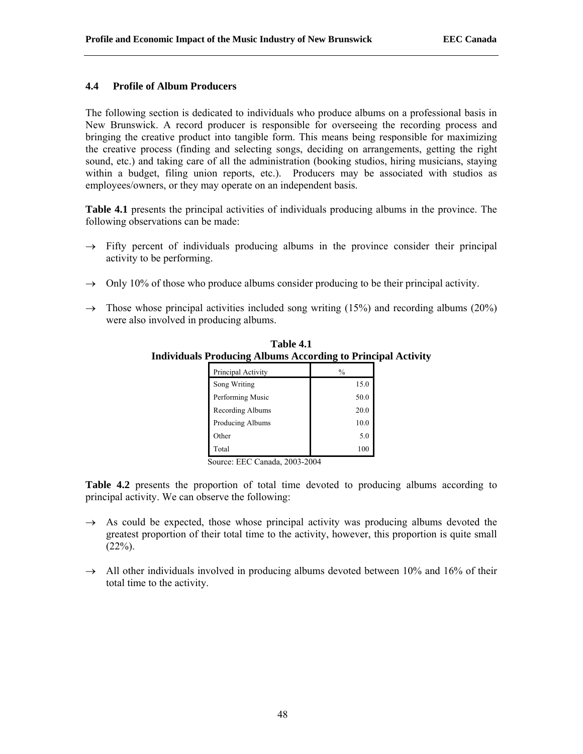## **4.4 Profile of Album Producers**

The following section is dedicated to individuals who produce albums on a professional basis in New Brunswick. A record producer is responsible for overseeing the recording process and bringing the creative product into tangible form. This means being responsible for maximizing the creative process (finding and selecting songs, deciding on arrangements, getting the right sound, etc.) and taking care of all the administration (booking studios, hiring musicians, staying within a budget, filing union reports, etc.). Producers may be associated with studios as employees/owners, or they may operate on an independent basis.

**Table 4.1** presents the principal activities of individuals producing albums in the province. The following observations can be made:

- $\rightarrow$  Fifty percent of individuals producing albums in the province consider their principal activity to be performing.
- $\rightarrow$  Only 10% of those who produce albums consider producing to be their principal activity.
- $\rightarrow$  Those whose principal activities included song writing (15%) and recording albums (20%) were also involved in producing albums.

| Principal Activity | $\frac{0}{0}$ |
|--------------------|---------------|
| Song Writing       | 15.0          |
| Performing Music   | 50.0          |
| Recording Albums   | 20.0          |
| Producing Albums   | 10.0          |
| Other              | 5.0           |
| Total              | 100           |

**Table 4.1 Individuals Producing Albums According to Principal Activity** 

Source: EEC Canada, 2003-2004

**Table 4.2** presents the proportion of total time devoted to producing albums according to principal activity. We can observe the following:

- $\rightarrow$  As could be expected, those whose principal activity was producing albums devoted the greatest proportion of their total time to the activity, however, this proportion is quite small  $(22\%).$
- $\rightarrow$  All other individuals involved in producing albums devoted between 10% and 16% of their total time to the activity.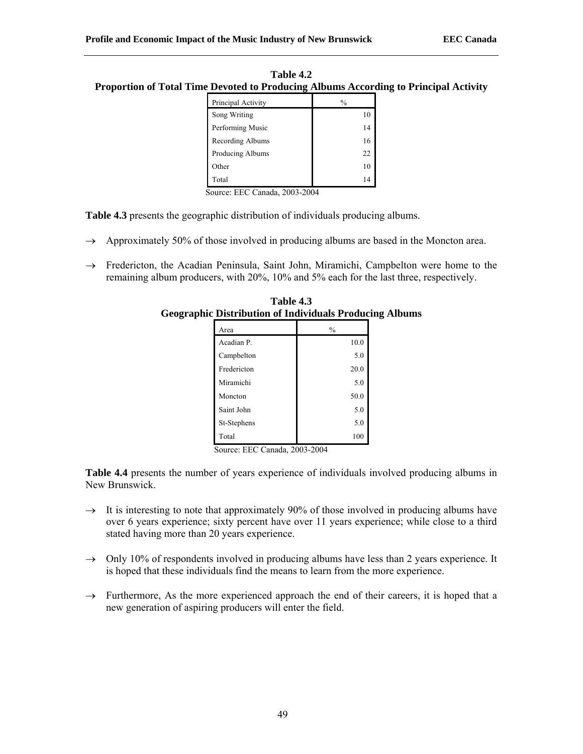| Table 4.2                                                                            |
|--------------------------------------------------------------------------------------|
| Proportion of Total Time Devoted to Producing Albums According to Principal Activity |

| $\frac{0}{0}$ |
|---------------|
| 10            |
| 14            |
| 16            |
| 22            |
| 10            |
| 14            |
|               |

**Table 4.3** presents the geographic distribution of individuals producing albums.

- $\rightarrow$  Approximately 50% of those involved in producing albums are based in the Moncton area.
- → Fredericton, the Acadian Peninsula, Saint John, Miramichi, Campbelton were home to the remaining album producers, with 20%, 10% and 5% each for the last three, respectively.

| плэнн<br>.<br>iurviuuais 1 ruun |               |  |
|---------------------------------|---------------|--|
| Area                            | $\frac{0}{0}$ |  |
| Acadian P.                      | 10.0          |  |
| Campbelton                      | 5.0           |  |
| Fredericton                     | 20.0          |  |
| Miramichi                       | 5.0           |  |
| Moncton                         | 50.0          |  |
| Saint John                      | 5.0           |  |
| St-Stephens                     | 5.0           |  |
| Total                           | 100           |  |

**Table 4.3 Geographic Distribution of Individuals Producing Albums**

Source: EEC Canada, 2003-2004

**Table 4.4** presents the number of years experience of individuals involved producing albums in New Brunswick.

- $\rightarrow$  It is interesting to note that approximately 90% of those involved in producing albums have over 6 years experience; sixty percent have over 11 years experience; while close to a third stated having more than 20 years experience.
- $\rightarrow$  Only 10% of respondents involved in producing albums have less than 2 years experience. It is hoped that these individuals find the means to learn from the more experience.
- $\rightarrow$  Furthermore, As the more experienced approach the end of their careers, it is hoped that a new generation of aspiring producers will enter the field.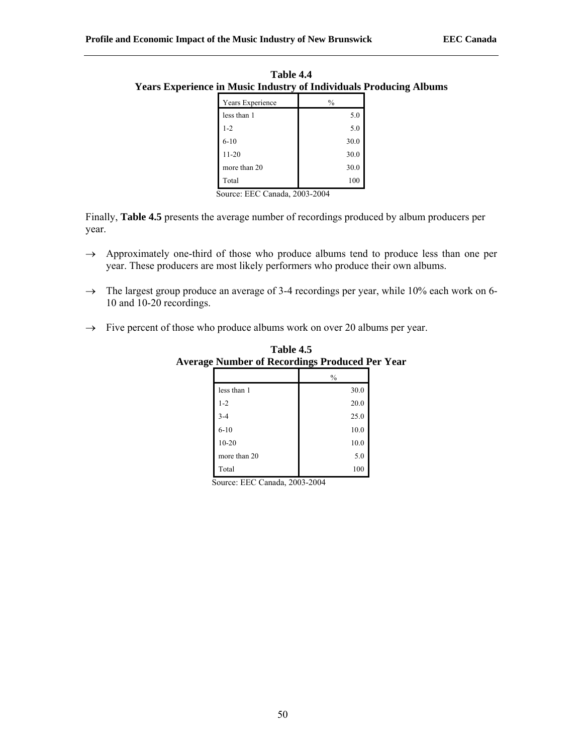| Years Experience | $\frac{0}{0}$ |
|------------------|---------------|
| less than 1      | 5.0           |
| $1 - 2$          | 5.0           |
| $6 - 10$         | 30.0          |
| $11 - 20$        | 30.0          |
| more than 20     | 30.0          |
| Total            | 100           |

**Table 4.4 Years Experience in Music Industry of Individuals Producing Albums** 

Finally, **Table 4.5** presents the average number of recordings produced by album producers per year.

- $\rightarrow$  Approximately one-third of those who produce albums tend to produce less than one per year. These producers are most likely performers who produce their own albums.
- $\rightarrow$  The largest group produce an average of 3-4 recordings per year, while 10% each work on 6-10 and 10-20 recordings.
- $\rightarrow$  Five percent of those who produce albums work on over 20 albums per year.

|              | $\frac{0}{0}$ |
|--------------|---------------|
| less than 1  | $30.0\,$      |
| $1 - 2$      | 20.0          |
| $3 - 4$      | 25.0          |
| $6 - 10$     | 10.0          |
| $10 - 20$    | 10.0          |
| more than 20 | 5.0           |
| Total        | 100           |

**Table 4.5 Average Number of Recordings Produced Per Year** 

Source: EEC Canada, 2003-2004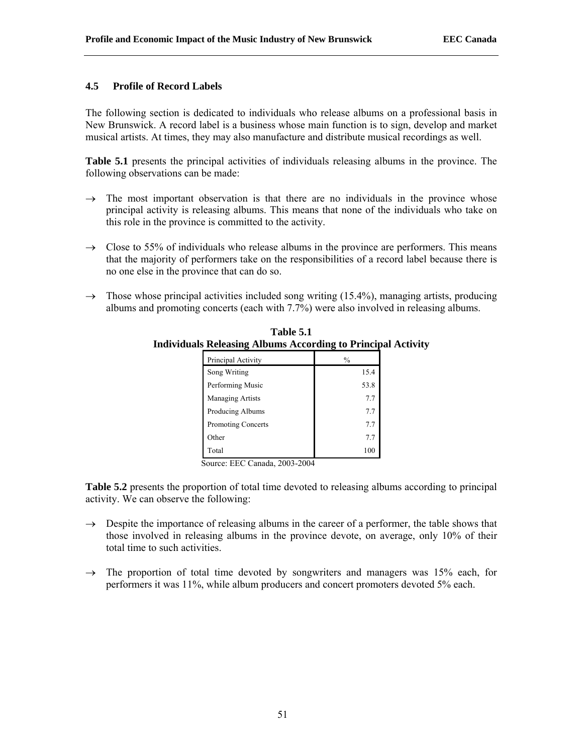## **4.5 Profile of Record Labels**

The following section is dedicated to individuals who release albums on a professional basis in New Brunswick. A record label is a business whose main function is to sign, develop and market musical artists. At times, they may also manufacture and distribute musical recordings as well.

**Table 5.1** presents the principal activities of individuals releasing albums in the province. The following observations can be made:

- $\rightarrow$  The most important observation is that there are no individuals in the province whose principal activity is releasing albums. This means that none of the individuals who take on this role in the province is committed to the activity.
- $\rightarrow$  Close to 55% of individuals who release albums in the province are performers. This means that the majority of performers take on the responsibilities of a record label because there is no one else in the province that can do so.
- $\rightarrow$  Those whose principal activities included song writing (15.4%), managing artists, producing albums and promoting concerts (each with 7.7%) were also involved in releasing albums.

| Principal Activity | $\frac{0}{0}$ |
|--------------------|---------------|
| Song Writing       | 15.4          |
| Performing Music   | 53.8          |
| Managing Artists   | 7.7           |
| Producing Albums   | 7.7           |
| Promoting Concerts | 7.7           |
| Other              | 7.7           |
| Total              | 100           |

**Table 5.1 Individuals Releasing Albums According to Principal Activity** 

Source: EEC Canada, 2003-2004

**Table 5.2** presents the proportion of total time devoted to releasing albums according to principal activity. We can observe the following:

- $\rightarrow$  Despite the importance of releasing albums in the career of a performer, the table shows that those involved in releasing albums in the province devote, on average, only 10% of their total time to such activities.
- $\rightarrow$  The proportion of total time devoted by songwriters and managers was 15% each, for performers it was 11%, while album producers and concert promoters devoted 5% each.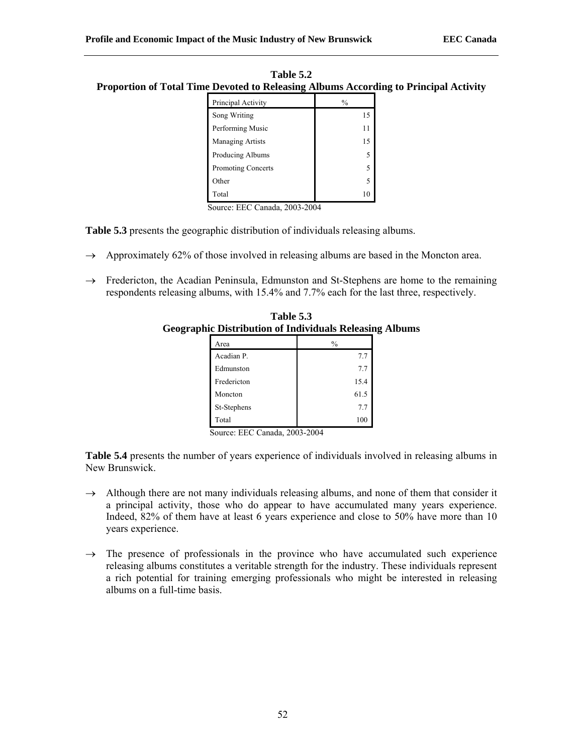| Table 5.2                                                                                   |
|---------------------------------------------------------------------------------------------|
| <b>Proportion of Total Time Devoted to Releasing Albums According to Principal Activity</b> |

| Principal Activity        | $\frac{0}{0}$ |
|---------------------------|---------------|
| Song Writing              | 15            |
| Performing Music          | 11            |
| <b>Managing Artists</b>   | 15            |
| Producing Albums          | 5             |
| <b>Promoting Concerts</b> | 5             |
| Other                     | 5             |
| Total                     | 10            |

**Table 5.3** presents the geographic distribution of individuals releasing albums.

- $\rightarrow$  Approximately 62% of those involved in releasing albums are based in the Moncton area.
- $\rightarrow$  Fredericton, the Acadian Peninsula, Edmunston and St-Stephens are home to the remaining respondents releasing albums, with 15.4% and 7.7% each for the last three, respectively.

| Table 5.3                                                      |
|----------------------------------------------------------------|
| <b>Geographic Distribution of Individuals Releasing Albums</b> |

| Area        | $\frac{0}{0}$ |
|-------------|---------------|
| Acadian P.  | 7.7           |
| Edmunston   | 7.7           |
| Fredericton | 15.4          |
| Moncton     | 61.5          |
| St-Stephens | 7.7           |
| Total       | 100           |

Source: EEC Canada, 2003-2004

**Table 5.4** presents the number of years experience of individuals involved in releasing albums in New Brunswick.

- $\rightarrow$  Although there are not many individuals releasing albums, and none of them that consider it a principal activity, those who do appear to have accumulated many years experience. Indeed, 82% of them have at least 6 years experience and close to 50% have more than 10 years experience.
- $\rightarrow$  The presence of professionals in the province who have accumulated such experience releasing albums constitutes a veritable strength for the industry. These individuals represent a rich potential for training emerging professionals who might be interested in releasing albums on a full-time basis.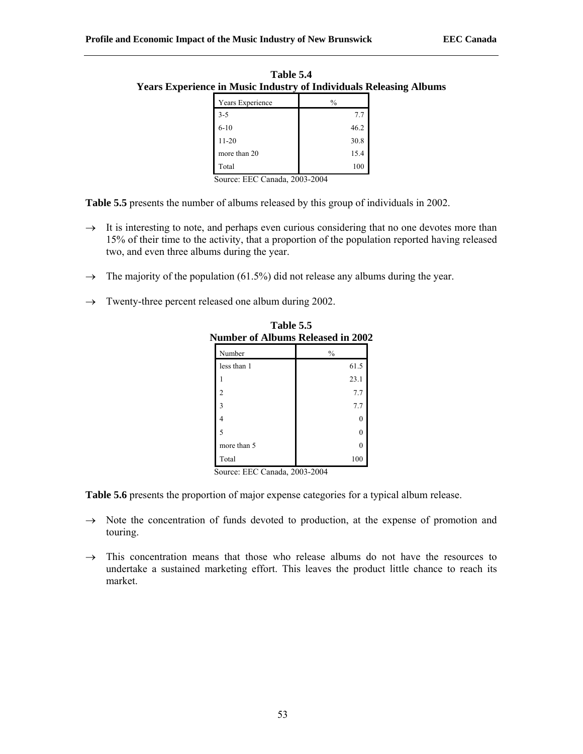| Years Experience | $\frac{0}{0}$ |
|------------------|---------------|
| $3 - 5$          | 7.7           |
| $6 - 10$         | 46.2          |
| $11 - 20$        | 30.8          |
| more than 20     | 15.4          |
| Total            | 100           |

**Table 5.4 Years Experience in Music Industry of Individuals Releasing Albums**

**Table 5.5** presents the number of albums released by this group of individuals in 2002.

- $\rightarrow$  It is interesting to note, and perhaps even curious considering that no one devotes more than 15% of their time to the activity, that a proportion of the population reported having released two, and even three albums during the year.
- $\rightarrow$  The majority of the population (61.5%) did not release any albums during the year.
- $\rightarrow$  Twenty-three percent released one album during 2002.

| <b>Number of Albums Released in 2002</b> |               |  |
|------------------------------------------|---------------|--|
| Number                                   | $\frac{0}{0}$ |  |
| less than 1                              | 61.5          |  |
|                                          | 23.1          |  |
| 2                                        | 7.7           |  |
| ٩                                        | 7.7           |  |
| 4                                        | 0             |  |
| 5                                        | 0             |  |
| more than 5                              | 0             |  |
| Total                                    | 100           |  |

**Table 5.5** 

Source: EEC Canada, 2003-2004

**Table 5.6** presents the proportion of major expense categories for a typical album release.

- $\rightarrow$  Note the concentration of funds devoted to production, at the expense of promotion and touring.
- $\rightarrow$  This concentration means that those who release albums do not have the resources to undertake a sustained marketing effort. This leaves the product little chance to reach its market.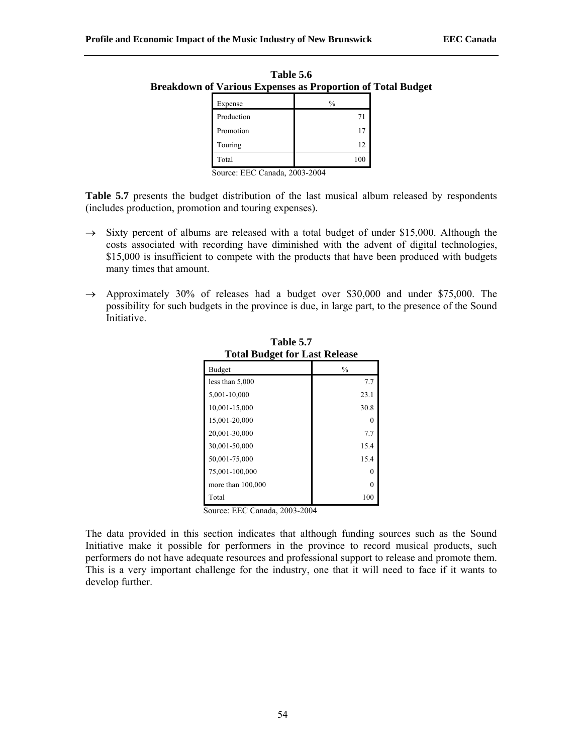| own of various expenses as Proportion of Tot |               |  |
|----------------------------------------------|---------------|--|
| Expense                                      | $\frac{0}{0}$ |  |
| Production                                   | 71            |  |
| Promotion                                    | 17            |  |
| Touring                                      | 12            |  |
| Total                                        | 100           |  |

**Table 5.6 Breakdown of Various Expenses as Proportion of Total Budget** 

**Table 5.7** presents the budget distribution of the last musical album released by respondents (includes production, promotion and touring expenses).

- $\rightarrow$  Sixty percent of albums are released with a total budget of under \$15,000. Although the costs associated with recording have diminished with the advent of digital technologies, \$15,000 is insufficient to compete with the products that have been produced with budgets many times that amount.
- $\rightarrow$  Approximately 30% of releases had a budget over \$30,000 and under \$75,000. The possibility for such budgets in the province is due, in large part, to the presence of the Sound Initiative.

| <b>Total Budget for Last Release</b> |               |
|--------------------------------------|---------------|
| Budget                               | $\frac{0}{0}$ |
| less than 5,000                      | 7.7           |
| 5,001-10,000                         | 23.1          |
| 10,001-15,000                        | 30.8          |
| 15,001-20,000                        |               |
| 20,001-30,000                        | 7.7           |
| 30,001-50,000                        | 15.4          |
| 50,001-75,000                        | 15.4          |
| 75,001-100,000                       | 0             |
| more than 100,000                    | 0             |
| Total                                | 100           |

**Table 5.7** 

Source: EEC Canada, 2003-2004

The data provided in this section indicates that although funding sources such as the Sound Initiative make it possible for performers in the province to record musical products, such performers do not have adequate resources and professional support to release and promote them. This is a very important challenge for the industry, one that it will need to face if it wants to develop further.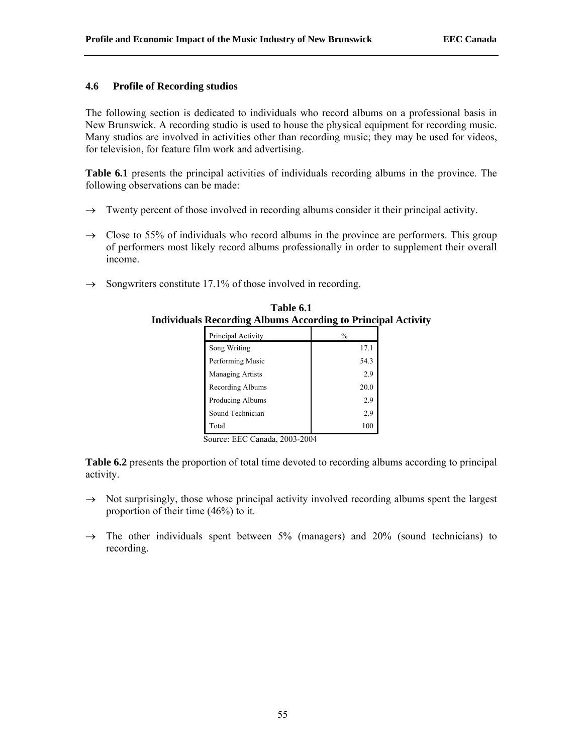## **4.6 Profile of Recording studios**

The following section is dedicated to individuals who record albums on a professional basis in New Brunswick. A recording studio is used to house the physical equipment for recording music. Many studios are involved in activities other than recording music; they may be used for videos, for television, for feature film work and advertising.

**Table 6.1** presents the principal activities of individuals recording albums in the province. The following observations can be made:

- $\rightarrow$  Twenty percent of those involved in recording albums consider it their principal activity.
- $\rightarrow$  Close to 55% of individuals who record albums in the province are performers. This group of performers most likely record albums professionally in order to supplement their overall income.
- $\rightarrow$  Songwriters constitute 17.1% of those involved in recording.

| $\frac{1}{2}$ recording thoughts treeof uniq to 1 fine. |               |
|---------------------------------------------------------|---------------|
| Principal Activity                                      | $\frac{0}{0}$ |
| Song Writing                                            | 17.1          |
| Performing Music                                        | 54.3          |
| <b>Managing Artists</b>                                 | 2.9           |
| Recording Albums                                        | 20.0          |
| Producing Albums                                        | 2.9           |
| Sound Technician                                        | 2.9           |
| Total                                                   | 100           |

**Table 6.1 Individuals Recording Albums According to Principal Activity** 

Source: EEC Canada, 2003-2004

**Table 6.2** presents the proportion of total time devoted to recording albums according to principal activity.

- $\rightarrow$  Not surprisingly, those whose principal activity involved recording albums spent the largest proportion of their time (46%) to it.
- $\rightarrow$  The other individuals spent between 5% (managers) and 20% (sound technicians) to recording.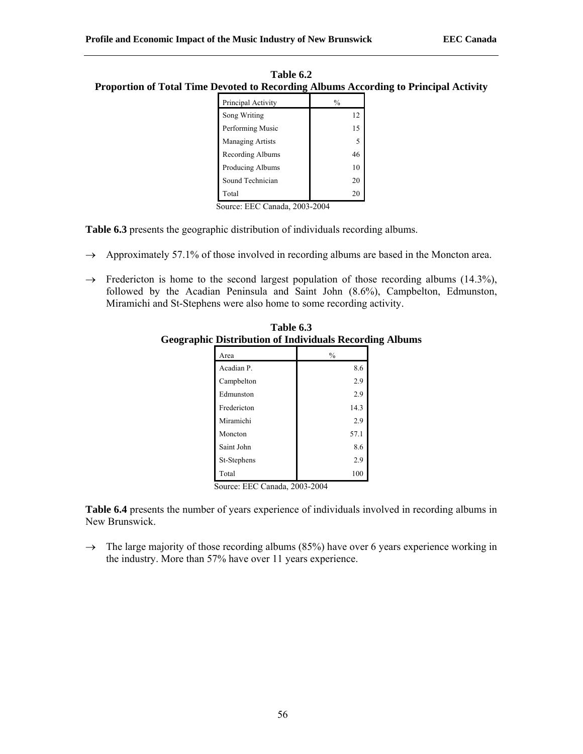| Table 6.2                                                                            |
|--------------------------------------------------------------------------------------|
| Proportion of Total Time Devoted to Recording Albums According to Principal Activity |

| Principal Activity      | $\frac{0}{0}$ |
|-------------------------|---------------|
| Song Writing            | 12            |
| Performing Music        | 15            |
| <b>Managing Artists</b> | 5             |
| Recording Albums        | 46            |
| Producing Albums        | 10            |
| Sound Technician        | 20            |
| Total                   | 20            |

**Table 6.3** presents the geographic distribution of individuals recording albums.

- $\rightarrow$  Approximately 57.1% of those involved in recording albums are based in the Moncton area.
- $\rightarrow$  Fredericton is home to the second largest population of those recording albums (14.3%), followed by the Acadian Peninsula and Saint John (8.6%), Campbelton, Edmunston, Miramichi and St-Stephens were also home to some recording activity.

| Area        | $\frac{0}{0}$ |
|-------------|---------------|
| Acadian P.  | 8.6           |
| Campbelton  | 2.9           |
| Edmunston   | 2.9           |
| Fredericton | 14.3          |
| Miramichi   | 2.9           |
| Moncton     | 57.1          |
| Saint John  | 8.6           |
| St-Stephens | 2.9           |
| Total       | 100           |

**Table 6.3 Geographic Distribution of Individuals Recording Albums**

Source: EEC Canada, 2003-2004

**Table 6.4** presents the number of years experience of individuals involved in recording albums in New Brunswick.

 $\rightarrow$  The large majority of those recording albums (85%) have over 6 years experience working in the industry. More than 57% have over 11 years experience.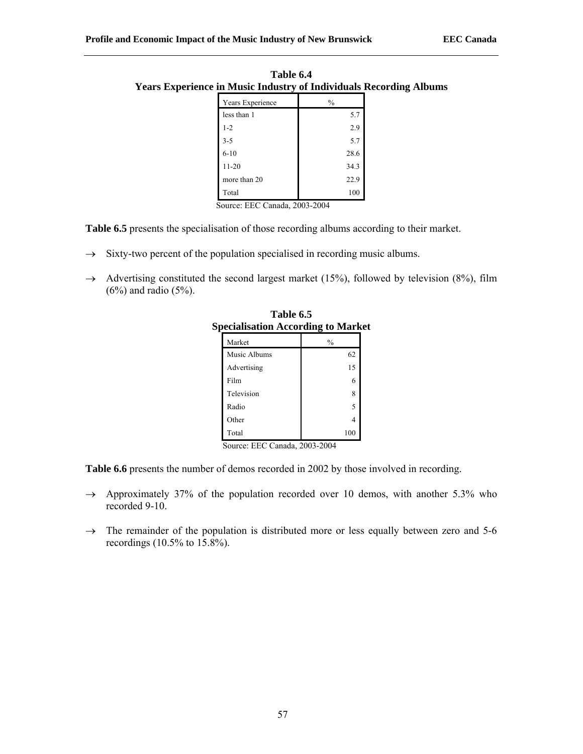| ັ                |               |
|------------------|---------------|
| Years Experience | $\frac{0}{0}$ |
| less than 1      | 5.7           |
| $1 - 2$          | 2.9           |
| $3 - 5$          | 5.7           |
| $6 - 10$         | 28.6          |
| $11 - 20$        | 34.3          |
| more than 20     | 22.9          |
| Total            | 100           |

**Table 6.4 Years Experience in Music Industry of Individuals Recording Albums**

**Table 6.5** presents the specialisation of those recording albums according to their market.

- $\rightarrow$  Sixty-two percent of the population specialised in recording music albums.
- $\rightarrow$  Advertising constituted the second largest market (15%), followed by television (8%), film (6%) and radio (5%).

|                               | $\cdots$      |  |
|-------------------------------|---------------|--|
| Market                        | $\frac{0}{0}$ |  |
| Music Albums                  | 62            |  |
| Advertising                   | 15            |  |
| Film                          | 6             |  |
| Television                    | 8             |  |
| Radio                         | 5             |  |
| Other                         | 4             |  |
| Total                         | 100           |  |
| Source: EEC Canada, 2003-2004 |               |  |

**Table 6.5 Specialisation According to Market** 

**Table 6.6** presents the number of demos recorded in 2002 by those involved in recording.

- $\rightarrow$  Approximately 37% of the population recorded over 10 demos, with another 5.3% who recorded 9-10.
- $\rightarrow$  The remainder of the population is distributed more or less equally between zero and 5-6 recordings (10.5% to 15.8%).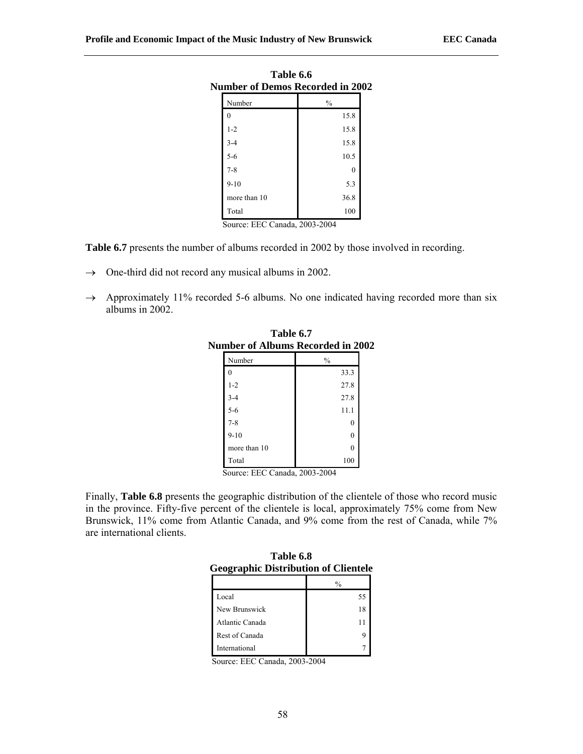| Table 6.6<br><b>Number of Demos Recorded in 2002</b> |               |  |
|------------------------------------------------------|---------------|--|
| Number                                               | $\frac{0}{0}$ |  |
| 0                                                    | 15.8          |  |
| $1 - 2$                                              | 15.8          |  |
| $3 - 4$                                              | 15.8          |  |
| $5 - 6$                                              | 10.5          |  |
| $7 - 8$                                              | $\theta$      |  |
| $9 - 10$                                             | 5.3           |  |
| more than 10                                         | 36.8          |  |
| Total                                                | 100           |  |

**Table 6.7** presents the number of albums recorded in 2002 by those involved in recording.

- $\rightarrow$  One-third did not record any musical albums in 2002.
- $\rightarrow$  Approximately 11% recorded 5-6 albums. No one indicated having recorded more than six albums in 2002.

| шност от ганошно ј<br>www.uw |      |
|------------------------------|------|
| Number                       | $\%$ |
| 0                            | 33.3 |
| $1 - 2$                      | 27.8 |
| $3 - 4$                      | 27.8 |
| $5-6$                        | 11.1 |
| $7 - 8$                      | 0    |
| $9-10$                       | 0    |
| more than 10                 | 0    |
| Total                        | 100  |

**Table 6.7 Number of Albums Recorded in 2002**

Source: EEC Canada, 2003-2004

Finally, **Table 6.8** presents the geographic distribution of the clientele of those who record music in the province. Fifty-five percent of the clientele is local, approximately 75% come from New Brunswick, 11% come from Atlantic Canada, and 9% come from the rest of Canada, while 7% are international clients.

| Table 6.8                                   |
|---------------------------------------------|
| <b>Geographic Distribution of Clientele</b> |

| ocogrupine Distribution or Chemier |               |
|------------------------------------|---------------|
|                                    | $\frac{0}{0}$ |
| Local                              | 55            |
| New Brunswick                      | 18            |
| Atlantic Canada                    |               |
| Rest of Canada                     |               |
| International                      |               |

Source: EEC Canada, 2003-2004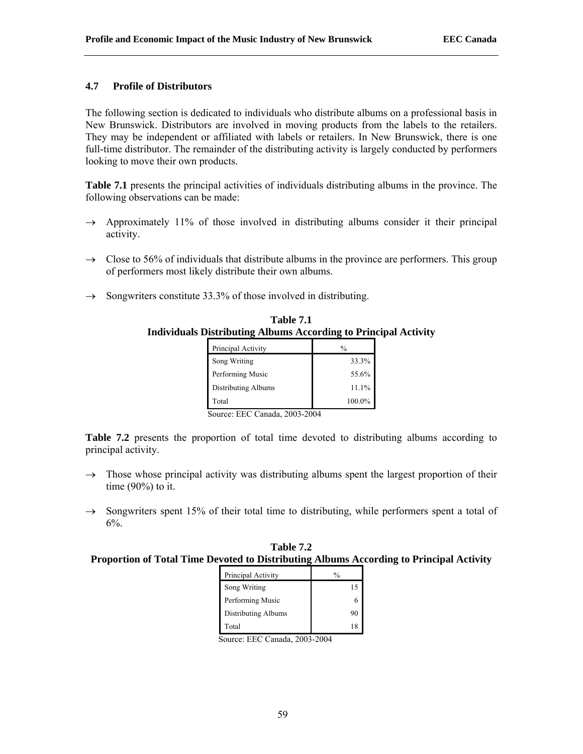## **4.7 Profile of Distributors**

The following section is dedicated to individuals who distribute albums on a professional basis in New Brunswick. Distributors are involved in moving products from the labels to the retailers. They may be independent or affiliated with labels or retailers. In New Brunswick, there is one full-time distributor. The remainder of the distributing activity is largely conducted by performers looking to move their own products.

**Table 7.1** presents the principal activities of individuals distributing albums in the province. The following observations can be made:

- $\rightarrow$  Approximately 11% of those involved in distributing albums consider it their principal activity.
- $\rightarrow$  Close to 56% of individuals that distribute albums in the province are performers. This group of performers most likely distribute their own albums.
- $\rightarrow$  Songwriters constitute 33.3% of those involved in distributing.

| Table 7.1                                                              |
|------------------------------------------------------------------------|
| <b>Individuals Distributing Albums According to Principal Activity</b> |

| Principal Activity  | $\frac{0}{0}$ |
|---------------------|---------------|
| Song Writing        | 33.3%         |
| Performing Music    | 55.6%         |
| Distributing Albums | 11.1%         |
| Total               | 100.0%        |

Source: EEC Canada, 2003-2004

**Table 7.2** presents the proportion of total time devoted to distributing albums according to principal activity.

- $\rightarrow$  Those whose principal activity was distributing albums spent the largest proportion of their time (90%) to it.
- $\rightarrow$  Songwriters spent 15% of their total time to distributing, while performers spent a total of 6%.

| Table 7.2                                                                               |
|-----------------------------------------------------------------------------------------|
| Proportion of Total Time Devoted to Distributing Albums According to Principal Activity |

| Principal Activity  |    |
|---------------------|----|
| Song Writing        | 15 |
| Performing Music    |    |
| Distributing Albums | 90 |
| Total               | 18 |

Source: EEC Canada, 2003-2004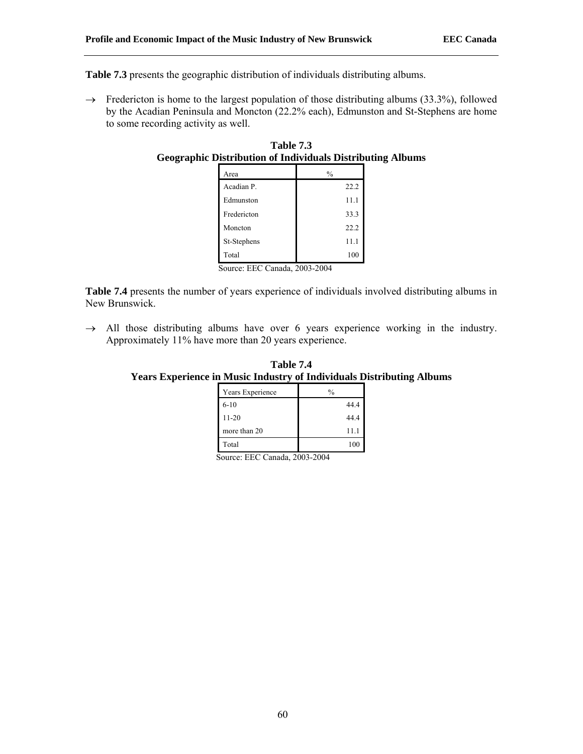**Table 7.3** presents the geographic distribution of individuals distributing albums.

 $\rightarrow$  Fredericton is home to the largest population of those distributing albums (33.3%), followed by the Acadian Peninsula and Moncton (22.2% each), Edmunston and St-Stephens are home to some recording activity as well.

| Table 7.3                                                         |  |
|-------------------------------------------------------------------|--|
| <b>Geographic Distribution of Individuals Distributing Albums</b> |  |
|                                                                   |  |

| Area        | %    |
|-------------|------|
| Acadian P.  | 22.2 |
| Edmunston   | 11.1 |
| Fredericton | 33.3 |
| Moncton     | 22.2 |
| St-Stephens | 11.1 |
| Total       | 100  |

Source: EEC Canada, 2003-2004

**Table 7.4** presents the number of years experience of individuals involved distributing albums in New Brunswick.

 $\rightarrow$  All those distributing albums have over 6 years experience working in the industry. Approximately 11% have more than 20 years experience.

**Table 7.4 Years Experience in Music Industry of Individuals Distributing Albums**

| Years Experience | $\frac{0}{0}$ |
|------------------|---------------|
| $6-10$           | 44.4          |
| $11 - 20$        | 44.4          |
| more than 20     | 11.1          |
| Total            | 100           |

Source: EEC Canada, 2003-2004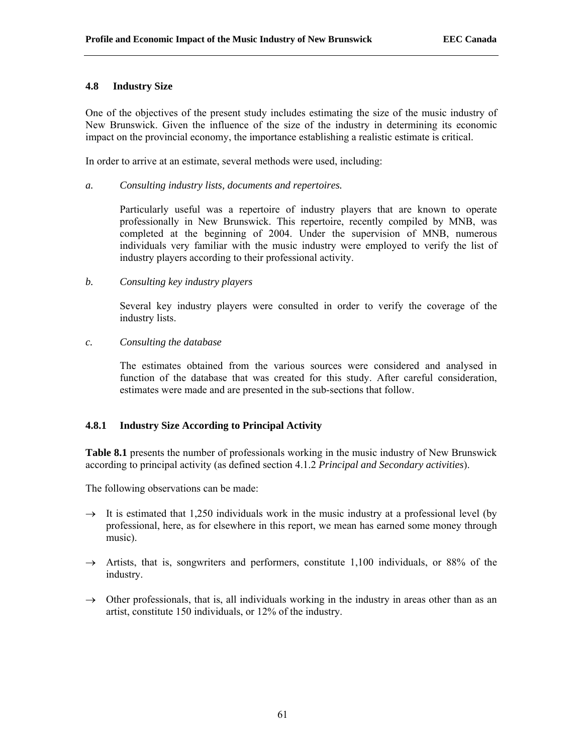## **4.8 Industry Size**

One of the objectives of the present study includes estimating the size of the music industry of New Brunswick. Given the influence of the size of the industry in determining its economic impact on the provincial economy, the importance establishing a realistic estimate is critical.

In order to arrive at an estimate, several methods were used, including:

#### *a. Consulting industry lists, documents and repertoires.*

Particularly useful was a repertoire of industry players that are known to operate professionally in New Brunswick. This repertoire, recently compiled by MNB, was completed at the beginning of 2004. Under the supervision of MNB, numerous individuals very familiar with the music industry were employed to verify the list of industry players according to their professional activity.

## *b. Consulting key industry players*

Several key industry players were consulted in order to verify the coverage of the industry lists.

## *c. Consulting the database*

The estimates obtained from the various sources were considered and analysed in function of the database that was created for this study. After careful consideration, estimates were made and are presented in the sub-sections that follow.

# **4.8.1 Industry Size According to Principal Activity**

**Table 8.1** presents the number of professionals working in the music industry of New Brunswick according to principal activity (as defined section 4.1.2 *Principal and Secondary activities*).

The following observations can be made:

- $\rightarrow$  It is estimated that 1,250 individuals work in the music industry at a professional level (by professional, here, as for elsewhere in this report, we mean has earned some money through music).
- $\rightarrow$  Artists, that is, songwriters and performers, constitute 1,100 individuals, or 88% of the industry.
- $\rightarrow$  Other professionals, that is, all individuals working in the industry in areas other than as an artist, constitute 150 individuals, or 12% of the industry.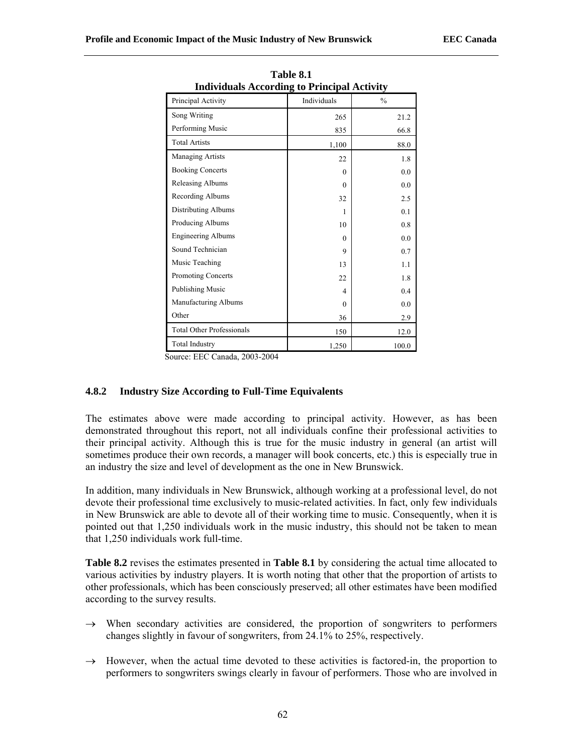| Thurviquals According to Frincipal Activity |                |               |  |  |
|---------------------------------------------|----------------|---------------|--|--|
| Principal Activity                          | Individuals    | $\frac{0}{0}$ |  |  |
| Song Writing                                | 265            | 21.2          |  |  |
| Performing Music                            | 835            | 66.8          |  |  |
| <b>Total Artists</b>                        | 1,100          | 88.0          |  |  |
| <b>Managing Artists</b>                     | 22             | 1.8           |  |  |
| <b>Booking Concerts</b>                     | $\Omega$       | 0.0           |  |  |
| Releasing Albums                            | $\theta$       | 0.0           |  |  |
| Recording Albums                            | 32             | 2.5           |  |  |
| Distributing Albums                         | 1              | 0.1           |  |  |
| Producing Albums                            | 10             | 0.8           |  |  |
| <b>Engineering Albums</b>                   | $\Omega$       | 0.0           |  |  |
| Sound Technician                            | 9              | 0.7           |  |  |
| Music Teaching                              | 13             | 1.1           |  |  |
| Promoting Concerts                          | 22             | 1.8           |  |  |
| <b>Publishing Music</b>                     | $\overline{4}$ | 0.4           |  |  |
| Manufacturing Albums                        | $\theta$       | 0.0           |  |  |
| Other                                       | 36             | 2.9           |  |  |
| <b>Total Other Professionals</b>            | 150            | 12.0          |  |  |
| <b>Total Industry</b>                       | 1,250          | 100.0         |  |  |

**Table 8.1 Individuals According to Principal Activity** 

Source: EEC Canada, 2003-2004

# **4.8.2 Industry Size According to Full-Time Equivalents**

The estimates above were made according to principal activity. However, as has been demonstrated throughout this report, not all individuals confine their professional activities to their principal activity. Although this is true for the music industry in general (an artist will sometimes produce their own records, a manager will book concerts, etc.) this is especially true in an industry the size and level of development as the one in New Brunswick.

In addition, many individuals in New Brunswick, although working at a professional level, do not devote their professional time exclusively to music-related activities. In fact, only few individuals in New Brunswick are able to devote all of their working time to music. Consequently, when it is pointed out that 1,250 individuals work in the music industry, this should not be taken to mean that 1,250 individuals work full-time.

**Table 8.2** revises the estimates presented in **Table 8.1** by considering the actual time allocated to various activities by industry players. It is worth noting that other that the proportion of artists to other professionals, which has been consciously preserved; all other estimates have been modified according to the survey results.

- $\rightarrow$  When secondary activities are considered, the proportion of songwriters to performers changes slightly in favour of songwriters, from 24.1% to 25%, respectively.
- $\rightarrow$  However, when the actual time devoted to these activities is factored-in, the proportion to performers to songwriters swings clearly in favour of performers. Those who are involved in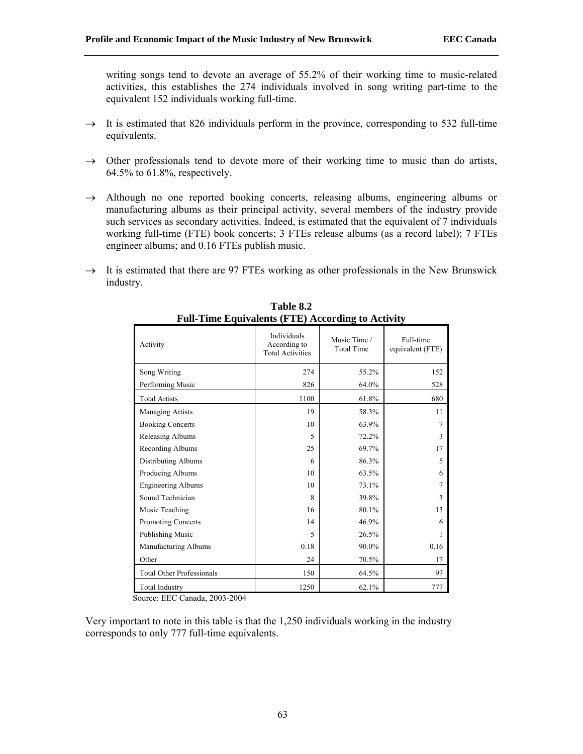writing songs tend to devote an average of 55.2% of their working time to music-related activities, this establishes the 274 individuals involved in song writing part-time to the equivalent 152 individuals working full-time.

- $\rightarrow$  It is estimated that 826 individuals perform in the province, corresponding to 532 full-time equivalents.
- $\rightarrow$  Other professionals tend to devote more of their working time to music than do artists, 64.5% to 61.8%, respectively.
- $\rightarrow$  Although no one reported booking concerts, releasing albums, engineering albums or manufacturing albums as their principal activity, several members of the industry provide such services as secondary activities. Indeed, is estimated that the equivalent of 7 individuals working full-time (FTE) book concerts; 3 FTEs release albums (as a record label); 7 FTEs engineer albums; and 0.16 FTEs publish music.
- $\rightarrow$  It is estimated that there are 97 FTEs working as other professionals in the New Brunswick industry.

| Activity                         | Individuals<br>According to<br><b>Total Activities</b> | Music Time /<br><b>Total Time</b> | Full-time<br>equivalent (FTE) |
|----------------------------------|--------------------------------------------------------|-----------------------------------|-------------------------------|
| Song Writing                     | 274                                                    | 55.2%                             | 152                           |
| Performing Music                 | 826                                                    | 64.0%                             | 528                           |
| <b>Total Artists</b>             | 1100                                                   | 61.8%                             | 680                           |
| Managing Artists                 | 19                                                     | 58.3%                             | 11                            |
| <b>Booking Concerts</b>          | 10                                                     | 63.9%                             | 7                             |
| Releasing Albums                 | 5                                                      | 72.2%                             | 3                             |
| Recording Albums                 | 25                                                     | 69.7%                             | 17                            |
| Distributing Albums              | 6                                                      | 86.3%                             | 5                             |
| Producing Albums                 | 10                                                     | 63.5%                             | 6                             |
| <b>Engineering Albums</b>        | 10                                                     | 73.1%                             | 7                             |
| Sound Technician                 | 8                                                      | 39.8%                             | 3                             |
| Music Teaching                   | 16                                                     | 80.1%                             | 13                            |
| Promoting Concerts               | 14                                                     | 46.9%                             | 6                             |
| <b>Publishing Music</b>          | 5                                                      | 26.5%                             | 1                             |
| Manufacturing Albums             | 0.18                                                   | 90.0%                             | 0.16                          |
| Other                            | 24                                                     | 70.5%                             | 17                            |
| <b>Total Other Professionals</b> | 150                                                    | 64.5%                             | 97                            |
| <b>Total Industry</b>            | 1250                                                   | 62.1%                             | 777                           |

**Table 8.2 Full-Time Equivalents (FTE) According to Activity** 

Source: EEC Canada, 2003-2004

Very important to note in this table is that the 1,250 individuals working in the industry corresponds to only 777 full-time equivalents.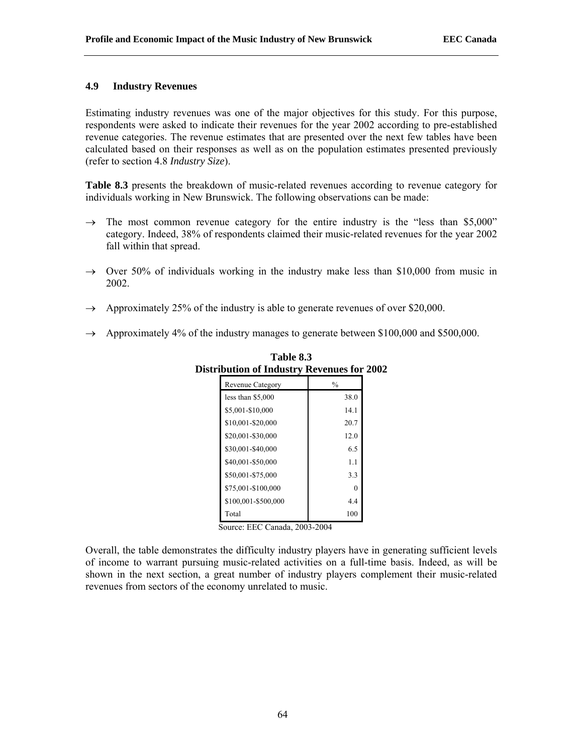# **4.9 Industry Revenues**

Estimating industry revenues was one of the major objectives for this study. For this purpose, respondents were asked to indicate their revenues for the year 2002 according to pre-established revenue categories. The revenue estimates that are presented over the next few tables have been calculated based on their responses as well as on the population estimates presented previously (refer to section 4.8 *Industry Size*).

**Table 8.3** presents the breakdown of music-related revenues according to revenue category for individuals working in New Brunswick. The following observations can be made:

- $\rightarrow$  The most common revenue category for the entire industry is the "less than \$5,000" category. Indeed, 38% of respondents claimed their music-related revenues for the year 2002 fall within that spread.
- $\rightarrow$  Over 50% of individuals working in the industry make less than \$10,000 from music in 2002.
- $\rightarrow$  Approximately 25% of the industry is able to generate revenues of over \$20,000.
- $\rightarrow$  Approximately 4% of the industry manages to generate between \$100,000 and \$500,000.

| <b>Revenue Category</b> | $\frac{0}{0}$ |
|-------------------------|---------------|
| less than \$5,000       | 38.0          |
| \$5,001-\$10,000        | 14.1          |
| \$10,001-\$20,000       | 20.7          |
| \$20,001-\$30,000       | 12.0          |
| \$30,001-\$40,000       | 6.5           |
| \$40,001-\$50,000       | 1.1           |
| \$50,001-\$75,000       | 3.3           |
| \$75,001-\$100,000      | 0             |
| \$100,001-\$500,000     | 4.4           |
| Total                   | 100           |

**Table 8.3 Distribution of Industry Revenues for 2002** 

Source: EEC Canada, 2003-2004

Overall, the table demonstrates the difficulty industry players have in generating sufficient levels of income to warrant pursuing music-related activities on a full-time basis. Indeed, as will be shown in the next section, a great number of industry players complement their music-related revenues from sectors of the economy unrelated to music.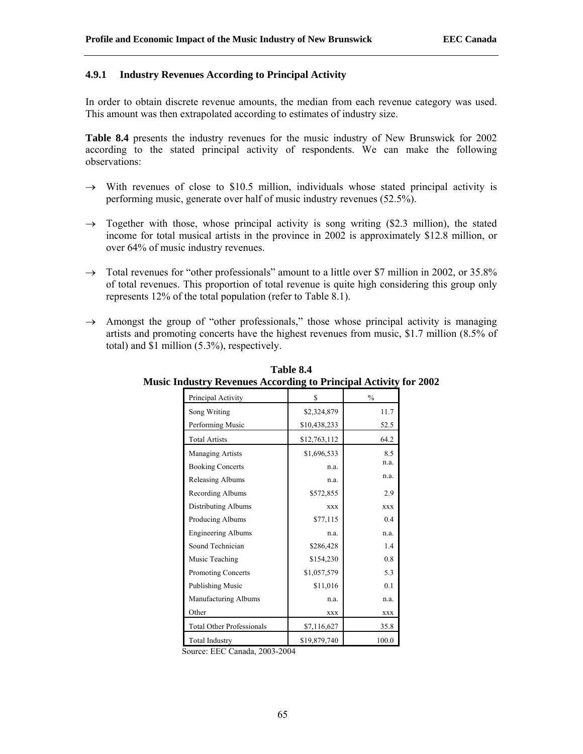## **4.9.1 Industry Revenues According to Principal Activity**

In order to obtain discrete revenue amounts, the median from each revenue category was used. This amount was then extrapolated according to estimates of industry size.

**Table 8.4** presents the industry revenues for the music industry of New Brunswick for 2002 according to the stated principal activity of respondents. We can make the following observations:

- $\rightarrow$  With revenues of close to \$10.5 million, individuals whose stated principal activity is performing music, generate over half of music industry revenues (52.5%).
- $\rightarrow$  Together with those, whose principal activity is song writing (\$2.3 million), the stated income for total musical artists in the province in 2002 is approximately \$12.8 million, or over 64% of music industry revenues.
- $\rightarrow$  Total revenues for "other professionals" amount to a little over \$7 million in 2002, or 35.8% of total revenues. This proportion of total revenue is quite high considering this group only represents 12% of the total population (refer to Table 8.1).
- $\rightarrow$  Amongst the group of "other professionals," those whose principal activity is managing artists and promoting concerts have the highest revenues from music, \$1.7 million (8.5% of total) and \$1 million (5.3%), respectively.

| Principal Activity               | \$           | $\frac{0}{0}$ |
|----------------------------------|--------------|---------------|
| Song Writing                     | \$2,324,879  | 11.7          |
| Performing Music                 | \$10,438,233 | 52.5          |
| <b>Total Artists</b>             | \$12,763,112 | 64.2          |
| <b>Managing Artists</b>          | \$1,696,533  | 8.5           |
| <b>Booking Concerts</b>          | n.a.         | n.a.          |
| Releasing Albums                 | n.a.         | n.a.          |
| Recording Albums                 | \$572,855    | 2.9           |
| Distributing Albums              | <b>XXX</b>   | <b>XXX</b>    |
| Producing Albums                 | \$77,115     | 0.4           |
| <b>Engineering Albums</b>        | n.a.         | n.a.          |
| Sound Technician                 | \$286,428    | 1.4           |
| Music Teaching                   | \$154,230    | 0.8           |
| Promoting Concerts               | \$1,057,579  | 5.3           |
| <b>Publishing Music</b>          | \$11,016     | 0.1           |
| Manufacturing Albums             | n.a.         | n.a.          |
| Other                            | <b>XXX</b>   | <b>XXX</b>    |
| <b>Total Other Professionals</b> | \$7,116,627  | 35.8          |
| <b>Total Industry</b>            | \$19,879,740 | 100.0         |

**Table 8.4 Music Industry Revenues According to Principal Activity for 2002** 

Source: EEC Canada, 2003-2004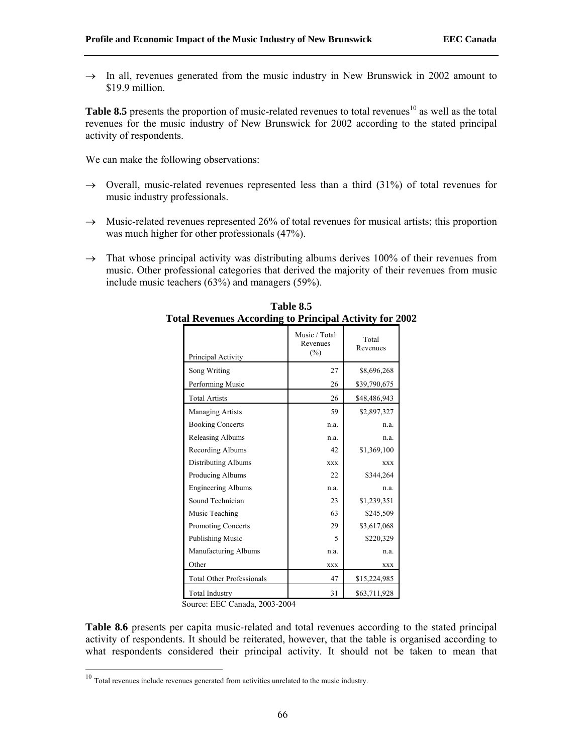$\rightarrow$  In all, revenues generated from the music industry in New Brunswick in 2002 amount to \$19.9 million.

**Table 8.5** presents the proportion of music-related revenues to total revenues<sup>10</sup> as well as the total revenues for the music industry of New Brunswick for 2002 according to the stated principal activity of respondents.

We can make the following observations:

- $\rightarrow$  Overall, music-related revenues represented less than a third (31%) of total revenues for music industry professionals.
- $\rightarrow$  Music-related revenues represented 26% of total revenues for musical artists; this proportion was much higher for other professionals (47%).
- $\rightarrow$  That whose principal activity was distributing albums derives 100% of their revenues from music. Other professional categories that derived the majority of their revenues from music include music teachers (63%) and managers (59%).

| Principal Activity               | Music / Total<br>Revenues<br>(%) | Total<br>Revenues |
|----------------------------------|----------------------------------|-------------------|
|                                  | 27                               | \$8,696,268       |
| Song Writing                     |                                  |                   |
| Performing Music                 | 26                               | \$39,790,675      |
| <b>Total Artists</b>             | 26                               | \$48,486,943      |
| <b>Managing Artists</b>          | 59                               | \$2,897,327       |
| <b>Booking Concerts</b>          | n.a.                             | n.a.              |
| Releasing Albums                 | n.a.                             | n.a.              |
| Recording Albums                 | 42                               | \$1,369,100       |
| Distributing Albums              | <b>XXX</b>                       | <b>XXX</b>        |
| Producing Albums                 | 22                               | \$344,264         |
| <b>Engineering Albums</b>        | n.a.                             | n.a.              |
| Sound Technician                 | 23                               | \$1,239,351       |
| Music Teaching                   | 63                               | \$245,509         |
| Promoting Concerts               | 29                               | \$3,617,068       |
| Publishing Music                 | 5                                | \$220,329         |
| Manufacturing Albums             | n.a.                             | n.a.              |
| Other                            | <b>XXX</b>                       | <b>XXX</b>        |
| <b>Total Other Professionals</b> | 47                               | \$15,224,985      |
| <b>Total Industry</b>            | 31                               | \$63,711,928      |

**Table 8.5 Total Revenues According to Principal Activity for 2002** 

Source: EEC Canada, 2003-2004

**Table 8.6** presents per capita music-related and total revenues according to the stated principal activity of respondents. It should be reiterated, however, that the table is organised according to what respondents considered their principal activity. It should not be taken to mean that

 $10$  Total revenues include revenues generated from activities unrelated to the music industry.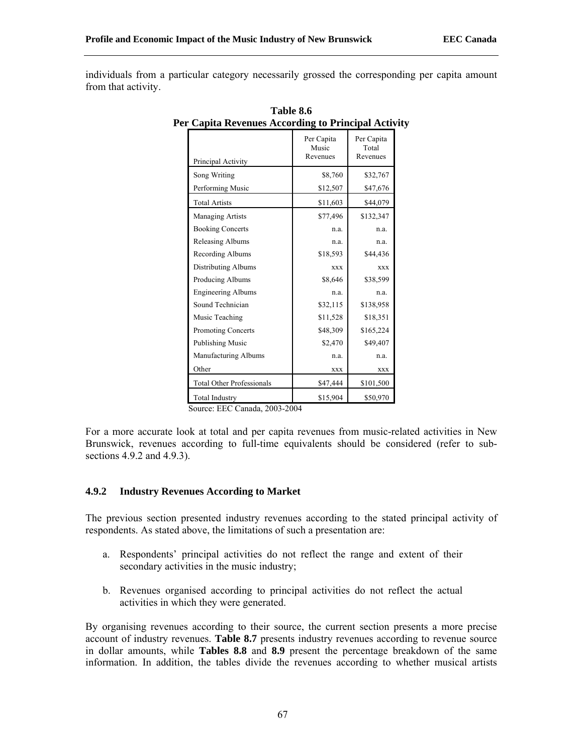individuals from a particular category necessarily grossed the corresponding per capita amount from that activity.

| Principal Activity                                                                                                | Per Capita<br>Music<br>Revenues | Per Capita<br>Total<br>Revenues |
|-------------------------------------------------------------------------------------------------------------------|---------------------------------|---------------------------------|
| Song Writing                                                                                                      | \$8,760                         | \$32,767                        |
| Performing Music                                                                                                  | \$12,507                        | \$47,676                        |
| <b>Total Artists</b>                                                                                              | \$11,603                        | \$44,079                        |
| Managing Artists                                                                                                  | \$77,496                        | \$132,347                       |
| <b>Booking Concerts</b>                                                                                           | n.a.                            | n.a.                            |
| Releasing Albums                                                                                                  | n.a.                            | n.a.                            |
| Recording Albums                                                                                                  | \$18,593                        | \$44,436                        |
| <b>Distributing Albums</b>                                                                                        | <b>XXX</b>                      | <b>XXX</b>                      |
| Producing Albums                                                                                                  | \$8,646                         | \$38,599                        |
| <b>Engineering Albums</b>                                                                                         | n.a.                            | n.a.                            |
| Sound Technician                                                                                                  | \$32,115                        | \$138,958                       |
| Music Teaching                                                                                                    | \$11,528                        | \$18,351                        |
| <b>Promoting Concerts</b>                                                                                         | \$48,309                        | \$165,224                       |
| Publishing Music                                                                                                  | \$2,470                         | \$49,407                        |
| Manufacturing Albums                                                                                              | n.a.                            | n.a.                            |
| Other                                                                                                             | <b>XXX</b>                      | XXX                             |
| <b>Total Other Professionals</b>                                                                                  | \$47,444                        | \$101,500                       |
| <b>Total Industry</b><br>$\begin{array}{c} \n\bullet \bullet \bullet \bullet \bullet \bullet \bullet \end{array}$ | \$15,904                        | \$50,970                        |

**Table 8.6 Per Capita Revenues According to Principal Activity**

Source: EEC Canada, 2003-2004

For a more accurate look at total and per capita revenues from music-related activities in New Brunswick, revenues according to full-time equivalents should be considered (refer to subsections 4.9.2 and 4.9.3).

# **4.9.2 Industry Revenues According to Market**

The previous section presented industry revenues according to the stated principal activity of respondents. As stated above, the limitations of such a presentation are:

- a. Respondents' principal activities do not reflect the range and extent of their secondary activities in the music industry;
- b. Revenues organised according to principal activities do not reflect the actual activities in which they were generated.

By organising revenues according to their source, the current section presents a more precise account of industry revenues. **Table 8.7** presents industry revenues according to revenue source in dollar amounts, while **Tables 8.8** and **8.9** present the percentage breakdown of the same information. In addition, the tables divide the revenues according to whether musical artists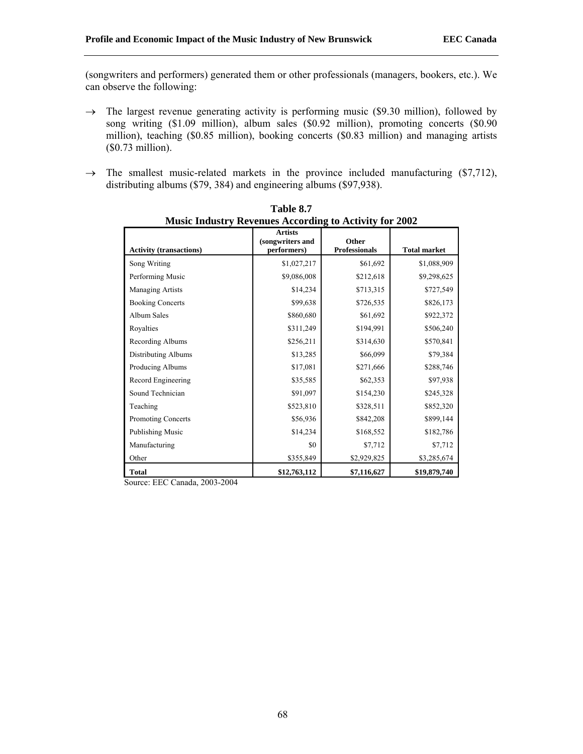(songwriters and performers) generated them or other professionals (managers, bookers, etc.). We can observe the following:

- $\rightarrow$  The largest revenue generating activity is performing music (\$9.30 million), followed by song writing (\$1.09 million), album sales (\$0.92 million), promoting concerts (\$0.90 million), teaching (\$0.85 million), booking concerts (\$0.83 million) and managing artists (\$0.73 million).
- $\rightarrow$  The smallest music-related markets in the province included manufacturing (\$7,712), distributing albums (\$79, 384) and engineering albums (\$97,938).

| music muusti y Kevenues Accorumg to Activity for 2002 |                                                   |                               |                     |  |
|-------------------------------------------------------|---------------------------------------------------|-------------------------------|---------------------|--|
| <b>Activity (transactions)</b>                        | <b>Artists</b><br>(songwriters and<br>performers) | Other<br><b>Professionals</b> | <b>Total market</b> |  |
| Song Writing                                          | \$1,027,217                                       | \$61,692                      | \$1,088,909         |  |
| Performing Music                                      | \$9,086,008                                       | \$212,618                     | \$9,298,625         |  |
| <b>Managing Artists</b>                               | \$14,234                                          | \$713,315                     | \$727,549           |  |
| <b>Booking Concerts</b>                               | \$99,638                                          | \$726,535                     | \$826,173           |  |
| Album Sales                                           | \$860,680                                         | \$61,692                      | \$922,372           |  |
| Royalties                                             | \$311,249                                         | \$194,991                     | \$506,240           |  |
| Recording Albums                                      | \$256,211                                         | \$314,630                     | \$570,841           |  |
| <b>Distributing Albums</b>                            | \$13,285                                          | \$66,099                      | \$79,384            |  |
| Producing Albums                                      | \$17,081                                          | \$271,666                     | \$288,746           |  |
| Record Engineering                                    | \$35,585                                          | \$62,353                      | \$97,938            |  |
| Sound Technician                                      | \$91,097                                          | \$154,230                     | \$245,328           |  |
| Teaching                                              | \$523,810                                         | \$328,511                     | \$852,320           |  |
| <b>Promoting Concerts</b>                             | \$56,936                                          | \$842,208                     | \$899,144           |  |
| Publishing Music                                      | \$14,234                                          | \$168,552                     | \$182,786           |  |
| Manufacturing                                         | \$0                                               | \$7,712                       | \$7,712             |  |
| Other                                                 | \$355,849                                         | \$2,929,825                   | \$3,285,674         |  |
| <b>Total</b>                                          | \$12,763,112                                      | \$7,116,627                   | \$19,879,740        |  |

**Table 8.7 Music Industry Revenues According to Activity for 2002** 

Source: EEC Canada, 2003-2004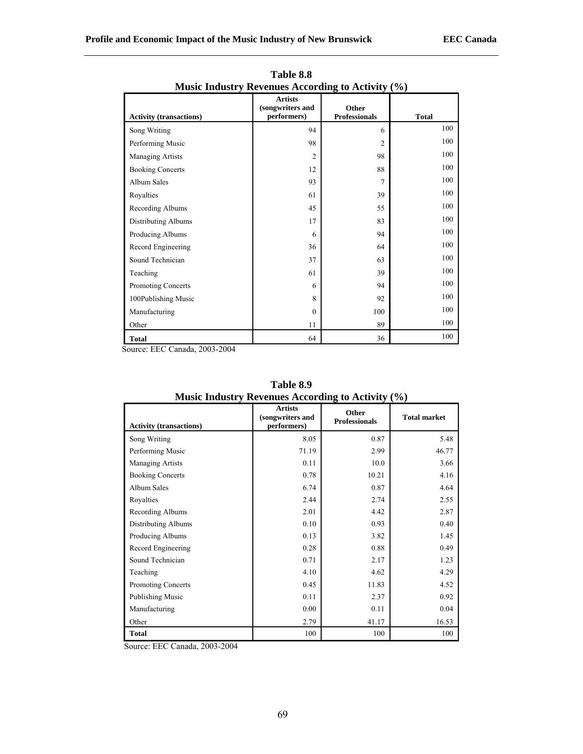|                                | <b>Artists</b><br>(songwriters and | Other                |              |  |  |
|--------------------------------|------------------------------------|----------------------|--------------|--|--|
| <b>Activity (transactions)</b> | performers)                        | <b>Professionals</b> | <b>Total</b> |  |  |
| Song Writing                   | 94                                 | 6                    | 100          |  |  |
| Performing Music               | 98                                 | $\overline{2}$       | 100          |  |  |
| Managing Artists               | 2                                  | 98                   | 100          |  |  |
| <b>Booking Concerts</b>        | 12                                 | 88                   | 100          |  |  |
| Album Sales                    | 93                                 | 7                    | 100          |  |  |
| Royalties                      | 61                                 | 39                   | 100          |  |  |
| Recording Albums               | 45                                 | 55                   | 100          |  |  |
| <b>Distributing Albums</b>     | 17                                 | 83                   | 100          |  |  |
| Producing Albums               | 6                                  | 94                   | 100          |  |  |
| Record Engineering             | 36                                 | 64                   | 100          |  |  |
| Sound Technician               | 37                                 | 63                   | 100          |  |  |
| Teaching                       | 61                                 | 39                   | 100          |  |  |
| Promoting Concerts             | 6                                  | 94                   | 100          |  |  |
| 100Publishing Music            | 8                                  | 92                   | 100          |  |  |
| Manufacturing                  | $\mathbf{0}$                       | 100                  | 100          |  |  |
| Other                          | 11                                 | 89                   | 100          |  |  |
| <b>Total</b>                   | 64                                 | 36                   | 100          |  |  |

**Table 8.8 Music Industry Revenues According to Activity (%)** 

Source: EEC Canada, 2003-2004

| <b>Activity (transactions)</b> | <b>Artists</b><br>(songwriters and<br>performers) | Other<br><b>Professionals</b> | <b>Total market</b> |
|--------------------------------|---------------------------------------------------|-------------------------------|---------------------|
| Song Writing                   | 8.05                                              | 0.87                          | 5.48                |
| Performing Music               | 71.19                                             | 2.99                          | 46.77               |
| Managing Artists               | 0.11                                              | 10.0                          | 3.66                |
| <b>Booking Concerts</b>        | 0.78                                              | 10.21                         | 4.16                |
| Album Sales                    | 6.74                                              | 0.87                          | 4.64                |
| Royalties                      | 2.44                                              | 2.74                          | 2.55                |
| Recording Albums               | 2.01                                              | 4.42                          | 2.87                |
| Distributing Albums            | 0.10                                              | 0.93                          | 0.40                |
| Producing Albums               | 0.13                                              | 3.82                          | 1.45                |
| Record Engineering             | 0.28                                              | 0.88                          | 0.49                |
| Sound Technician               | 0.71                                              | 2.17                          | 1.23                |
| Teaching                       | 4.10                                              | 4.62                          | 4.29                |
| <b>Promoting Concerts</b>      | 0.45                                              | 11.83                         | 4.52                |
| Publishing Music               | 0.11                                              | 2.37                          | 0.92                |
| Manufacturing                  | 0.00                                              | 0.11                          | 0.04                |
| Other                          | 2.79                                              | 41.17                         | 16.53               |
| <b>Total</b>                   | 100                                               | 100                           | 100                 |

**Table 8.9 Music Industry Revenues According to Activity (%)** 

Source: EEC Canada, 2003-2004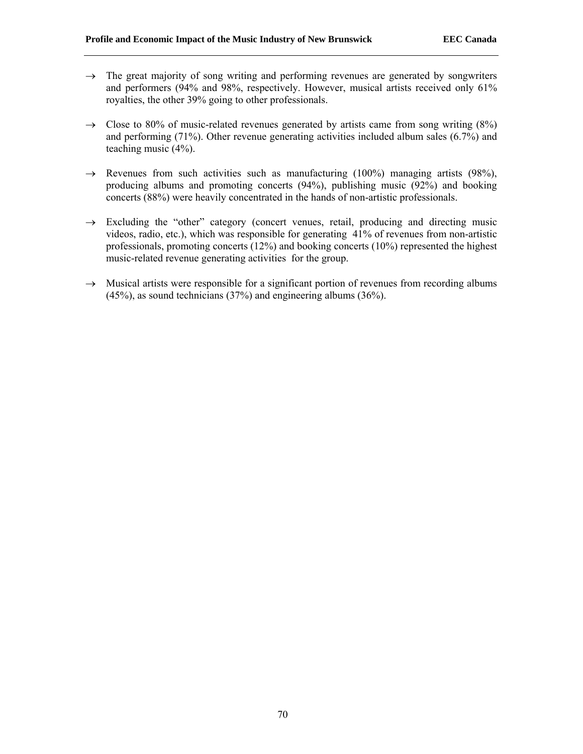- $\rightarrow$  The great majority of song writing and performing revenues are generated by songwriters and performers (94% and 98%, respectively. However, musical artists received only 61% royalties, the other 39% going to other professionals.
- $\rightarrow$  Close to 80% of music-related revenues generated by artists came from song writing (8%) and performing (71%). Other revenue generating activities included album sales (6.7%) and teaching music (4%).
- $\rightarrow$  Revenues from such activities such as manufacturing (100%) managing artists (98%), producing albums and promoting concerts (94%), publishing music (92%) and booking concerts (88%) were heavily concentrated in the hands of non-artistic professionals.
- $\rightarrow$  Excluding the "other" category (concert venues, retail, producing and directing music videos, radio, etc.), which was responsible for generating 41% of revenues from non-artistic professionals, promoting concerts (12%) and booking concerts (10%) represented the highest music-related revenue generating activities for the group.
- $\rightarrow$  Musical artists were responsible for a significant portion of revenues from recording albums (45%), as sound technicians (37%) and engineering albums (36%).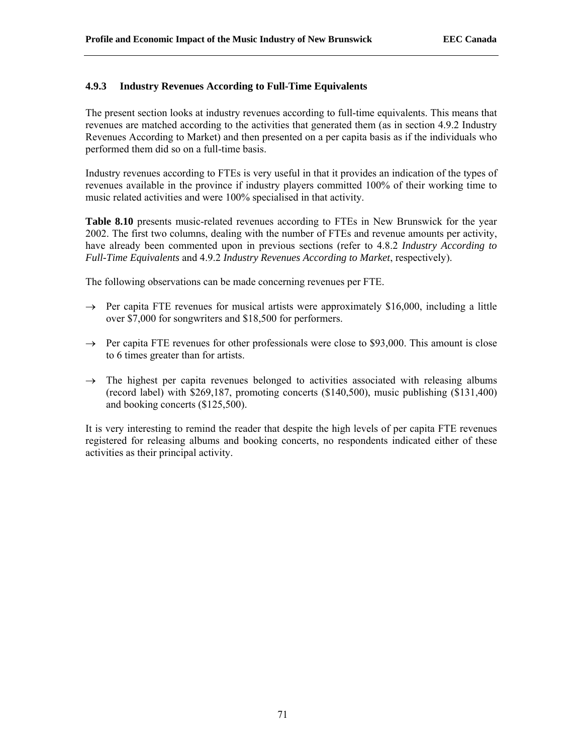# **4.9.3 Industry Revenues According to Full-Time Equivalents**

The present section looks at industry revenues according to full-time equivalents. This means that revenues are matched according to the activities that generated them (as in section 4.9.2 Industry Revenues According to Market) and then presented on a per capita basis as if the individuals who performed them did so on a full-time basis.

Industry revenues according to FTEs is very useful in that it provides an indication of the types of revenues available in the province if industry players committed 100% of their working time to music related activities and were 100% specialised in that activity.

**Table 8.10** presents music-related revenues according to FTEs in New Brunswick for the year 2002. The first two columns, dealing with the number of FTEs and revenue amounts per activity, have already been commented upon in previous sections (refer to 4.8.2 *Industry According to Full-Time Equivalents* and 4.9.2 *Industry Revenues According to Market*, respectively).

The following observations can be made concerning revenues per FTE.

- $\rightarrow$  Per capita FTE revenues for musical artists were approximately \$16,000, including a little over \$7,000 for songwriters and \$18,500 for performers.
- $\rightarrow$  Per capita FTE revenues for other professionals were close to \$93,000. This amount is close to 6 times greater than for artists.
- $\rightarrow$  The highest per capita revenues belonged to activities associated with releasing albums (record label) with \$269,187, promoting concerts (\$140,500), music publishing (\$131,400) and booking concerts (\$125,500).

It is very interesting to remind the reader that despite the high levels of per capita FTE revenues registered for releasing albums and booking concerts, no respondents indicated either of these activities as their principal activity.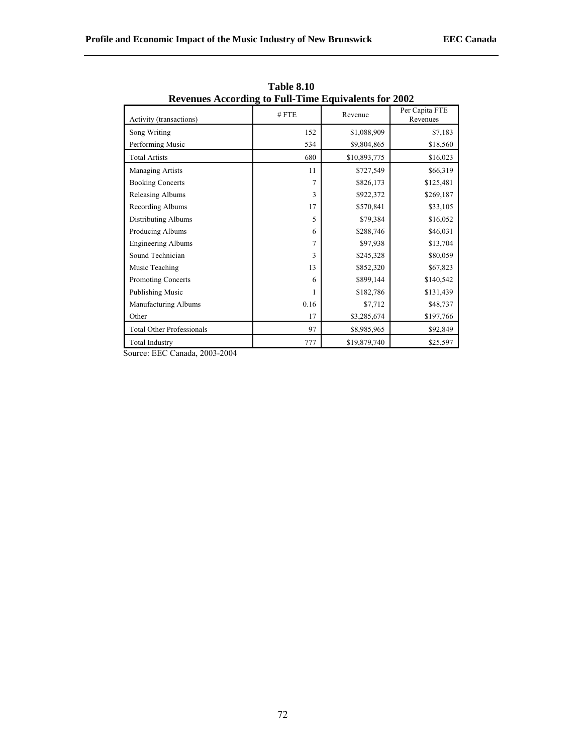| Revenues According to Full-Time Equivalents for 2002 |         |              |                            |
|------------------------------------------------------|---------|--------------|----------------------------|
| Activity (transactions)                              | $#$ FTE | Revenue      | Per Capita FTE<br>Revenues |
| Song Writing                                         | 152     | \$1,088,909  | \$7,183                    |
| Performing Music                                     | 534     | \$9,804,865  | \$18,560                   |
| <b>Total Artists</b>                                 | 680     | \$10,893,775 | \$16,023                   |
| <b>Managing Artists</b>                              | 11      | \$727,549    | \$66,319                   |
| <b>Booking Concerts</b>                              | 7       | \$826,173    | \$125,481                  |
| Releasing Albums                                     | 3       | \$922,372    | \$269,187                  |
| Recording Albums                                     | 17      | \$570,841    | \$33,105                   |
| Distributing Albums                                  | 5       | \$79,384     | \$16,052                   |
| Producing Albums                                     | 6       | \$288,746    | \$46,031                   |
| <b>Engineering Albums</b>                            | 7       | \$97,938     | \$13,704                   |
| Sound Technician                                     | 3       | \$245,328    | \$80,059                   |
| Music Teaching                                       | 13      | \$852,320    | \$67,823                   |
| <b>Promoting Concerts</b>                            | 6       | \$899,144    | \$140,542                  |
| Publishing Music                                     | 1       | \$182,786    | \$131,439                  |
| Manufacturing Albums                                 | 0.16    | \$7,712      | \$48,737                   |
| Other                                                | 17      | \$3,285,674  | \$197,766                  |
| <b>Total Other Professionals</b>                     | 97      | \$8,985,965  | \$92,849                   |
| <b>Total Industry</b>                                | 777     | \$19,879,740 | \$25,597                   |

**Table 8.10 Revenues According to Full-Time Equivalents for 2002** 

Source: EEC Canada, 2003-2004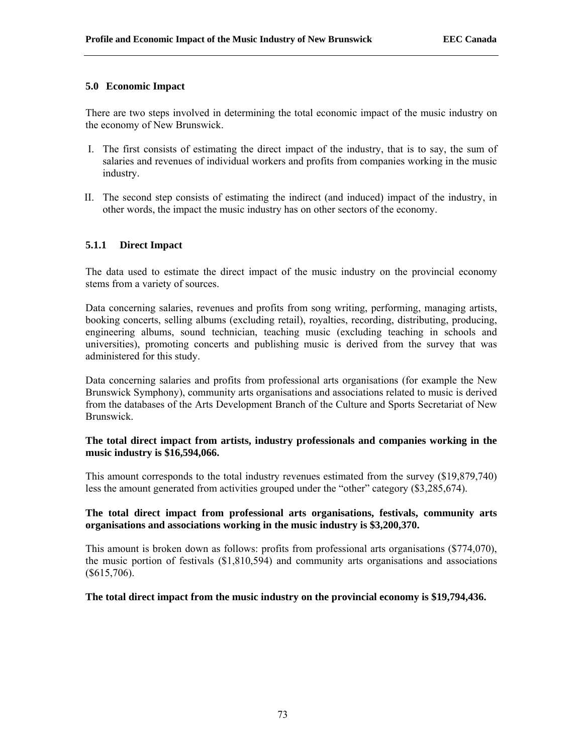# **5.0 Economic Impact**

There are two steps involved in determining the total economic impact of the music industry on the economy of New Brunswick.

- I. The first consists of estimating the direct impact of the industry, that is to say, the sum of salaries and revenues of individual workers and profits from companies working in the music industry.
- II. The second step consists of estimating the indirect (and induced) impact of the industry, in other words, the impact the music industry has on other sectors of the economy.

## **5.1.1 Direct Impact**

The data used to estimate the direct impact of the music industry on the provincial economy stems from a variety of sources.

Data concerning salaries, revenues and profits from song writing, performing, managing artists, booking concerts, selling albums (excluding retail), royalties, recording, distributing, producing, engineering albums, sound technician, teaching music (excluding teaching in schools and universities), promoting concerts and publishing music is derived from the survey that was administered for this study.

Data concerning salaries and profits from professional arts organisations (for example the New Brunswick Symphony), community arts organisations and associations related to music is derived from the databases of the Arts Development Branch of the Culture and Sports Secretariat of New Brunswick.

# **The total direct impact from artists, industry professionals and companies working in the music industry is \$16,594,066.**

This amount corresponds to the total industry revenues estimated from the survey (\$19,879,740) less the amount generated from activities grouped under the "other" category (\$3,285,674).

## **The total direct impact from professional arts organisations, festivals, community arts organisations and associations working in the music industry is \$3,200,370.**

This amount is broken down as follows: profits from professional arts organisations (\$774,070), the music portion of festivals (\$1,810,594) and community arts organisations and associations (\$615,706).

## **The total direct impact from the music industry on the provincial economy is \$19,794,436.**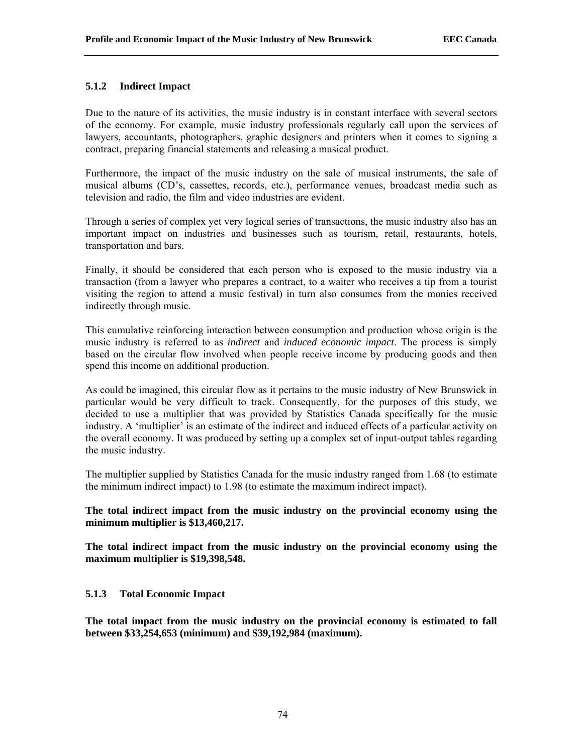# **5.1.2 Indirect Impact**

Due to the nature of its activities, the music industry is in constant interface with several sectors of the economy. For example, music industry professionals regularly call upon the services of lawyers, accountants, photographers, graphic designers and printers when it comes to signing a contract, preparing financial statements and releasing a musical product.

Furthermore, the impact of the music industry on the sale of musical instruments, the sale of musical albums (CD's, cassettes, records, etc.), performance venues, broadcast media such as television and radio, the film and video industries are evident.

Through a series of complex yet very logical series of transactions, the music industry also has an important impact on industries and businesses such as tourism, retail, restaurants, hotels, transportation and bars.

Finally, it should be considered that each person who is exposed to the music industry via a transaction (from a lawyer who prepares a contract, to a waiter who receives a tip from a tourist visiting the region to attend a music festival) in turn also consumes from the monies received indirectly through music.

This cumulative reinforcing interaction between consumption and production whose origin is the music industry is referred to as *indirect* and *induced economic impact*. The process is simply based on the circular flow involved when people receive income by producing goods and then spend this income on additional production.

As could be imagined, this circular flow as it pertains to the music industry of New Brunswick in particular would be very difficult to track. Consequently, for the purposes of this study, we decided to use a multiplier that was provided by Statistics Canada specifically for the music industry. A 'multiplier' is an estimate of the indirect and induced effects of a particular activity on the overall economy. It was produced by setting up a complex set of input-output tables regarding the music industry.

The multiplier supplied by Statistics Canada for the music industry ranged from 1.68 (to estimate the minimum indirect impact) to 1.98 (to estimate the maximum indirect impact).

# **The total indirect impact from the music industry on the provincial economy using the minimum multiplier is \$13,460,217.**

**The total indirect impact from the music industry on the provincial economy using the maximum multiplier is \$19,398,548.** 

# **5.1.3 Total Economic Impact**

**The total impact from the music industry on the provincial economy is estimated to fall between \$33,254,653 (minimum) and \$39,192,984 (maximum).**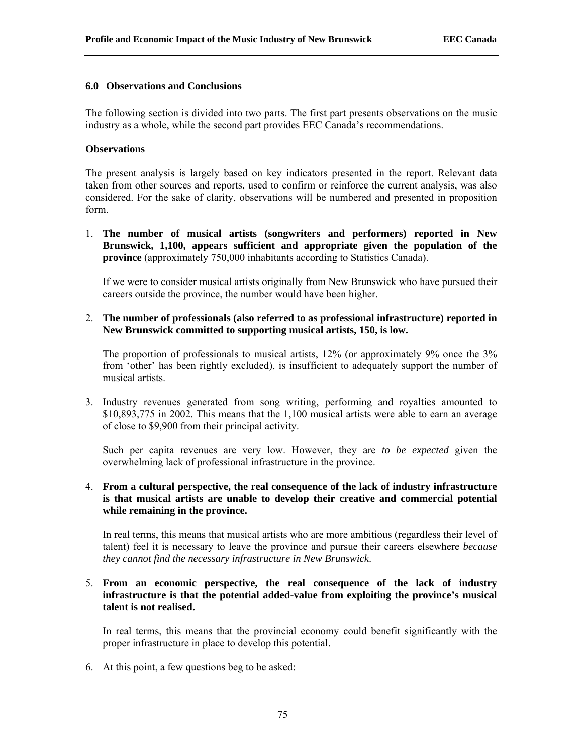### **6.0 Observations and Conclusions**

The following section is divided into two parts. The first part presents observations on the music industry as a whole, while the second part provides EEC Canada's recommendations.

## **Observations**

The present analysis is largely based on key indicators presented in the report. Relevant data taken from other sources and reports, used to confirm or reinforce the current analysis, was also considered. For the sake of clarity, observations will be numbered and presented in proposition form.

1. **The number of musical artists (songwriters and performers) reported in New Brunswick, 1,100, appears sufficient and appropriate given the population of the province** (approximately 750,000 inhabitants according to Statistics Canada).

If we were to consider musical artists originally from New Brunswick who have pursued their careers outside the province, the number would have been higher.

2. **The number of professionals (also referred to as professional infrastructure) reported in New Brunswick committed to supporting musical artists, 150, is low.**

The proportion of professionals to musical artists, 12% (or approximately 9% once the 3% from 'other' has been rightly excluded), is insufficient to adequately support the number of musical artists.

3. Industry revenues generated from song writing, performing and royalties amounted to \$10,893,775 in 2002. This means that the 1,100 musical artists were able to earn an average of close to \$9,900 from their principal activity.

Such per capita revenues are very low. However, they are *to be expected* given the overwhelming lack of professional infrastructure in the province.

# 4. **From a cultural perspective, the real consequence of the lack of industry infrastructure is that musical artists are unable to develop their creative and commercial potential while remaining in the province.**

In real terms, this means that musical artists who are more ambitious (regardless their level of talent) feel it is necessary to leave the province and pursue their careers elsewhere *because they cannot find the necessary infrastructure in New Brunswick*.

# 5. **From an economic perspective, the real consequence of the lack of industry infrastructure is that the potential added-value from exploiting the province's musical talent is not realised.**

In real terms, this means that the provincial economy could benefit significantly with the proper infrastructure in place to develop this potential.

6. At this point, a few questions beg to be asked: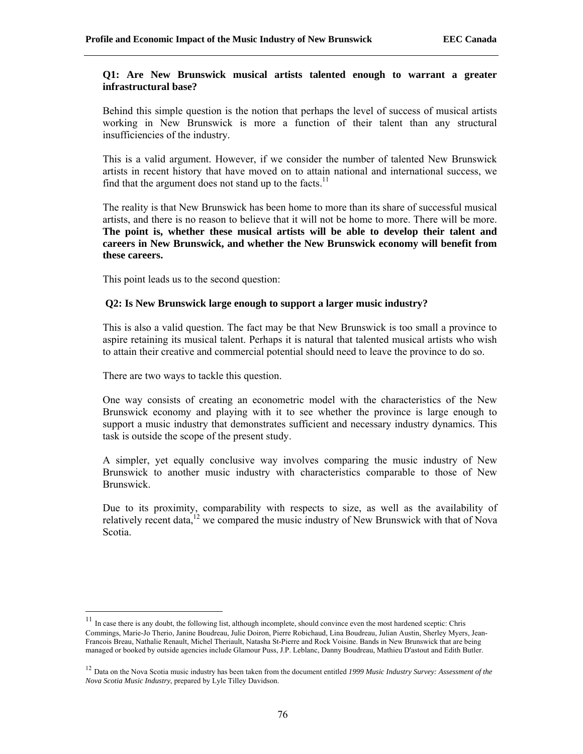### **Q1: Are New Brunswick musical artists talented enough to warrant a greater infrastructural base?**

Behind this simple question is the notion that perhaps the level of success of musical artists working in New Brunswick is more a function of their talent than any structural insufficiencies of the industry.

This is a valid argument. However, if we consider the number of talented New Brunswick artists in recent history that have moved on to attain national and international success, we find that the argument does not stand up to the facts.<sup>11</sup>

The reality is that New Brunswick has been home to more than its share of successful musical artists, and there is no reason to believe that it will not be home to more. There will be more. **The point is, whether these musical artists will be able to develop their talent and careers in New Brunswick, and whether the New Brunswick economy will benefit from these careers.** 

This point leads us to the second question:

# **Q2: Is New Brunswick large enough to support a larger music industry?**

This is also a valid question. The fact may be that New Brunswick is too small a province to aspire retaining its musical talent. Perhaps it is natural that talented musical artists who wish to attain their creative and commercial potential should need to leave the province to do so.

There are two ways to tackle this question.

One way consists of creating an econometric model with the characteristics of the New Brunswick economy and playing with it to see whether the province is large enough to support a music industry that demonstrates sufficient and necessary industry dynamics. This task is outside the scope of the present study.

A simpler, yet equally conclusive way involves comparing the music industry of New Brunswick to another music industry with characteristics comparable to those of New Brunswick.

Due to its proximity, comparability with respects to size, as well as the availability of relatively recent data,<sup>12</sup> we compared the music industry of New Brunswick with that of Nova Scotia.

<sup>&</sup>lt;sup>11</sup> In case there is any doubt, the following list, although incomplete, should convince even the most hardened sceptic: Chris Commings, Marie-Jo Therio, Janine Boudreau, Julie Doiron, Pierre Robichaud, Lina Boudreau, Julian Austin, Sherley Myers, Jean-Francois Breau, Nathalie Renault, Michel Theriault, Natasha St-Pierre and Rock Voisine. Bands in New Brunswick that are being managed or booked by outside agencies include Glamour Puss, J.P. Leblanc, Danny Boudreau, Mathieu D'astout and Edith Butler.

<sup>12</sup> Data on the Nova Scotia music industry has been taken from the document entitled *1999 Music Industry Survey: Assessment of the Nova Scotia Music Industry*, prepared by Lyle Tilley Davidson.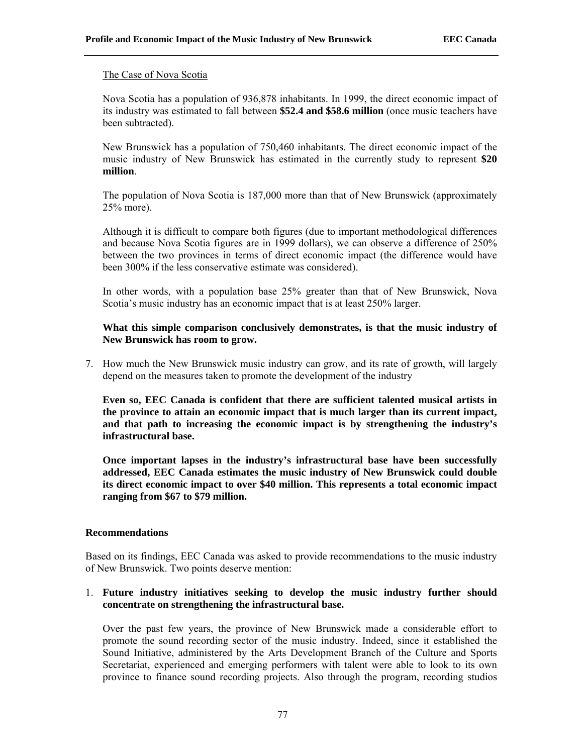#### The Case of Nova Scotia

Nova Scotia has a population of 936,878 inhabitants. In 1999, the direct economic impact of its industry was estimated to fall between **\$52.4 and \$58.6 million** (once music teachers have been subtracted).

New Brunswick has a population of 750,460 inhabitants. The direct economic impact of the music industry of New Brunswick has estimated in the currently study to represent **\$20 million**.

The population of Nova Scotia is 187,000 more than that of New Brunswick (approximately 25% more).

Although it is difficult to compare both figures (due to important methodological differences and because Nova Scotia figures are in 1999 dollars), we can observe a difference of 250% between the two provinces in terms of direct economic impact (the difference would have been 300% if the less conservative estimate was considered).

In other words, with a population base 25% greater than that of New Brunswick, Nova Scotia's music industry has an economic impact that is at least 250% larger.

# **What this simple comparison conclusively demonstrates, is that the music industry of New Brunswick has room to grow.**

7. How much the New Brunswick music industry can grow, and its rate of growth, will largely depend on the measures taken to promote the development of the industry

**Even so, EEC Canada is confident that there are sufficient talented musical artists in the province to attain an economic impact that is much larger than its current impact, and that path to increasing the economic impact is by strengthening the industry's infrastructural base.** 

**Once important lapses in the industry's infrastructural base have been successfully addressed, EEC Canada estimates the music industry of New Brunswick could double its direct economic impact to over \$40 million. This represents a total economic impact ranging from \$67 to \$79 million.** 

#### **Recommendations**

Based on its findings, EEC Canada was asked to provide recommendations to the music industry of New Brunswick. Two points deserve mention:

# 1. **Future industry initiatives seeking to develop the music industry further should concentrate on strengthening the infrastructural base.**

Over the past few years, the province of New Brunswick made a considerable effort to promote the sound recording sector of the music industry. Indeed, since it established the Sound Initiative, administered by the Arts Development Branch of the Culture and Sports Secretariat, experienced and emerging performers with talent were able to look to its own province to finance sound recording projects. Also through the program, recording studios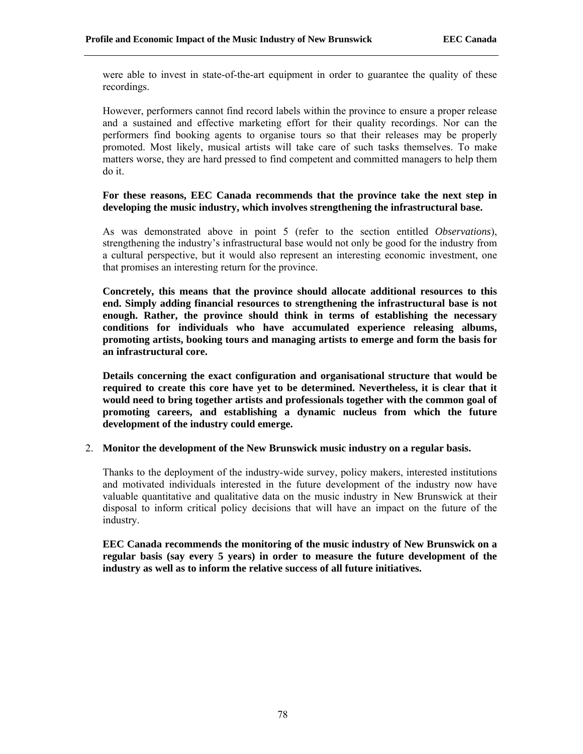were able to invest in state-of-the-art equipment in order to guarantee the quality of these recordings.

However, performers cannot find record labels within the province to ensure a proper release and a sustained and effective marketing effort for their quality recordings. Nor can the performers find booking agents to organise tours so that their releases may be properly promoted. Most likely, musical artists will take care of such tasks themselves. To make matters worse, they are hard pressed to find competent and committed managers to help them do it.

## **For these reasons, EEC Canada recommends that the province take the next step in developing the music industry, which involves strengthening the infrastructural base.**

As was demonstrated above in point 5 (refer to the section entitled *Observations*), strengthening the industry's infrastructural base would not only be good for the industry from a cultural perspective, but it would also represent an interesting economic investment, one that promises an interesting return for the province.

**Concretely, this means that the province should allocate additional resources to this end. Simply adding financial resources to strengthening the infrastructural base is not enough. Rather, the province should think in terms of establishing the necessary conditions for individuals who have accumulated experience releasing albums, promoting artists, booking tours and managing artists to emerge and form the basis for an infrastructural core.** 

**Details concerning the exact configuration and organisational structure that would be required to create this core have yet to be determined. Nevertheless, it is clear that it would need to bring together artists and professionals together with the common goal of promoting careers, and establishing a dynamic nucleus from which the future development of the industry could emerge.** 

#### 2. **Monitor the development of the New Brunswick music industry on a regular basis.**

Thanks to the deployment of the industry-wide survey, policy makers, interested institutions and motivated individuals interested in the future development of the industry now have valuable quantitative and qualitative data on the music industry in New Brunswick at their disposal to inform critical policy decisions that will have an impact on the future of the industry.

**EEC Canada recommends the monitoring of the music industry of New Brunswick on a regular basis (say every 5 years) in order to measure the future development of the industry as well as to inform the relative success of all future initiatives.**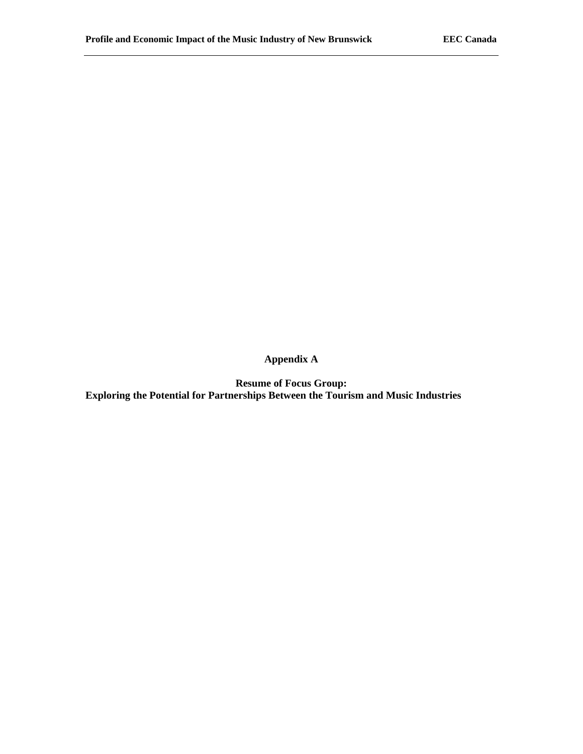**Appendix A** 

**Resume of Focus Group: Exploring the Potential for Partnerships Between the Tourism and Music Industries**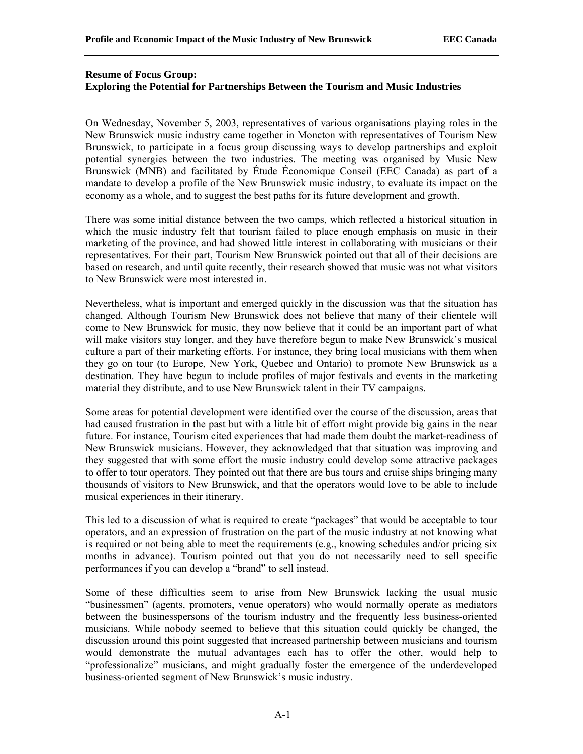# **Resume of Focus Group: Exploring the Potential for Partnerships Between the Tourism and Music Industries**

On Wednesday, November 5, 2003, representatives of various organisations playing roles in the New Brunswick music industry came together in Moncton with representatives of Tourism New Brunswick, to participate in a focus group discussing ways to develop partnerships and exploit potential synergies between the two industries. The meeting was organised by Music New Brunswick (MNB) and facilitated by Étude Économique Conseil (EEC Canada) as part of a mandate to develop a profile of the New Brunswick music industry, to evaluate its impact on the economy as a whole, and to suggest the best paths for its future development and growth.

There was some initial distance between the two camps, which reflected a historical situation in which the music industry felt that tourism failed to place enough emphasis on music in their marketing of the province, and had showed little interest in collaborating with musicians or their representatives. For their part, Tourism New Brunswick pointed out that all of their decisions are based on research, and until quite recently, their research showed that music was not what visitors to New Brunswick were most interested in.

Nevertheless, what is important and emerged quickly in the discussion was that the situation has changed. Although Tourism New Brunswick does not believe that many of their clientele will come to New Brunswick for music, they now believe that it could be an important part of what will make visitors stay longer, and they have therefore begun to make New Brunswick's musical culture a part of their marketing efforts. For instance, they bring local musicians with them when they go on tour (to Europe, New York, Quebec and Ontario) to promote New Brunswick as a destination. They have begun to include profiles of major festivals and events in the marketing material they distribute, and to use New Brunswick talent in their TV campaigns.

Some areas for potential development were identified over the course of the discussion, areas that had caused frustration in the past but with a little bit of effort might provide big gains in the near future. For instance, Tourism cited experiences that had made them doubt the market-readiness of New Brunswick musicians. However, they acknowledged that that situation was improving and they suggested that with some effort the music industry could develop some attractive packages to offer to tour operators. They pointed out that there are bus tours and cruise ships bringing many thousands of visitors to New Brunswick, and that the operators would love to be able to include musical experiences in their itinerary.

This led to a discussion of what is required to create "packages" that would be acceptable to tour operators, and an expression of frustration on the part of the music industry at not knowing what is required or not being able to meet the requirements (e.g., knowing schedules and/or pricing six months in advance). Tourism pointed out that you do not necessarily need to sell specific performances if you can develop a "brand" to sell instead.

Some of these difficulties seem to arise from New Brunswick lacking the usual music "businessmen" (agents, promoters, venue operators) who would normally operate as mediators between the businesspersons of the tourism industry and the frequently less business-oriented musicians. While nobody seemed to believe that this situation could quickly be changed, the discussion around this point suggested that increased partnership between musicians and tourism would demonstrate the mutual advantages each has to offer the other, would help to "professionalize" musicians, and might gradually foster the emergence of the underdeveloped business-oriented segment of New Brunswick's music industry.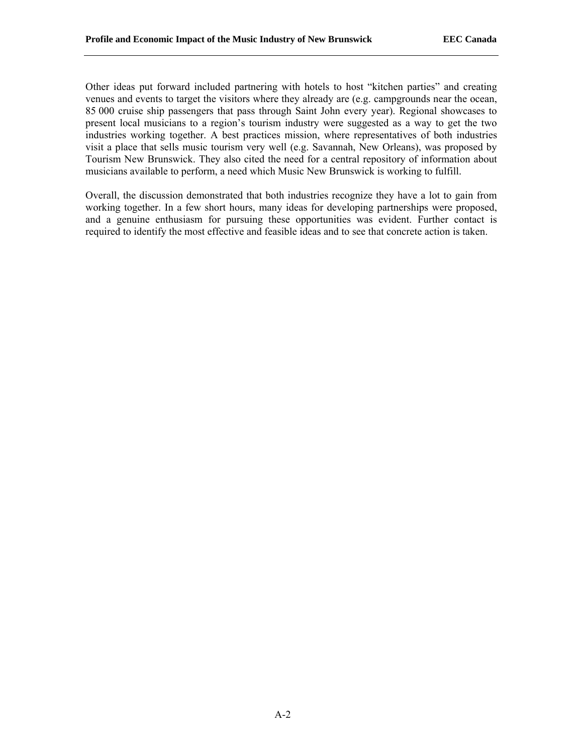Other ideas put forward included partnering with hotels to host "kitchen parties" and creating venues and events to target the visitors where they already are (e.g. campgrounds near the ocean, 85 000 cruise ship passengers that pass through Saint John every year). Regional showcases to present local musicians to a region's tourism industry were suggested as a way to get the two industries working together. A best practices mission, where representatives of both industries visit a place that sells music tourism very well (e.g. Savannah, New Orleans), was proposed by Tourism New Brunswick. They also cited the need for a central repository of information about musicians available to perform, a need which Music New Brunswick is working to fulfill.

Overall, the discussion demonstrated that both industries recognize they have a lot to gain from working together. In a few short hours, many ideas for developing partnerships were proposed, and a genuine enthusiasm for pursuing these opportunities was evident. Further contact is required to identify the most effective and feasible ideas and to see that concrete action is taken.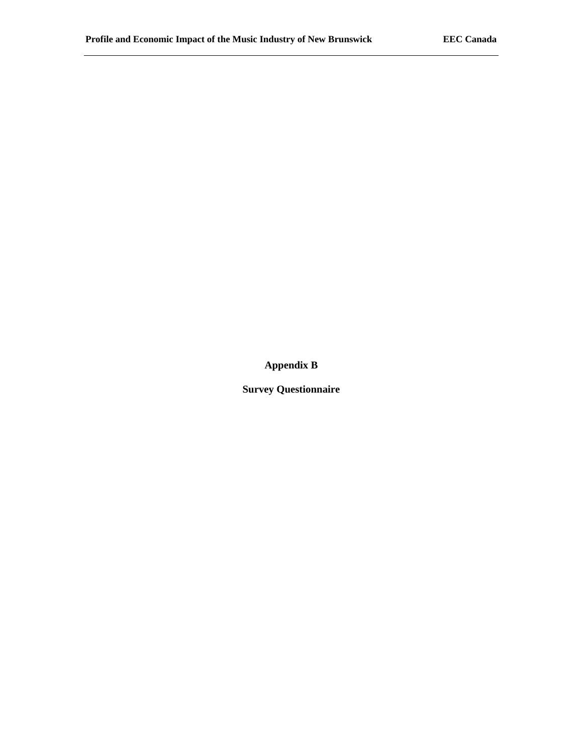**Appendix B** 

**Survey Questionnaire**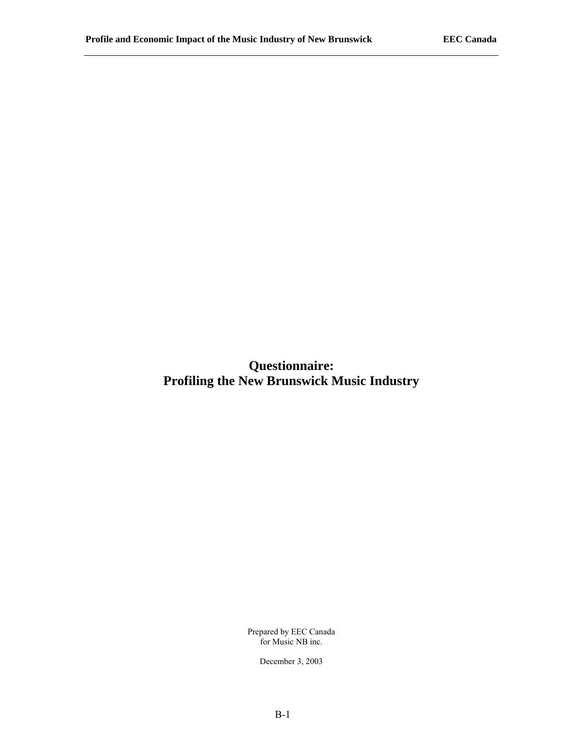**Questionnaire: Profiling the New Brunswick Music Industry** 

> Prepared by EEC Canada for Music NB inc.

> > December 3, 2003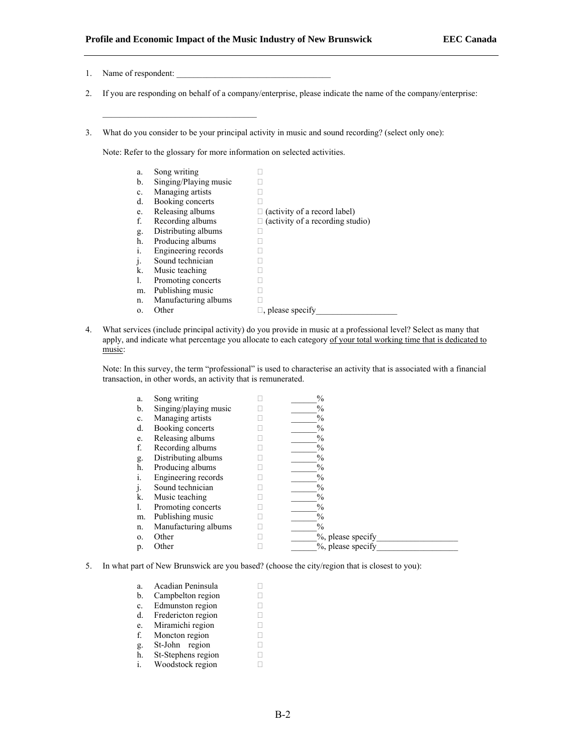- 1. Name of respondent:
- 2. If you are responding on behalf of a company/enterprise, please indicate the name of the company/enterprise:
- 3. What do you consider to be your principal activity in music and sound recording? (select only one):

Note: Refer to the glossary for more information on selected activities.

| a.           | Song writing          |                                     |
|--------------|-----------------------|-------------------------------------|
| b.           | Singing/Playing music |                                     |
| c.           | Managing artists      |                                     |
| d.           | Booking concerts      |                                     |
| e.           | Releasing albums      | $\Box$ (activity of a record label) |
| f.           | Recording albums      | (activity of a recording studio)    |
| g.           | Distributing albums   |                                     |
| h.           | Producing albums      |                                     |
| i.           | Engineering records   |                                     |
| $\mathbf{J}$ | Sound technician      |                                     |
| k.           | Music teaching        |                                     |
| 1.           | Promoting concerts    |                                     |
| m.           | Publishing music      |                                     |
| n.           | Manufacturing albums  |                                     |
| 0.           | Other                 | $\Box$ , please specify             |

4. What services (include principal activity) do you provide in music at a professional level? Select as many that apply, and indicate what percentage you allocate to each category of your total working time that is dedicated to music:

Note: In this survey, the term "professional" is used to characterise an activity that is associated with a financial transaction, in other words, an activity that is remunerated.

| a.             | Song writing          | $\frac{0}{0}$     |
|----------------|-----------------------|-------------------|
| $\mathbf b$ .  | Singing/playing music | $\frac{0}{0}$     |
| c.             | Managing artists      | $\frac{0}{0}$     |
| d.             | Booking concerts      | $\%$              |
| e.             | Releasing albums      | $\frac{0}{0}$     |
| f.             | Recording albums      | $\frac{0}{0}$     |
| g.             | Distributing albums   | $\frac{0}{0}$     |
| h.             | Producing albums      | $\%$              |
| $\mathbf{1}$ . | Engineering records   | $\frac{0}{0}$     |
| J.             | Sound technician      | $\%$              |
| k.             | Music teaching        | $\frac{0}{0}$     |
| 1.             | Promoting concerts    | $\frac{0}{0}$     |
| m.             | Publishing music      | $\frac{0}{0}$     |
| n.             | Manufacturing albums  | $\%$              |
| $\Omega$ .     | Other                 | %, please specify |
| p.             | Other                 | %, please specify |

5. In what part of New Brunswick are you based? (choose the city/region that is closest to you):

| a. | Acadian Peninsula  |  |
|----|--------------------|--|
| b. | Campbelton region  |  |
| c. | Edmunston region   |  |
| d. | Fredericton region |  |
| e. | Miramichi region   |  |
| f. | Moncton region     |  |
| g. | St-John region     |  |
| h. | St-Stephens region |  |
|    | Woodstock region   |  |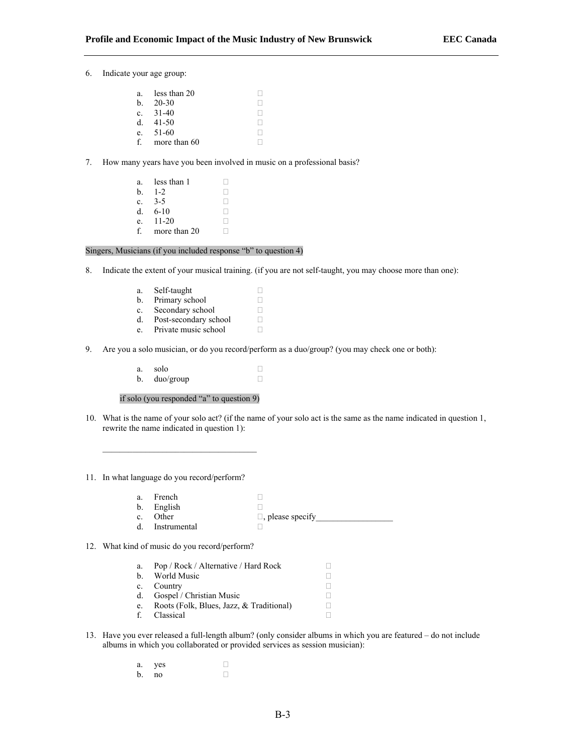6. Indicate your age group:

| $a_{\cdot}$ | less than 20 |  |
|-------------|--------------|--|
| $h_{-}$     | 20-30        |  |
|             | c. $31-40$   |  |
| d.          | 41-50        |  |
| e.          | 51-60        |  |
| f           | more than 60 |  |

7. How many years have you been involved in music on a professional basis?

a. less than  $1 \square$  $b \quad 1-2$ c.  $3-5$  . d.  $6-10$  ... e.  $11-20$ f. more than 20  $\Box$ 

#### Singers, Musicians (if you included response "b" to question 4)

8. Indicate the extent of your musical training. (if you are not self-taught, you may choose more than one):

| a. | Self-taught           |  |
|----|-----------------------|--|
| b. | Primary school        |  |
| C. | Secondary school      |  |
| d. | Post-secondary school |  |
| e. | Private music school  |  |

- 9. Are you a solo musician, or do you record/perform as a duo/group? (you may check one or both):
	- a. solo  $\Box$ <br>b. duo/group  $\Box$ b. duo/group

if solo (you responded "a" to question 9)

\_\_\_\_\_\_\_\_\_\_\_\_\_\_\_\_\_\_\_\_\_\_\_\_\_\_\_\_\_\_\_\_\_\_\_\_

10. What is the name of your solo act? (if the name of your solo act is the same as the name indicated in question 1, rewrite the name indicated in question 1):

11. In what language do you record/perform?

- a. French  $\Box$ <br>b. English  $\Box$ b. English
- c. Other  $\Box$ , please specify
- d. Instrumental  $\Box$
- 12. What kind of music do you record/perform?

| a.           | Pop / Rock / Alternative / Hard Rock     |  |
|--------------|------------------------------------------|--|
| <sub>h</sub> | World Music                              |  |
| $c_{\cdot}$  | Country                                  |  |
| d.           | Gospel / Christian Music                 |  |
| e.           | Roots (Folk, Blues, Jazz, & Traditional) |  |
| f            | Classical                                |  |

- 13. Have you ever released a full-length album? (only consider albums in which you are featured do not include albums in which you collaborated or provided services as session musician):
	- a. yes  $\Box$ <br>b. no  $\Box$  $b.$  no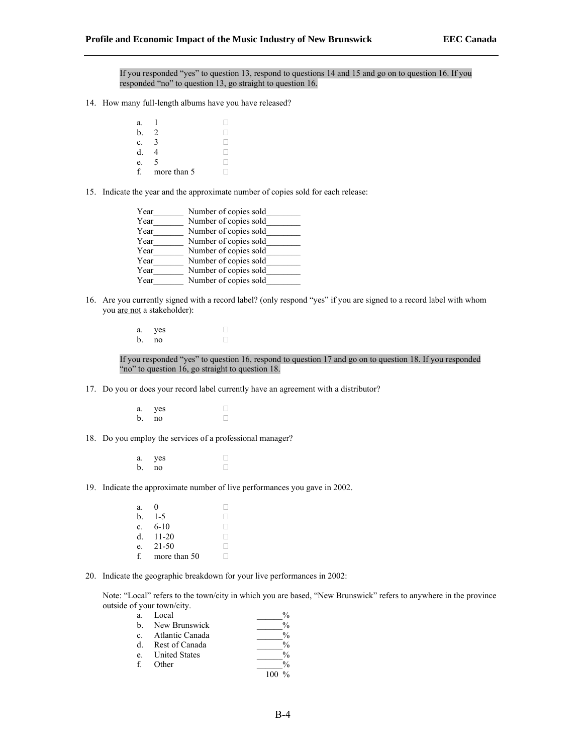If you responded "yes" to question 13, respond to questions 14 and 15 and go on to question 16. If you responded "no" to question 13, go straight to question 16.

- 14. How many full-length albums have you have released?
	- a.  $1 \Box$ b. 2  $\Box$ <br>c. 3  $\Box$ c. 3  $\Box$ <br>d. 4  $\Box$ d. 4  $\Box$ <br>e. 5  $\Box$ e.  $5 \square$ <br>f. more than  $5 \square$ more than 5

15. Indicate the year and the approximate number of copies sold for each release:

- Year Mumber of copies sold Year Mumber of copies sold Year<sup>Number</sup> of copies sold Year<sup>Number</sup> of copies sold Year<sup>Number</sup> of copies sold Year Number of copies sold Year Mumber of copies sold Year\_\_\_\_\_\_\_\_\_\_ Number of copies sold\_
- 16. Are you currently signed with a record label? (only respond "yes" if you are signed to a record label with whom you are not a stakeholder):

a. yes  $\Box$ <br>b. no  $b.$  no

If you responded "yes" to question 16, respond to question 17 and go on to question 18. If you responded "no" to question 16, go straight to question 18.

- 17. Do you or does your record label currently have an agreement with a distributor?
	- a. yes  $\Box$ <br>b no  $\Box$ b. no
- 18. Do you employ the services of a professional manager?
	- a. yes  $\Box$ <br>b. no  $\Box$ b. no
- 19. Indicate the approximate number of live performances you gave in 2002.
	- a.  $0$ **b**.  $1-5$   $\Box$ <br>**c**. 6-10  $\Box$ c.  $6-10$  .  $\Box$ <br>d.  $11-20$  $d. 11-20$ e. 21-50  $\Box$ <br>f. more than 50  $\Box$ f. more than 50
- 20. Indicate the geographic breakdown for your live performances in 2002:

Note: "Local" refers to the town/city in which you are based, "New Brunswick" refers to anywhere in the province outside of your town/city.

| a.      | Local                | $\frac{0}{0}$ |
|---------|----------------------|---------------|
| $h_{-}$ | New Brunswick        | $\frac{0}{0}$ |
| $c_{-}$ | Atlantic Canada      | $\frac{0}{0}$ |
| d.      | Rest of Canada       | $\frac{0}{0}$ |
| $e_{-}$ | <b>United States</b> | $\frac{0}{0}$ |
| f       | Other                | $\frac{0}{0}$ |
|         |                      |               |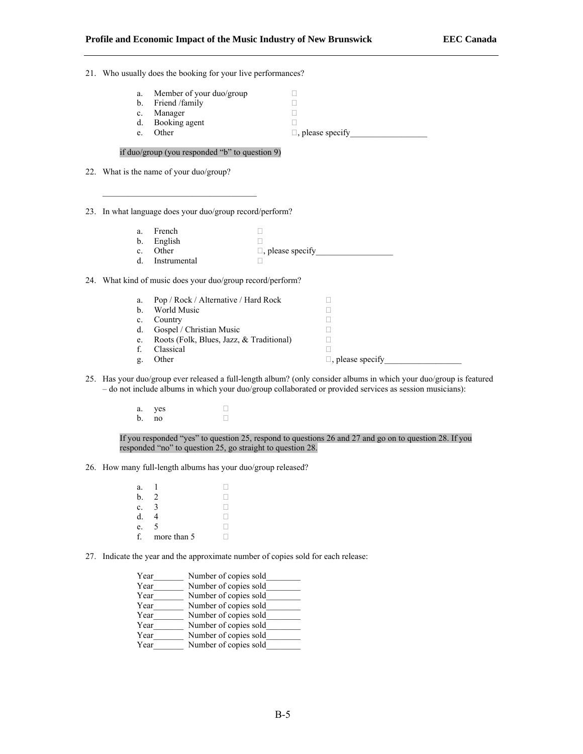- 21. Who usually does the booking for your live performances?
	- a. Member of your duo/group  $\Box$ <br>b. Friend /family  $\Box$
	- b. Friend /family  $C$   $\Box$   $D$
	-
	- c. Manager  $\Box$ <br>d. Booking agent  $\Box$ d. Booking agent
	- e. Other  $\Box$ , please specify

#### if duo/group (you responded "b" to question 9)

22. What is the name of your duo/group?

23. In what language does your duo/group record/perform?

 $\mathcal{L}_\text{max}$ 

- a. French  $\Box$ <br>b. English  $\Box$ b. English<br>c. Other c. Other  $\Box$ , please specify<br>d Instrumental  $\Box$
- d. Instrumental

#### 24. What kind of music does your duo/group record/perform?

| a. | Pop / Rock / Alternative / Hard Rock     |                         |
|----|------------------------------------------|-------------------------|
| b. | World Music                              |                         |
| c. | Country                                  |                         |
| d. | Gospel / Christian Music                 |                         |
| e. | Roots (Folk, Blues, Jazz, & Traditional) |                         |
|    | Classical                                |                         |
|    | Other                                    | $\Box$ , please specify |

- 25. Has your duo/group ever released a full-length album? (only consider albums in which your duo/group is featured – do not include albums in which your duo/group collaborated or provided services as session musicians):
	- a. yes  $\Box$ <br>b. no  $\Box$  $b.$  no

If you responded "yes" to question 25, respond to questions 26 and 27 and go on to question 28. If you responded "no" to question 25, go straight to question 28.

- 26. How many full-length albums has your duo/group released?
	- a.  $1 \Box$ b. 2  $\Box$ <br>c. 3  $\Box$ c. 3  $\Box$ <br>d. 4  $\Box$ d. 4  $\Box$ <br>e. 5  $\Box$ e.  $5$ f. more than  $5 \Box$
- 27. Indicate the year and the approximate number of copies sold for each release:

| Year | Number of copies sold |
|------|-----------------------|
| Year | Number of copies sold |
| Year | Number of copies sold |
| Year | Number of copies sold |
| Year | Number of copies sold |
| Year | Number of copies sold |
| Year | Number of copies sold |
| Year | Number of copies sold |
|      |                       |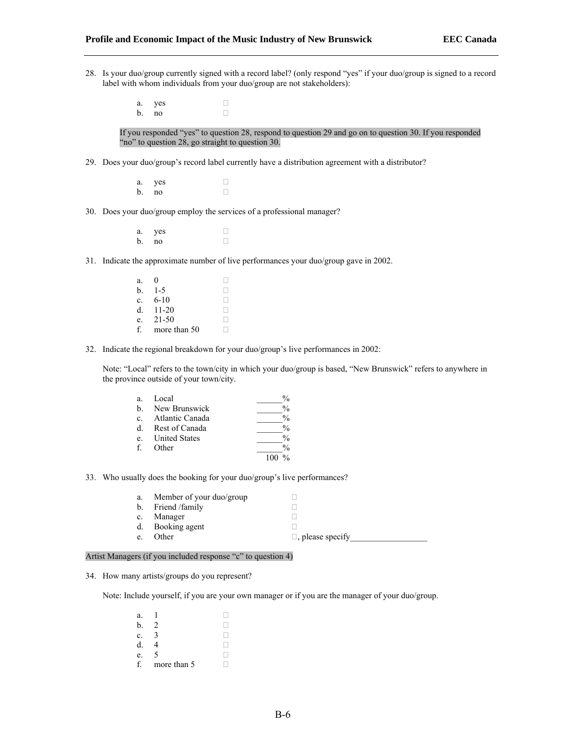- 28. Is your duo/group currently signed with a record label? (only respond "yes" if your duo/group is signed to a record label with whom individuals from your duo/group are not stakeholders):
	- a. yes  $\Box$ b. no  $\Box$

If you responded "yes" to question 28, respond to question 29 and go on to question 30. If you responded "no" to question 28, go straight to question 30.

- 29. Does your duo/group's record label currently have a distribution agreement with a distributor?
	- a. yes  $\Box$ <br>b. no  $b$ . no
- 30. Does your duo/group employ the services of a professional manager?
	- a. yes  $\Box$ b. no  $\Box$
- 31. Indicate the approximate number of live performances your duo/group gave in 2002.
	- a. 0  $\Box$ <br>b. 1-5  $\Box$ **b.**  $1-5$   $\Box$ <br>**c.** 6-10  $\Box$ c.  $6-10$  .  $\Box$ <br>d. 11-20 .  $\Box$ d.  $11-20$  .  $\Box$ <br>e. 21-50 .  $\Box$ e. 21-50  $\Box$ <br>f. more than 50  $\Box$ f. more than 50
- 32. Indicate the regional breakdown for your duo/group's live performances in 2002:

Note: "Local" refers to the town/city in which your duo/group is based, "New Brunswick" refers to anywhere in the province outside of your town/city.

| a.             | Local                | $\frac{0}{0}$ |
|----------------|----------------------|---------------|
| $h_{-}$        | New Brunswick        | $\frac{0}{0}$ |
| $\mathbf{c}$ . | Atlantic Canada      | $\frac{0}{0}$ |
| <sub>d</sub>   | Rest of Canada       | $\frac{0}{0}$ |
| $e_{-}$        | <b>United States</b> | $\frac{0}{0}$ |
| f              | Other                | $\frac{0}{0}$ |
|                |                      |               |

33. Who usually does the booking for your duo/group's live performances?

| a.          | Member of your duo/group |                         |
|-------------|--------------------------|-------------------------|
|             | b. Friend /family        |                         |
| $c_{\cdot}$ | Manager                  |                         |
|             | d. Booking agent         |                         |
| e.          | Other                    | $\Box$ , please specify |

#### Artist Managers (if you included response "c" to question 4)

34. How many artists/groups do you represent?

Note: Include yourself, if you are your own manager or if you are the manager of your duo/group.

| a. |             |  |
|----|-------------|--|
| b. |             |  |
| C. |             |  |
| d. |             |  |
| e. | 5           |  |
|    | more than 5 |  |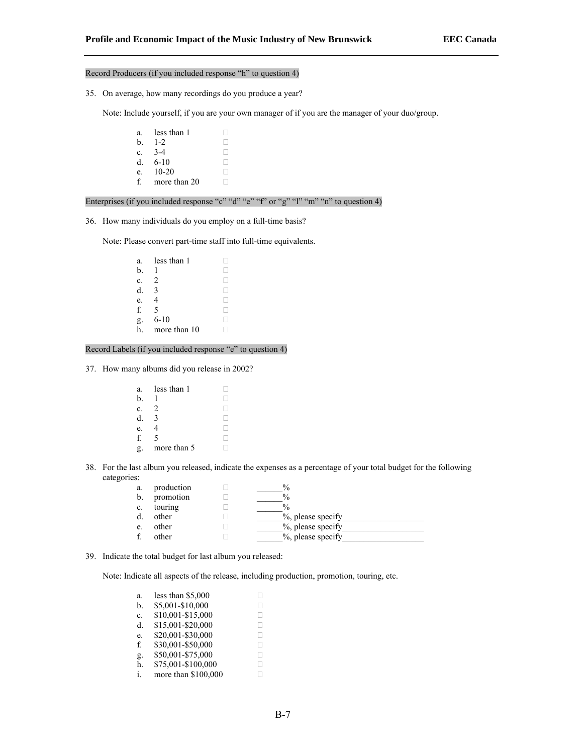#### Record Producers (if you included response "h" to question 4)

35. On average, how many recordings do you produce a year?

Note: Include yourself, if you are your own manager of if you are the manager of your duo/group.

a. less than  $1 \square$ <br>b.  $1-2 \square$ **b**.  $1-2$   $\Box$  **c**.  $3-4$   $\Box$ **c**. 3-4  $\Box$ <br>**d.** 6-10  $\Box$ d.  $6-10$  .  $\Box$ <br>e.  $10-20$  .  $e. 10-20$ f. more than 20  $\Box$ 

Enterprises (if you included response "c" "d" "e" "f" or "g" "l" "m" "n" to question 4)

36. How many individuals do you employ on a full-time basis?

Note: Please convert part-time staff into full-time equivalents.

```
a. less than 1 \square<br>b. 1 \squareb. 1 \Box<br>c. 2 \Boxc. 2 \Box<br>d. 3 \Boxd. 3 \Box<br>e. 4 \Boxe. 4 \Box<br>f. 5 \Boxf. 5 \Box<br>g. 6-10 \Boxg. 6-10 . \Box<br>h. more than 10 . \Boxh. more than 10
```
Record Labels (if you included response "e" to question 4)

37. How many albums did you release in 2002?

| a. | less than 1 |  |
|----|-------------|--|
| b. |             |  |
| c. | 2           |  |
| d. |             |  |
| e. |             |  |
| f  | 5           |  |
|    | more than 5 |  |

38. For the last album you released, indicate the expenses as a percentage of your total budget for the following categories:

| a.      | production | $\frac{0}{0}$     |
|---------|------------|-------------------|
| b.      | promotion  | $\frac{0}{0}$     |
| $c_{-}$ | touring    | $\frac{0}{0}$     |
| d.      | other      | %, please specify |
| e.      | other      | %, please specify |
|         | other      | %, please specify |

39. Indicate the total budget for last album you released:

Note: Indicate all aspects of the release, including production, promotion, touring, etc.

| a.             | less than \$5,000   |              |
|----------------|---------------------|--------------|
| b.             | \$5,001-\$10,000    |              |
| $\mathbf{c}$ . | \$10,001-\$15,000   | Ш            |
| d.             | \$15,001-\$20,000   | Ш            |
| e.             | \$20,001-\$30,000   | $\mathbf{I}$ |
| f.             | \$30,001-\$50,000   | Ш            |
| g.             | \$50,001-\$75,000   | ш            |
| h.             | \$75,001-\$100,000  | н            |
| i.             | more than \$100,000 |              |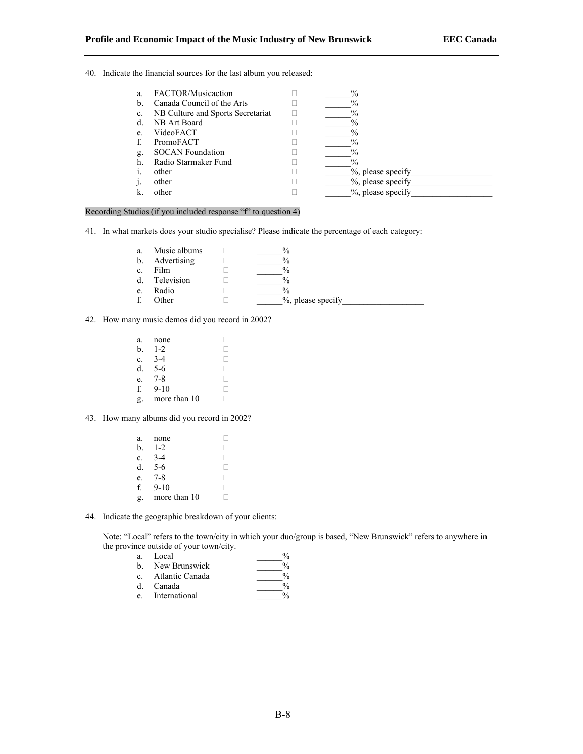40. Indicate the financial sources for the last album you released:

| a.             | FACTOR/Musicaction                | $\%$              |
|----------------|-----------------------------------|-------------------|
| $\mathbf{b}$ . | Canada Council of the Arts        | $\%$              |
| c.             | NB Culture and Sports Secretariat | $\%$              |
| d.             | NB Art Board                      | $\%$              |
| e.             | VideoFACT                         | $\%$              |
|                | PromoFACT                         | $\%$              |
| g.             | <b>SOCAN Foundation</b>           | $\%$              |
| h.             | Radio Starmaker Fund              | $\%$              |
| $\mathbf{1}$   | other                             | %, please specify |
|                | other                             | %, please specify |
|                | other                             | %, please specify |

#### Recording Studios (if you included response "f" to question 4)

41. In what markets does your studio specialise? Please indicate the percentage of each category:

| a. | Music albums | $\%$              |
|----|--------------|-------------------|
| b. | Advertising  | $\frac{0}{0}$     |
| c. | Film         | $\frac{0}{0}$     |
| d  | Television   | $\frac{0}{0}$     |
| e. | Radio        | $\frac{0}{0}$     |
|    | Other        | %, please specify |

42. How many music demos did you record in 2002?

| a. | none         |  |
|----|--------------|--|
| b. | $1 - 2$      |  |
| c. | $3 - 4$      |  |
| d. | $5 - 6$      |  |
| e. | $7 - 8$      |  |
| f. | $9 - 10$     |  |
| g. | more than 10 |  |

43. How many albums did you record in 2002?

| a. | none         |  |
|----|--------------|--|
| b. | $1 - 2$      |  |
| c. | $3-4$        |  |
| d. | $5-6$        |  |
| e. | $7 - 8$      |  |
| f. | $9 - 10$     |  |
| g. | more than 10 |  |

44. Indicate the geographic breakdown of your clients:

Note: "Local" refers to the town/city in which your duo/group is based, "New Brunswick" refers to anywhere in the province outside of your town/city.

| a.             | Local           |     |
|----------------|-----------------|-----|
| $h_{-}$        | New Brunswick   |     |
| $\mathbf{c}$ . | Atlantic Canada |     |
| $d_{\cdot}$    | Canada          |     |
|                |                 | . . |

e. International 200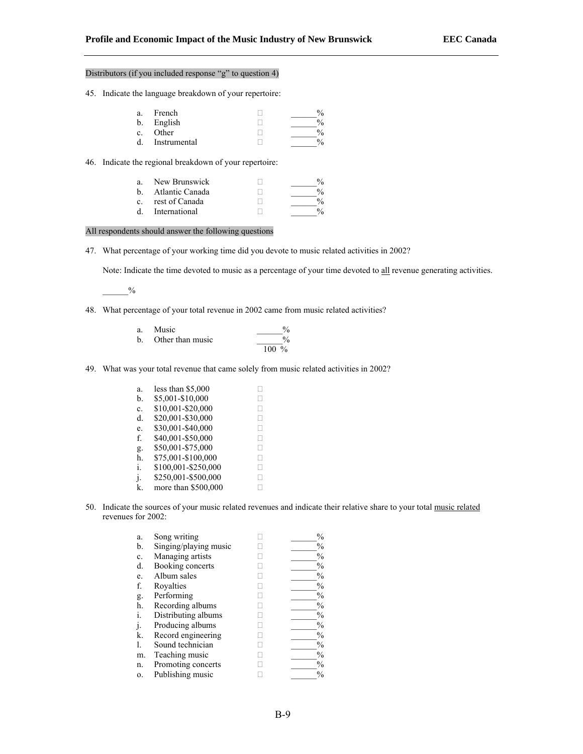#### Distributors (if you included response "g" to question 4)

45. Indicate the language breakdown of your repertoire:

| a. | French       |  |
|----|--------------|--|
| b. | English      |  |
| c. | Other        |  |
| d. | Instrumental |  |

46. Indicate the regional breakdown of your repertoire:

| a<br>h            | New Brunswick<br>Atlantic Canada | $\frac{0}{2}$<br>$\frac{0}{0}$ |
|-------------------|----------------------------------|--------------------------------|
| $c_{\mathcal{L}}$ | rest of Canada                   | $\frac{0}{0}$                  |
| <sub>d</sub>      | International                    | 0/2                            |

All respondents should answer the following questions

47. What percentage of your working time did you devote to music related activities in 2002?

Note: Indicate the time devoted to music as a percentage of your time devoted to all revenue generating activities.

 $\frac{0}{0}$ 

48. What percentage of your total revenue in 2002 came from music related activities?

| Music            | $\frac{0}{0}$ |
|------------------|---------------|
| Other than music | $\%$          |
|                  | $100 \%$      |

49. What was your total revenue that came solely from music related activities in 2002?

| a. | less than \$5,000   |   |
|----|---------------------|---|
| b. | \$5,001-\$10,000    |   |
| c. | \$10,001-\$20,000   |   |
| d. | \$20,001-\$30,000   | L |
| e. | \$30,001-\$40,000   |   |
| f. | \$40,001-\$50,000   | L |
| g. | \$50,001-\$75,000   | L |
| h. | \$75,001-\$100,000  | н |
| i. | \$100,001-\$250,000 | Ш |
| j. | \$250,001-\$500,000 | н |
| k  | more than \$500,000 |   |

50. Indicate the sources of your music related revenues and indicate their relative share to your total music related revenues for 2002:

| a.             | Song writing          | $\frac{0}{0}$ |
|----------------|-----------------------|---------------|
| b.             | Singing/playing music | %             |
| c.             | Managing artists      | %             |
| d.             | Booking concerts      | %             |
| e.             | Album sales           | %             |
| f.             | Rovalties             | $\frac{0}{0}$ |
| g.             | Performing            | %             |
| h.             | Recording albums      | $\frac{0}{0}$ |
| $\mathbf{1}$ . | Distributing albums   | %             |
|                | Producing albums      | $\frac{0}{0}$ |
| k.             | Record engineering    | %             |
| l.             | Sound technician      | %             |
| m.             | Teaching music        | $\frac{0}{0}$ |
| n.             | Promoting concerts    | %             |
| 0.             | Publishing music      | $\frac{0}{0}$ |
|                |                       |               |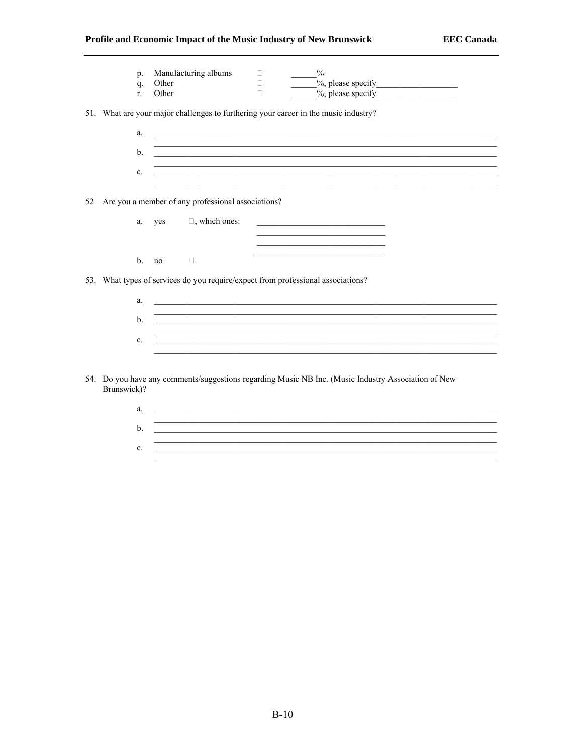## Profile and Economic Impact of the Music Industry of New Brunswick

|             | p.             | Manufacturing albums                                                             | п | $\frac{0}{0}$                                                                                                    |  |
|-------------|----------------|----------------------------------------------------------------------------------|---|------------------------------------------------------------------------------------------------------------------|--|
|             | q.             | Other                                                                            | П |                                                                                                                  |  |
|             | $r_{\rm{c}}$   | Other                                                                            | П | $\frac{9}{6}$ , please specify                                                                                   |  |
|             |                |                                                                                  |   | 51. What are your major challenges to furthering your career in the music industry?                              |  |
|             | a.             |                                                                                  |   | <u>a sa barang ang pagbabang nagang pangangang nagang pangangang nagang pang</u>                                 |  |
|             | $\mathbf{b}$ . |                                                                                  |   |                                                                                                                  |  |
|             | c.             |                                                                                  |   | and the control of the control of the control of the control of the control of the control of the control of the |  |
|             |                |                                                                                  |   |                                                                                                                  |  |
|             |                | 52. Are you a member of any professional associations?                           |   |                                                                                                                  |  |
|             | a.             | $\Box$ , which ones:<br>yes                                                      |   |                                                                                                                  |  |
|             |                |                                                                                  |   |                                                                                                                  |  |
|             | $\mathbf{b}$ . | no<br>$\Box$                                                                     |   |                                                                                                                  |  |
|             |                | 53. What types of services do you require/expect from professional associations? |   |                                                                                                                  |  |
|             | a.             |                                                                                  |   | ,我们也不会有什么。""我们的人,我们也不会有什么?""我们的人,我们也不会有什么?""我们的人,我们也不会有什么?""我们的人,我们也不会有什么?""我们的人                                 |  |
|             | b.             |                                                                                  |   |                                                                                                                  |  |
|             |                |                                                                                  |   | ,我们也不会有什么。""我们的人,我们也不会有什么?""我们的人,我们也不会有什么?""我们的人,我们也不会有什么?""我们的人,我们也不会有什么?""我们的人                                 |  |
|             | $c_{\cdot}$    |                                                                                  |   |                                                                                                                  |  |
|             |                |                                                                                  |   |                                                                                                                  |  |
| Brunswick)? |                |                                                                                  |   | 54. Do you have any comments/suggestions regarding Music NB Inc. (Music Industry Association of New              |  |

 $\mathbf{a.}$   $\blacksquare$ <u> 1989 - Johann Stoff, deutscher Stoffen und der Stoffen und der Stoffen und der Stoffen und der Stoffen und der</u> b.  $\overline{\phantom{a}}$ c.  $\frac{1}{\sqrt{1-\frac{1}{2}}\sqrt{1-\frac{1}{2}}\sqrt{1-\frac{1}{2}}\sqrt{1-\frac{1}{2}}\sqrt{1-\frac{1}{2}}\sqrt{1-\frac{1}{2}}\sqrt{1-\frac{1}{2}}\sqrt{1-\frac{1}{2}}\sqrt{1-\frac{1}{2}}\sqrt{1-\frac{1}{2}}\sqrt{1-\frac{1}{2}}\sqrt{1-\frac{1}{2}}\sqrt{1-\frac{1}{2}}\sqrt{1-\frac{1}{2}}\sqrt{1-\frac{1}{2}}\sqrt{1-\frac{1}{2}}\sqrt{1-\frac{1}{2}}\sqrt{1-\frac{1}{2}}\sqrt{1-\frac{1}{2}}\sqrt{$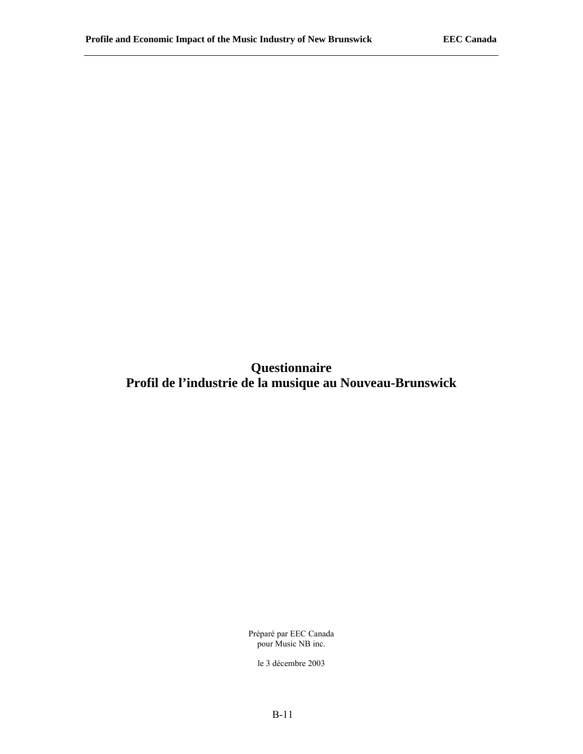**Questionnaire Profil de l'industrie de la musique au Nouveau-Brunswick** 

> Préparé par EEC Canada pour Music NB inc.

le 3 décembre 2003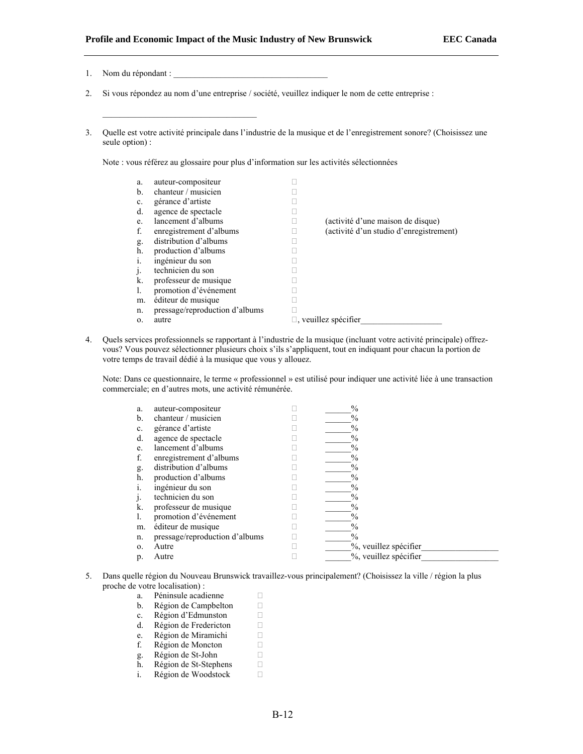- 1. Nom du répondant :
- 2. Si vous répondez au nom d'une entreprise / société, veuillez indiquer le nom de cette entreprise :
- 3. Quelle est votre activité principale dans l'industrie de la musique et de l'enregistrement sonore? (Choisissez une seule option) :

Note : vous référez au glossaire pour plus d'information sur les activités sélectionnées

| a. | auteur-compositeur             |                                         |
|----|--------------------------------|-----------------------------------------|
| b. | chanteur / musicien            |                                         |
| c. | gérance d'artiste              |                                         |
| d. | agence de spectacle            |                                         |
| e. | lancement d'albums             | (activité d'une maison de disque)       |
| f. | enregistrement d'albums        | (activité d'un studio d'enregistrement) |
| g. | distribution d'albums          |                                         |
| h. | production d'albums            |                                         |
| i. | ingénieur du son               |                                         |
| J. | technicien du son              |                                         |
| k. | professeur de musique          |                                         |
| 1. | promotion d'événement          |                                         |
| m. | éditeur de musique             |                                         |
| n. | pressage/reproduction d'albums |                                         |
| 0. | autre                          | $\Box$ , veuillez spécifier             |

4. Quels services professionnels se rapportant à l'industrie de la musique (incluant votre activité principale) offrezvous? Vous pouvez sélectionner plusieurs choix s'ils s'appliquent, tout en indiquant pour chacun la portion de votre temps de travail dédié à la musique que vous y allouez.

Note: Dans ce questionnaire, le terme « professionnel » est utilisé pour indiquer une activité liée à une transaction commerciale; en d'autres mots, une activité rémunérée.

| a. | auteur-compositeur             | $\frac{0}{0}$         |
|----|--------------------------------|-----------------------|
| b. | chanteur / musicien            | $\frac{0}{0}$         |
| c. | gérance d'artiste              | $\frac{0}{0}$         |
| d. | agence de spectacle            | $\frac{0}{0}$         |
| e. | lancement d'albums             | $\frac{0}{0}$         |
| f. | enregistrement d'albums        | $\%$                  |
| g. | distribution d'albums          | $\frac{0}{0}$         |
| h. | production d'albums            | $\frac{0}{0}$         |
|    | ingénieur du son               | $\%$                  |
|    | technicien du son              | $\%$                  |
| k. | professeur de musique          | $\frac{0}{0}$         |
| l. | promotion d'événement          | $\frac{0}{0}$         |
| m. | éditeur de musique             | $\%$                  |
| n. | pressage/reproduction d'albums | $\frac{0}{0}$         |
| 0. | Autre                          | %, veuillez spécifier |
| p. | Autre                          | %, veuillez spécifier |

- 5. Dans quelle région du Nouveau Brunswick travaillez-vous principalement? (Choisissez la ville / région la plus proche de votre localisation) :
	- a. Péninsule acadienne  $\Box$ b. Région de Campbelton  $\Box$ c. Région d'Edmunston  $\Box$
	- d. Région de Fredericton  $\Box$
	- e. Région de Miramichi $\square$ f. Région de Moncton $\square$
	- Région de Moncton  $\Box$ <br>Région de St-John  $\Box$
	- g. Région de St-John <br>
	h. Région de St-Stephens  $\Box$
	- h. Région de St-Stephens  $\Box$ <br>i. Région de Woodstock  $\Box$
	- i. Région de Woodstock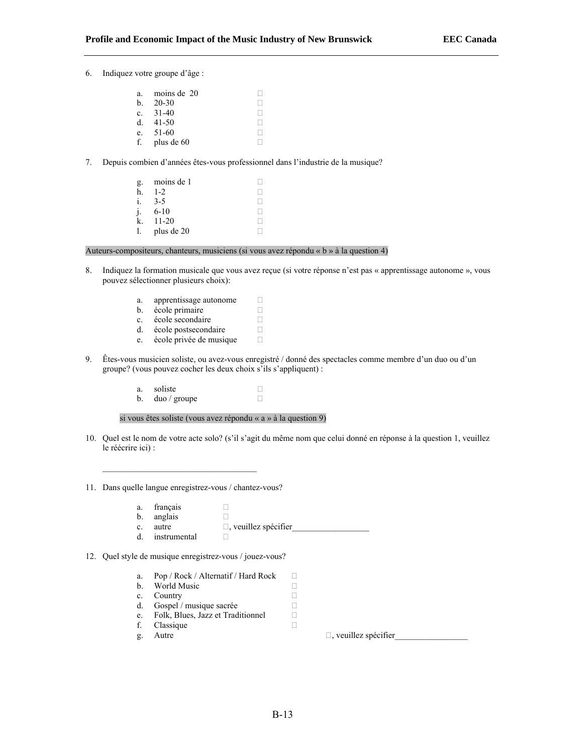6. Indiquez votre groupe d'âge : a. moins de  $20$ **b** 20-30  $\Box$ c.  $31-40$  . d.  $41-50$  . e.  $51-60$  . f. plus de  $60$ 7. Depuis combien d'années êtes-vous professionnel dans l'industrie de la musique? g. moins de 1  $\Box$ h.  $1-2$ 

| n. | $-2$       |  |
|----|------------|--|
| i. | $3-5$      |  |
| j. | $6 - 10$   |  |
| k. | $11 - 20$  |  |
| l. | plus de 20 |  |

Auteurs-compositeurs, chanteurs, musiciens (si vous avez répondu « b » à la question 4)

- 8. Indiquez la formation musicale que vous avez reçue (si votre réponse n'est pas « apprentissage autonome », vous pouvez sélectionner plusieurs choix):
	- a. apprentissage autonome  $\Box$ b. école primaire  $\Box$ <br>c. école secondaire  $\Box$ c. école secondaire  $\Box$ <br>d. école postsecondaire  $\Box$ d. école postsecondaire  $\Box$ <br>e. école privée de musique  $\Box$ e. école privée de musique
- 9. Êtes-vous musicien soliste, ou avez-vous enregistré / donné des spectacles comme membre d'un duo ou d'un groupe? (vous pouvez cocher les deux choix s'ils s'appliquent) :
	- a. soliste  $\Box$ <br>b. duo / groupe  $\Box$ b. duo / groupe

si vous êtes soliste (vous avez répondu « a » à la question 9)

- 10. Quel est le nom de votre acte solo? (s'il s'agit du même nom que celui donné en réponse à la question 1, veuillez le réécrire ici) :
- 11. Dans quelle langue enregistrez-vous / chantez-vous?
	- a. français  $\Box$ <br>b. anglais  $\Box$
	- b. anglais
	- c. autre  $\square$ , veuillez spécifier<br>
	d. instrumental  $\square$
	- d. instrumental
- 12. Quel style de musique enregistrez-vous / jouez-vous?
	- a. Pop / Rock / Alternatif / Hard Rock  $\Box$ b. World Music  $\Box$
	- c. Country  $\Box$
	-
	- d. Gospel / musique sacrée  $\Box$ <br>e. Folk, Blues, Jazz et Traditionnel  $\Box$ e. Folk, Blues, Jazz et Traditionnel  $\Box$ <br>f. Classique  $\Box$
	- f. Classique
	-

g. Autre  $\Box$ , veuillez spécifier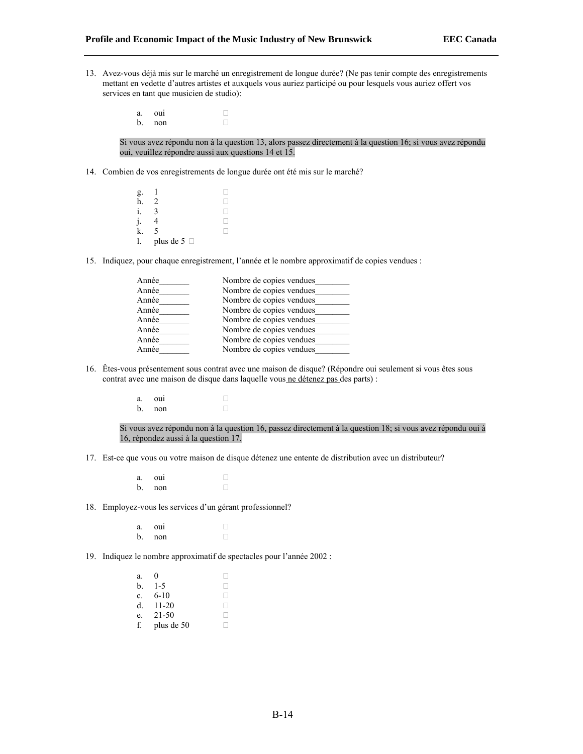- 13. Avez-vous déjà mis sur le marché un enregistrement de longue durée? (Ne pas tenir compte des enregistrements mettant en vedette d'autres artistes et auxquels vous auriez participé ou pour lesquels vous auriez offert vos services en tant que musicien de studio):
	- a. oui a  $b.$  non  $\Box$

Si vous avez répondu non à la question 13, alors passez directement à la question 16; si vous avez répondu oui, veuillez répondre aussi aux questions 14 et 15.

- 14. Combien de vos enregistrements de longue durée ont été mis sur le marché?
	- g.  $1$ h. 2  $\Box$ i.  $3 \square$  $j.$  4  $\Box$  $k. 5$ 1. plus de 5  $\Box$
- 15. Indiquez, pour chaque enregistrement, l'année et le nombre approximatif de copies vendues :

| Année | Nombre de copies vendues |
|-------|--------------------------|
| Année | Nombre de copies vendues |
| Année | Nombre de copies vendues |
| Année | Nombre de copies vendues |
| Année | Nombre de copies vendues |
| Année | Nombre de copies vendues |
| Année | Nombre de copies vendues |
| Année | Nombre de copies vendues |

- 16. Êtes-vous présentement sous contrat avec une maison de disque? (Répondre oui seulement si vous êtes sous contrat avec une maison de disque dans laquelle vous ne détenez pas des parts) :
	- a. oui  $\Box$ <br>b. non b. non

Si vous avez répondu non à la question 16, passez directement à la question 18; si vous avez répondu oui à 16, répondez aussi à la question 17.

- 17. Est-ce que vous ou votre maison de disque détenez une entente de distribution avec un distributeur?
	- a. oui  $\Box$ <br>b. non b. non
- 18. Employez-vous les services d'un gérant professionnel?
	- a. oui  $\Box$ <br>b. non b. non
- 19. Indiquez le nombre approximatif de spectacles pour l'année 2002 :
	- a.  $0$  $b. 1-5$ c.  $6-10$  . d.  $11-20$ e.  $21-50$  . f. plus de 50  $\Box$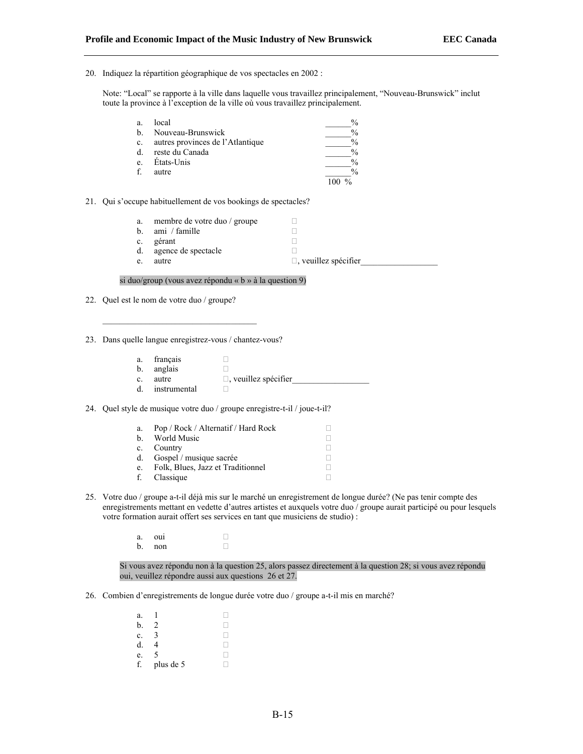20. Indiquez la répartition géographique de vos spectacles en 2002 :

Note: "Local" se rapporte à la ville dans laquelle vous travaillez principalement, "Nouveau-Brunswick" inclut toute la province à l'exception de la ville où vous travaillez principalement.

| a.      | local                            | $\%$ |
|---------|----------------------------------|------|
| b.      | Nouveau-Brunswick                | $\%$ |
| $c_{-}$ | autres provinces de l'Atlantique | $\%$ |
| d.      | reste du Canada                  | $\%$ |
| e.      | Etats-Unis                       | $\%$ |
|         | autre                            | $\%$ |
|         |                                  |      |

### 21. Qui s'occupe habituellement de vos bookings de spectacles?

| a.             | membre de votre duo / groupe |                             |
|----------------|------------------------------|-----------------------------|
| $\mathbf{b}$ . | ami / famille                |                             |
| $\mathbf{c}$ . | gérant                       |                             |
| d.             | agence de spectacle          |                             |
| e.             | autre                        | $\Box$ , veuillez spécifier |
|                |                              |                             |

## si duo/group (vous avez répondu « b » à la question 9)

22. Quel est le nom de votre duo / groupe?

23. Dans quelle langue enregistrez-vous / chantez-vous?

- a. français  $\Box$
- b. anglais  $\Box$
- c. autre  $\Box$ , veuillez spécifier<br>
d. instrumental  $\Box$
- instrumental  $\Box$

24. Quel style de musique votre duo / groupe enregistre-t-il / joue-t-il?

| a. | Pop / Rock / Alternatif / Hard Rock |  |
|----|-------------------------------------|--|
| h. | World Music                         |  |
|    | c. Country                          |  |
| d. | Gospel / musique sacrée             |  |
| e. | Folk, Blues, Jazz et Traditionnel   |  |
|    | f. Classique                        |  |

- 25. Votre duo / groupe a-t-il déjà mis sur le marché un enregistrement de longue durée? (Ne pas tenir compte des enregistrements mettant en vedette d'autres artistes et auxquels votre duo / groupe aurait participé ou pour lesquels votre formation aurait offert ses services en tant que musiciens de studio) :
	- a. oui  $\Box$ <br>b. non b. non

Si vous avez répondu non à la question 25, alors passez directement à la question 28; si vous avez répondu oui, veuillez répondre aussi aux questions 26 et 27.

26. Combien d'enregistrements de longue durée votre duo / groupe a-t-il mis en marché?

| a. |           |  |
|----|-----------|--|
| b. | $\lambda$ |  |
| c. |           |  |
| d. |           |  |
| e. | 5         |  |
| f. | plus de 5 |  |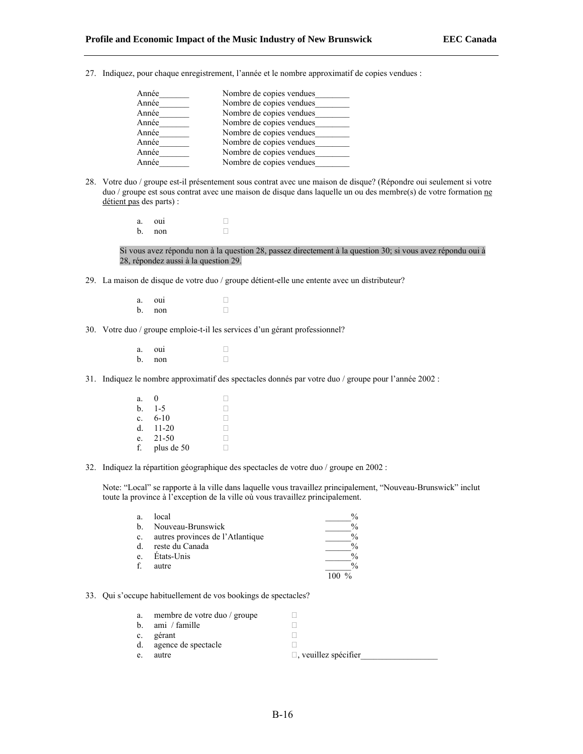27. Indiquez, pour chaque enregistrement, l'année et le nombre approximatif de copies vendues :

| Année | Nombre de copies vendues |
|-------|--------------------------|
| Année | Nombre de copies vendues |
| Année | Nombre de copies vendues |
| Année | Nombre de copies vendues |
| Année | Nombre de copies vendues |
| Année | Nombre de copies vendues |
| Année | Nombre de copies vendues |
| Année | Nombre de copies vendues |
|       |                          |

28. Votre duo / groupe est-il présentement sous contrat avec une maison de disque? (Répondre oui seulement si votre duo / groupe est sous contrat avec une maison de disque dans laquelle un ou des membre(s) de votre formation ne détient pas des parts) :

> a. oui  $\Box$ <br>b. non b. non

Si vous avez répondu non à la question 28, passez directement à la question 30; si vous avez répondu oui à 28, répondez aussi à la question 29.

- 29. La maison de disque de votre duo / groupe détient-elle une entente avec un distributeur?
	- a. oui  $\Box$ <br>b. non b. non
- 30. Votre duo / groupe emploie-t-il les services d'un gérant professionnel?
	- $a.$  oui  $\Box$  $b.$  non  $\Box$
- 31. Indiquez le nombre approximatif des spectacles donnés par votre duo / groupe pour l'année 2002 :
	- a. 0  $\Box$ <br>b. 1-5  $\Box$ **b**.  $1-5$   $\Box$ <br>**c.** 6-10  $\Box$ c.  $6-10$  .  $\Box$ <br>d. 11-20 .  $\Box$ d.  $11-20$  . e.  $21-50$  . f. plus de 50  $\Box$
- 32. Indiquez la répartition géographique des spectacles de votre duo / groupe en 2002 :

Note: "Local" se rapporte à la ville dans laquelle vous travaillez principalement, "Nouveau-Brunswick" inclut toute la province à l'exception de la ville où vous travaillez principalement.

| a.          | local                            | $\%$          |
|-------------|----------------------------------|---------------|
| b.          | Nouveau-Brunswick                | $\frac{0}{0}$ |
| $c_{\cdot}$ | autres provinces de l'Atlantique |               |
| d.          | reste du Canada                  | $\frac{0}{0}$ |
| e.          | États-Unis                       | $\frac{0}{0}$ |
|             | autre                            |               |
|             |                                  |               |

33. Qui s'occupe habituellement de vos bookings de spectacles?

| a.          | membre de votre duo / groupe |                             |
|-------------|------------------------------|-----------------------------|
| b.          | ami / famille                |                             |
| $c_{\cdot}$ | gérant                       |                             |
| d.          | agence de spectacle          |                             |
| e.          | autre                        | $\Box$ , veuillez spécifier |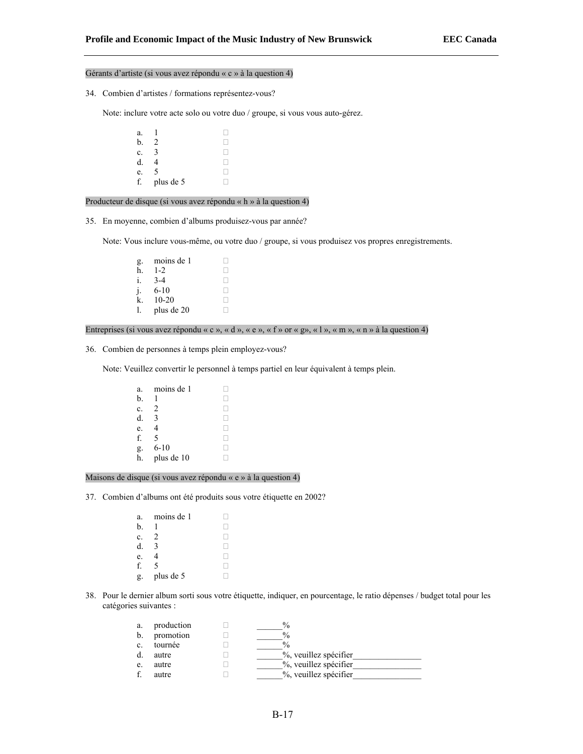## Gérants d'artiste (si vous avez répondu « c » à la question 4)

34. Combien d'artistes / formations représentez-vous?

Note: inclure votre acte solo ou votre duo / groupe, si vous vous auto-gérez.

a. 1  $\Box$ <br>b. 2  $\Box$ b. 2  $\Box$ <br>c. 3  $\Box$ c. 3  $\Box$ <br>d. 4  $\Box$ d. 4  $\Box$ <br>e. 5  $\Box$ e. 5 f. plus de 5  $\Box$ 

Producteur de disque (si vous avez répondu « h » à la question 4)

35. En moyenne, combien d'albums produisez-vous par année?

Note: Vous inclure vous-même, ou votre duo / groupe, si vous produisez vos propres enregistrements.

g. moins de 1  $\Box$ <br>h. 1-2  $\Box$ **h**. 1-2  $\Box$ <br>**i.** 3-4  $\Box$ i.  $3-4$  .  $\Box$ <br>i.  $6-10$  $\begin{bmatrix} 1. & 6-10 \\ k. & 10-20 \end{bmatrix}$ **k**. 10-20  $\Box$ <br>1. plus de 20  $\Box$  $l.$  plus de 20

# Entreprises (si vous avez répondu « c », « d », « e », « f » or « g», « l », « m », « n » à la question 4)

36. Combien de personnes à temps plein employez-vous?

Note: Veuillez convertir le personnel à temps partiel en leur équivalent à temps plein.

```
a. moins de 1 \Box<br>b. 1 \Boxb. 1 \Box<br>c. 2 \Boxc. 2 \Box<br>d. 3 \Boxd. 3e. 4f. 5g. 6-10 \Box<br>h. plus de 10 \Boxh. plus de 10
```
Maisons de disque (si vous avez répondu « e » à la question 4)

37. Combien d'albums ont été produits sous votre étiquette en 2002?

- a. moins de 1  $\Box$ <br>b. 1  $\Box$ b. 1  $\Box$ c. 2  $\Box$ <br>d. 3  $\Box$ d. 3  $\Box$ <br>e. 4  $\Box$ e. 4  $\Box$ <br>f. 5  $\Box$  $f. 5$ g. plus de 5  $\Box$
- 38. Pour le dernier album sorti sous votre étiquette, indiquer, en pourcentage, le ratio dépenses / budget total pour les catégories suivantes :

| a.             | production | $\frac{0}{0}$         |
|----------------|------------|-----------------------|
| b.             | promotion  | $\frac{0}{0}$         |
| $\mathbf{c}$ . | tournée    | $\frac{0}{0}$         |
| d.             | autre      | %, veuillez spécifier |
| e.             | autre      | %, veuillez spécifier |
|                | autre      | %, veuillez spécifier |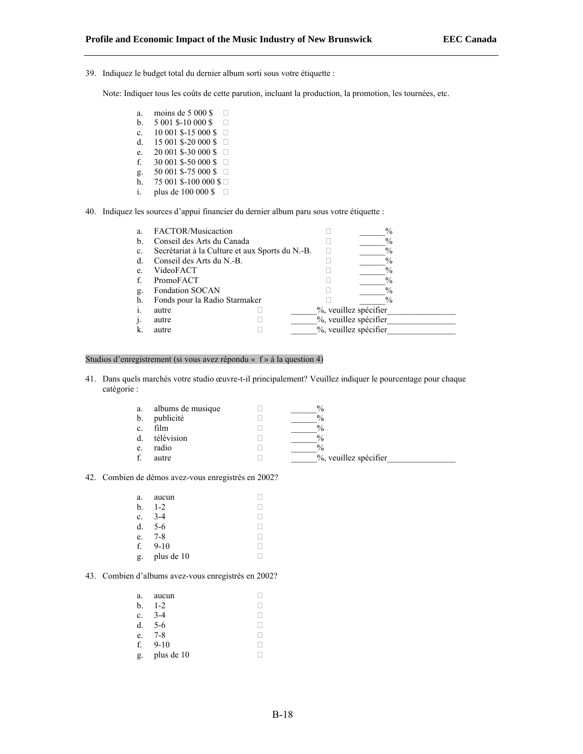39. Indiquez le budget total du dernier album sorti sous votre étiquette :

Note: Indiquer tous les coûts de cette parution, incluant la production, la promotion, les tournées, etc.

- a. moins de 5 000 \$  $\Box$
- b.  $5001$  \$-10 000 \$  $\Box$
- c.  $10\,001\,$ \$-15 000 \$  $\Box$
- d. 15 001 \$-20 000 \$  $\Box$
- e.  $20\,001\,$ \$-30 000 \$
- 30 001 \$-50 000 \$ □ g.  $50001$  \$-75 000 \$  $\Box$
- $\bar{h}$ . 75 001 \$-100 000 \$
- i. plus de 100 000 \$  $\Box$
- 40. Indiquez les sources d'appui financier du dernier album paru sous votre étiquette :

| a. | FACTOR/Musicaction                              |                       | $\%$                  |  |
|----|-------------------------------------------------|-----------------------|-----------------------|--|
| b. | Conseil des Arts du Canada                      |                       | $\frac{0}{0}$         |  |
| C. | Secrétariat à la Culture et aux Sports du N.-B. |                       | $\%$                  |  |
| d. | Conseil des Arts du N.-B.                       |                       | $\%$                  |  |
| e. | VideoFACT                                       |                       | $\%$                  |  |
|    | PromoFACT                                       |                       | $\frac{0}{0}$         |  |
| g. | <b>Fondation SOCAN</b>                          |                       | $\%$                  |  |
| h. | Fonds pour la Radio Starmaker                   |                       | $\%$                  |  |
|    | autre                                           | %, veuillez spécifier |                       |  |
|    | autre                                           |                       | %, veuillez spécifier |  |
|    | autre                                           | %, veuillez spécifier |                       |  |

## Studios d'enregistrement (si vous avez répondu « f » à la question 4)

41. Dans quels marchés votre studio œuvre-t-il principalement? Veuillez indiquer le pourcentage pour chaque catégorie :

| a. | albums de musique | $\%$                  |
|----|-------------------|-----------------------|
| b. | publicité         | $\frac{0}{0}$         |
| c. | film              | $\frac{0}{0}$         |
| d. | télévision        | $\frac{0}{0}$         |
| e. | radio             | $\frac{0}{0}$         |
|    | autre             | %, veuillez spécifier |
|    |                   |                       |

42. Combien de démos avez-vous enregistrés en 2002?

| a. | aucun      |  |
|----|------------|--|
| b. | $1 - 2$    |  |
| c. | $3-4$      |  |
| d. | 5-6        |  |
| e. | $7 - 8$    |  |
| f. | $9 - 10$   |  |
| g. | plus de 10 |  |

# 43. Combien d'albums avez-vous enregistrés en 2002?

| a. | aucun      |    |
|----|------------|----|
| b. | $1 - 2$    |    |
| c. | $3-4$      |    |
| d. | $5-6$      |    |
| e. | $7 - 8$    | H. |
| f. | $9 - 10$   |    |
| g. | plus de 10 |    |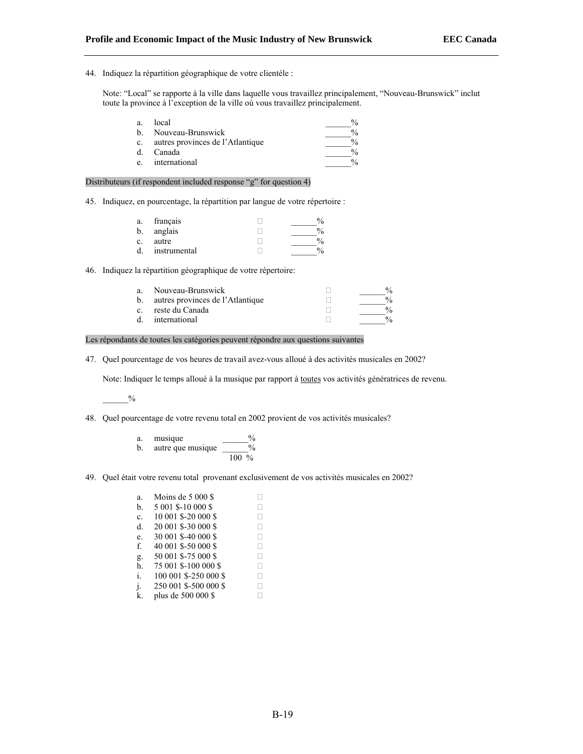44. Indiquez la répartition géographique de votre clientèle :

Note: "Local" se rapporte à la ville dans laquelle vous travaillez principalement, "Nouveau-Brunswick" inclut toute la province à l'exception de la ville où vous travaillez principalement.

| a. | local                            | $\frac{0}{0}$ |
|----|----------------------------------|---------------|
| h. | Nouveau-Brunswick                | $\frac{0}{0}$ |
| c. | autres provinces de l'Atlantique | $\frac{0}{0}$ |
| d. | Canada                           | $\frac{0}{0}$ |
| e. | international                    | $\frac{0}{2}$ |

#### Distributeurs (if respondent included response "g" for question 4)

45. Indiquez, en pourcentage, la répartition par langue de votre répertoire :

| a. | français     |     |
|----|--------------|-----|
| b. | anglais      |     |
| c. | autre        | 0.  |
| d. | instrumental | 0/2 |

46. Indiquez la répartition géographique de votre répertoire:

|                | a. Nouveau-Brunswick                | $\frac{0}{6}$ |
|----------------|-------------------------------------|---------------|
|                | b. autres provinces de l'Atlantique | $\frac{0}{6}$ |
| $\mathbf{c}$ . | reste du Canada                     |               |
| d.             | international                       |               |

#### Les répondants de toutes les catégories peuvent répondre aux questions suivantes

47. Quel pourcentage de vos heures de travail avez-vous alloué à des activités musicales en 2002?

Note: Indiquer le temps alloué à la musique par rapport à toutes vos activités génératrices de revenu.

 $_{\rm 9/_{0}}$ 

- 48. Quel pourcentage de votre revenu total en 2002 provient de vos activités musicales?
	- a. musique  $\%$ b. autre que musique  $\frac{9}{6}$ 100 %
- 49. Quel était votre revenu total provenant exclusivement de vos activités musicales en 2002?

| a.             | Moins de $5000$ \$    |   |
|----------------|-----------------------|---|
| b.             | 5 001 \$-10 000 \$    |   |
| c.             | 10 001 \$-20 000 \$   |   |
| d.             | 20 001 \$-30 000 \$   | Ш |
| e.             | 30 001 \$-40 000 \$   |   |
| f.             | 40 001 \$-50 000 \$   |   |
| g.             | 50 001 \$-75 000 \$   | П |
| h.             | 75 001 \$-100 000 \$  | н |
| $\mathbf{i}$ . | 100 001 \$-250 000 \$ |   |
| j.             | 250 001 \$-500 000 \$ |   |
| k.             | plus de 500 000 \$    |   |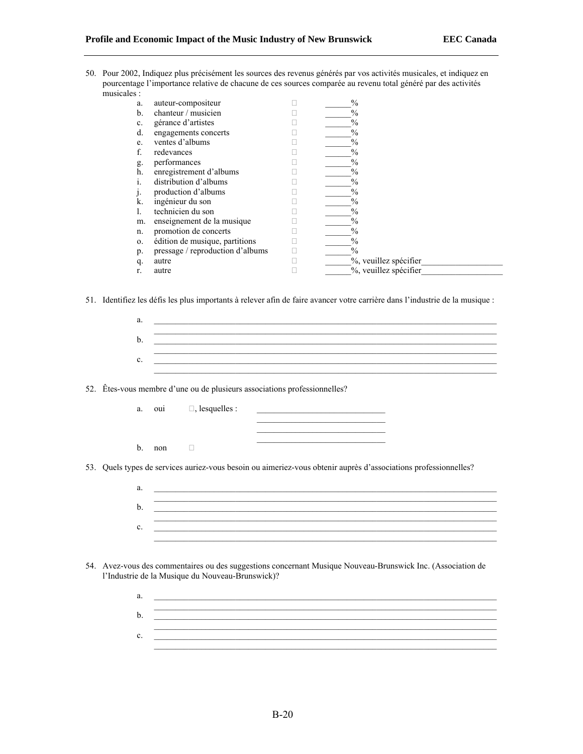50. Pour 2002, Indiquez plus précisément les sources des revenus générés par vos activités musicales, et indiquez en pourcentage l'importance relative de chacune de ces sources comparée au revenu total généré par des activités musicales :

| a.         | auteur-compositeur               | $\frac{0}{0}$         |
|------------|----------------------------------|-----------------------|
| b.         | chanteur / musicien              | $\frac{0}{0}$         |
| c.         | gérance d'artistes               | $\frac{0}{0}$         |
| d.         | engagements concerts             | $\frac{0}{0}$         |
| e.         | ventes d'albums                  | $\%$                  |
| f.         | redevances                       | $\frac{0}{0}$         |
| g.         | performances                     | $\frac{0}{0}$         |
| h.         | enregistrement d'albums          | $\frac{0}{0}$         |
|            | distribution d'albums            | $\frac{0}{0}$         |
|            | production d'albums              | $\frac{0}{0}$         |
| k.         | ingénieur du son                 | $\frac{0}{0}$         |
|            | technicien du son                | $\frac{0}{0}$         |
| m.         | enseignement de la musique       | $\frac{0}{0}$         |
| n.         | promotion de concerts            | $\frac{0}{0}$         |
| $\Omega$ . | édition de musique, partitions   | $\frac{0}{0}$         |
| p.         | pressage / reproduction d'albums | $\frac{0}{0}$         |
| q.         | autre                            | %, veuillez spécifier |
|            | autre                            | %, veuillez spécifier |
|            |                                  |                       |

51. Identifiez les défis les plus importants à relever afin de faire avancer votre carrière dans l'industrie de la musique :

| a. |  |
|----|--|
|    |  |
|    |  |
|    |  |
|    |  |
|    |  |

52. Êtes-vous membre d'une ou de plusieurs associations professionnelles?

- a. oui  $\Box$ , lesquelles :
- b. non  $\Box$

53. Quels types de services auriez-vous besoin ou aimeriez-vous obtenir auprès d'associations professionnelles?

| a. |  |
|----|--|
| b. |  |
| ◠  |  |
| U. |  |

 $\mathcal{L}_\text{max}$ 

- 54. Avez-vous des commentaires ou des suggestions concernant Musique Nouveau-Brunswick Inc. (Association de l'Industrie de la Musique du Nouveau-Brunswick)?
	- a. \_\_\_\_\_\_\_\_\_\_\_\_\_\_\_\_\_\_\_\_\_\_\_\_\_\_\_\_\_\_\_\_\_\_\_\_\_\_\_\_\_\_\_\_\_\_\_\_\_\_\_\_\_\_\_\_\_\_\_\_\_\_\_\_\_\_\_\_\_\_\_\_\_\_\_\_\_\_\_\_ \_\_\_\_\_\_\_\_\_\_\_\_\_\_\_\_\_\_\_\_\_\_\_\_\_\_\_\_\_\_\_\_\_\_\_\_\_\_\_\_\_\_\_\_\_\_\_\_\_\_\_\_\_\_\_\_\_\_\_\_\_\_\_\_\_\_\_\_\_\_\_\_\_\_\_\_\_\_\_\_ b. \_\_\_\_\_\_\_\_\_\_\_\_\_\_\_\_\_\_\_\_\_\_\_\_\_\_\_\_\_\_\_\_\_\_\_\_\_\_\_\_\_\_\_\_\_\_\_\_\_\_\_\_\_\_\_\_\_\_\_\_\_\_\_\_\_\_\_\_\_\_\_\_\_\_\_\_\_\_\_\_ \_\_\_\_\_\_\_\_\_\_\_\_\_\_\_\_\_\_\_\_\_\_\_\_\_\_\_\_\_\_\_\_\_\_\_\_\_\_\_\_\_\_\_\_\_\_\_\_\_\_\_\_\_\_\_\_\_\_\_\_\_\_\_\_\_\_\_\_\_\_\_\_\_\_\_\_\_\_\_\_  $c.$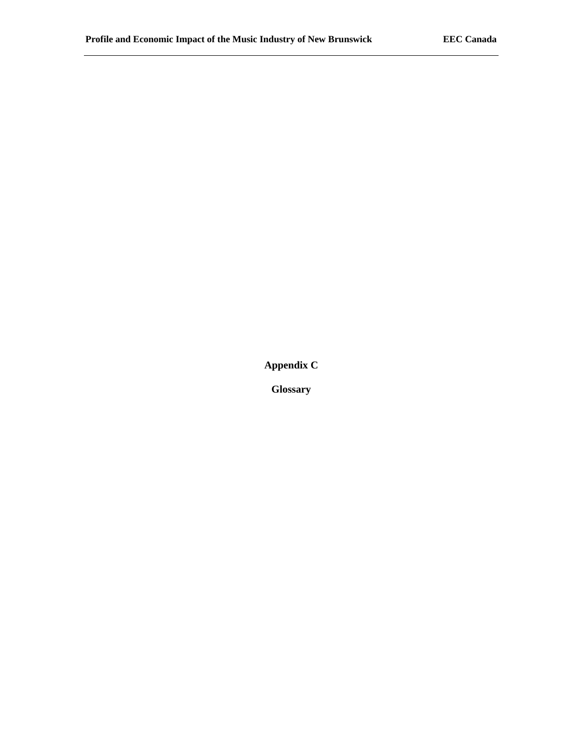**Appendix C** 

**Glossary**